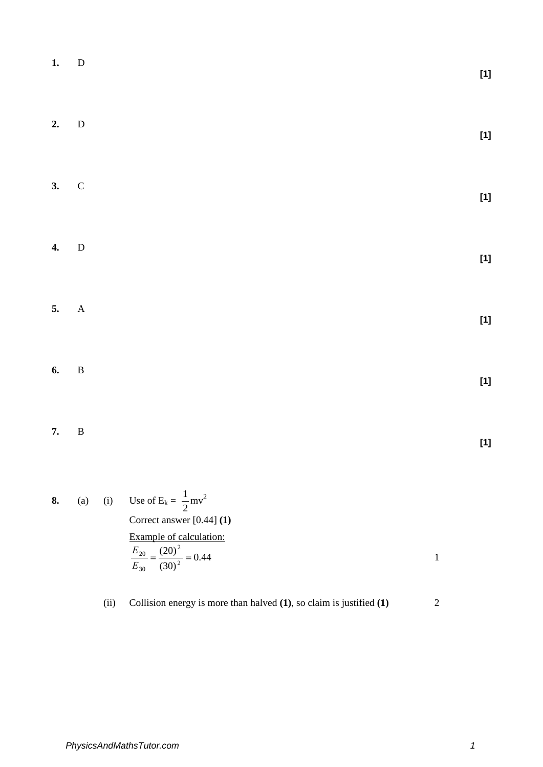|    | 1. D         |                                                                                                                                                                                                                                                                                                                                                                                                                                                                                                                                                                                                                                                                                                                                                                                                                                                                                                                                                                             |
|----|--------------|-----------------------------------------------------------------------------------------------------------------------------------------------------------------------------------------------------------------------------------------------------------------------------------------------------------------------------------------------------------------------------------------------------------------------------------------------------------------------------------------------------------------------------------------------------------------------------------------------------------------------------------------------------------------------------------------------------------------------------------------------------------------------------------------------------------------------------------------------------------------------------------------------------------------------------------------------------------------------------|
|    | 2. D         |                                                                                                                                                                                                                                                                                                                                                                                                                                                                                                                                                                                                                                                                                                                                                                                                                                                                                                                                                                             |
|    | 3. C         | $[1] % \centering \includegraphics[width=0.9\columnwidth]{figures/fig_10.pdf} \caption{The graph $\mathcal{N}_1$ is a function of the number of times, and the number of times, and the number of times, are indicated with the number of times, and the number of times, are indicated with the number of times, and the number of times, are indicated with the number of times, and the number of times, are indicated with the number of times, and the number of times, are indicated with the number of times, and the number of times, are indicated with the number of times, and the number of times, are indicated with the number of times, and the number of times, are indicated with the number of times, and the number of times, are indicated with the number of times, and the number of times, are indicated with the number of times, and the number of times, are indicated with the number of times, and the number of times, are indicated with the$ |
| 4. | $\mathbf{D}$ |                                                                                                                                                                                                                                                                                                                                                                                                                                                                                                                                                                                                                                                                                                                                                                                                                                                                                                                                                                             |
| 5. | $\mathbf A$  |                                                                                                                                                                                                                                                                                                                                                                                                                                                                                                                                                                                                                                                                                                                                                                                                                                                                                                                                                                             |
| 6. | $\, {\bf B}$ |                                                                                                                                                                                                                                                                                                                                                                                                                                                                                                                                                                                                                                                                                                                                                                                                                                                                                                                                                                             |
| 7. | $\, {\bf B}$ |                                                                                                                                                                                                                                                                                                                                                                                                                                                                                                                                                                                                                                                                                                                                                                                                                                                                                                                                                                             |

8. (a) (i) Use of 
$$
E_k = \frac{1}{2}mv^2
$$
  
\nCorrect answer [0.44] (1)  
\nExample of calculation:  
\n $\frac{E_{20}}{E_{30}} = \frac{(20)^2}{(30)^2} = 0.44$ 

(ii) Collision energy is more than halved **(1)**, so claim is justified **(1)** 2

**[1]**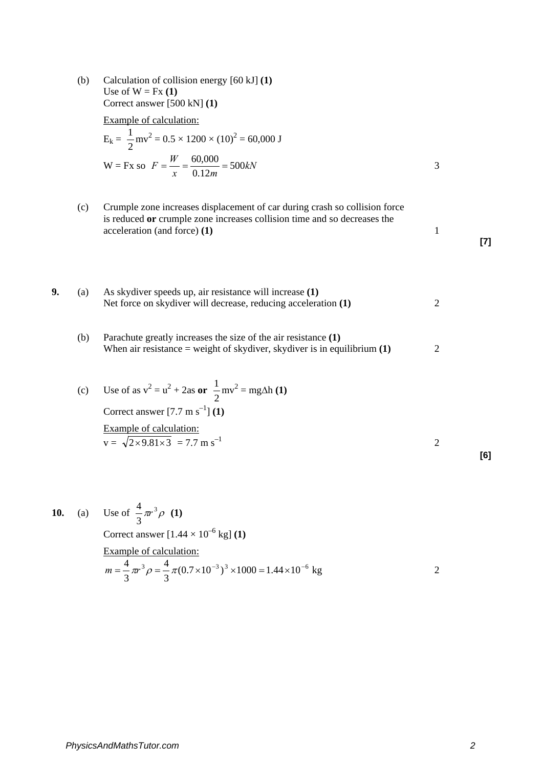(b) Calculation of collision energy [60 kJ] **(1)** Use of  $W = Fx(1)$ Correct answer [500 kN] **(1)** Example of calculation:  $E_k = \frac{1}{2}mv^2 = 0.5 \times 1200 \times (10)^2 = 60{,}000 \text{ J}$  $W = Fx$  so  $F = \frac{W}{2} = \frac{80,000}{8} = 500kN$ *mx*  $F = \frac{W}{m} = \frac{60,000}{0.12} = 500$ 0.12  $\frac{W}{2} = \frac{60,000}{0.13} = 500kN$  3 (c) Crumple zone increases displacement of car during crash so collision force is reduced **or** crumple zone increases collision time and so decreases the acceleration (and force) **(1)** 1 **[7] 9.** (a) As skydiver speeds up, air resistance will increase **(1)**  Net force on skydiver will decrease, reducing acceleration **(1)** 2 (b) Parachute greatly increases the size of the air resistance **(1)**  When air resistance = weight of skydiver, skydiver is in equilibrium **(1)** 2 (c) Use of as  $v^2 = u^2 + 2$ as **or** 2  $\frac{1}{2}$ mv<sup>2</sup> = mg∆h **(1)** Correct answer  $[7.7 \text{ m s}^{-1}]$  (1) Example of calculation:  $v = \sqrt{2 \times 9.81 \times 3} = 7.7 \text{ m s}^{-1}$  2 **[6]**

10. (a) Use of 
$$
\frac{4}{3}\pi^{3}\rho
$$
 (1)  
\nCorrect answer [1.44 × 10<sup>-6</sup> kg] (1)  
\nExample of calculation:  
\n
$$
m = \frac{4}{3}\pi^{3}\rho = \frac{4}{3}\pi (0.7 \times 10^{-3})^{3} \times 1000 = 1.44 \times 10^{-6} \text{ kg}
$$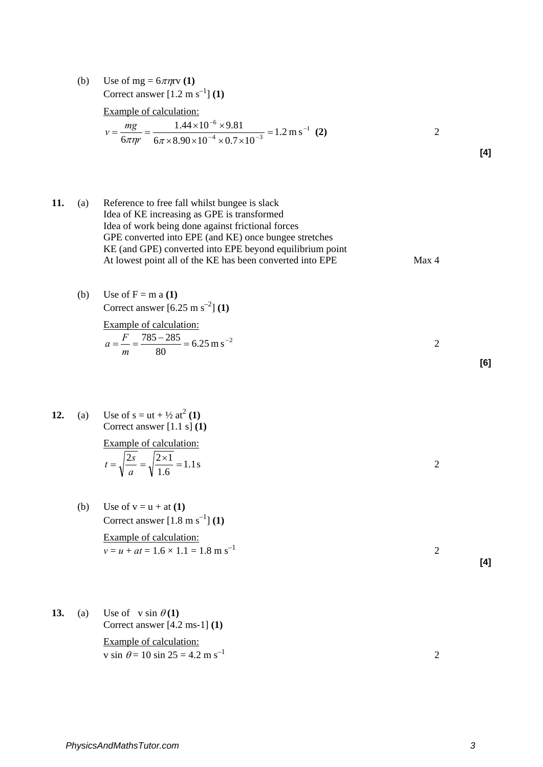- (b) Use of mg =  $6\pi\eta r v(1)$ Correct answer  $[1.2 \text{ m s}^{-1}]$  (1) Example of calculation: 1  $^{4}$   $\sim$  0.7  $\sim$  10<sup>-3</sup> 6  $1.2 \text{ m s}$  $6\pi \times 8.90 \times 10^{-4} \times 0.7 \times 10$  $1.44 \times 10^{-6} \times 9.81$ 6 −  $-4 \times 0.7 \times 10^{-7}$ −  $= \frac{mg}{6\pi\eta r} = \frac{1.44 \times 10^{-6} \times 9.81}{6\pi \times 8.90 \times 10^{-4} \times 0.7 \times 10^{-3}} =$  $\pi \eta r$  6 $\pi$  $v = \frac{mg}{f} = \frac{1.44 \times 10^{-6} \times 9.81}{4} = 1.2 \text{ m s}^{-1}$  (2)
- **11.** (a) Reference to free fall whilst bungee is slack Idea of KE increasing as GPE is transformed Idea of work being done against frictional forces GPE converted into EPE (and KE) once bungee stretches KE (and GPE) converted into EPE beyond equilibrium point At lowest point all of the KE has been converted into EPE Max 4
	- (b) Use of  $F = m a (1)$ Correct answer  $[6.25 \text{ m s}^{-2}]$  (1)

Example of calculation:

$$
a = \frac{F}{m} = \frac{785 - 285}{80} = 6.25 \,\mathrm{m\,s^{-2}}
$$

12. (a) Use of 
$$
s = ut + \frac{1}{2} at^2 (1)
$$
  
Correct answer [1.1 s] (1)

Example of calculation:

$$
t = \sqrt{\frac{2s}{a}} = \sqrt{\frac{2 \times 1}{1.6}} = 1.1 \,\text{s}
$$

(b) Use of  $v = u + at(1)$ Correct answer  $[1.8 \text{ m s}^{-1}]$  (1) Example of calculation:  $v = u + at = 1.6 \times 1.1 = 1.8 \text{ m s}^{-1}$  2 **[6]**

**[4]**

**[4]**

**13.** (a) Use of  $v \sin \theta(1)$ Correct answer [4.2 ms-1] **(1)** Example of calculation: v sin  $\theta = 10 \sin 25 = 4.2 \text{ m s}^{-1}$  2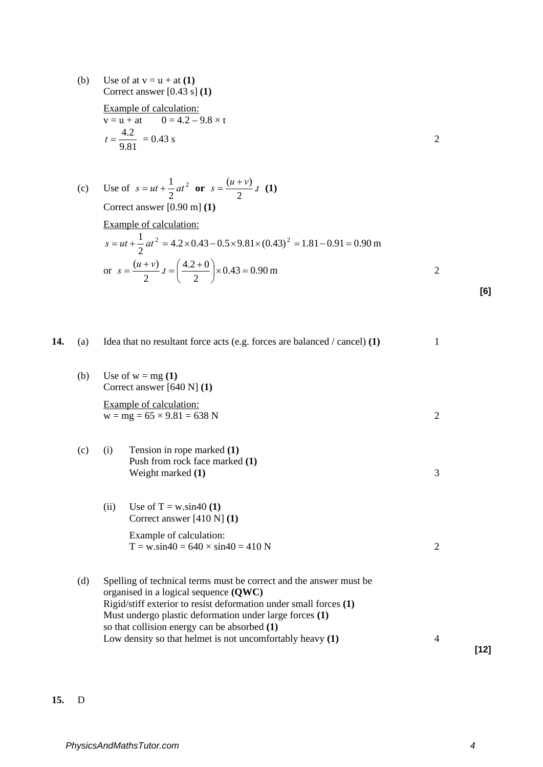(b) Use of at  $v = u + at(1)$ Correct answer [0.43 s] **(1)**

> Example of calculation:  $v = u + at$  0 = 4.2 – 9.8  $\times t$ 9.81  $t = \frac{4.2}{3.81} = 0.43$  s 2

(c) Use of 
$$
s = ut + \frac{1}{2}at^2
$$
 or  $s = \frac{(u+v)}{2}t$  (1)  
\nCorrect answer [0.90 m] (1)  
\nExample of calculation:  
\n $s = ut + \frac{1}{2}at^2 = 4.2 \times 0.43 - 0.5 \times 9.81 \times (0.43)^2 = 1.81 - 0.91 = 0.90$  m  
\nor  $s = \frac{(u+v)}{2}t = (\frac{4.2+0}{2}) \times 0.43 = 0.90$  m

or 
$$
s = \frac{(u+v)}{2}t = \left(\frac{4.2+0}{2}\right) \times 0.43 = 0.90 \text{ m}
$$

**14.** (a) Idea that no resultant force acts (e.g. forces are balanced / cancel) **(1)** 1

- (b) Use of  $w = mg(1)$ Correct answer [640 N] **(1)** Example of calculation:  $w = mg = 65 \times 9.81 = 638 N$
- (c) (i) Tension in rope marked **(1)**  Push from rock face marked **(1)**  Weight marked **(1)** 3
	- (ii) Use of  $T = w \sin 40$  (1) Correct answer [410 N] **(1)** Example of calculation:  $T = w \sin 40 = 640 \times \sin 40 = 410 \text{ N}$  2
- (d) Spelling of technical terms must be correct and the answer must be organised in a logical sequence **(QWC)** Rigid/stiff exterior to resist deformation under small forces **(1)**  Must undergo plastic deformation under large forces **(1)**  so that collision energy can be absorbed **(1)**  Low density so that helmet is not uncomfortably heavy **(1)** 4

**[12]**

**[6]**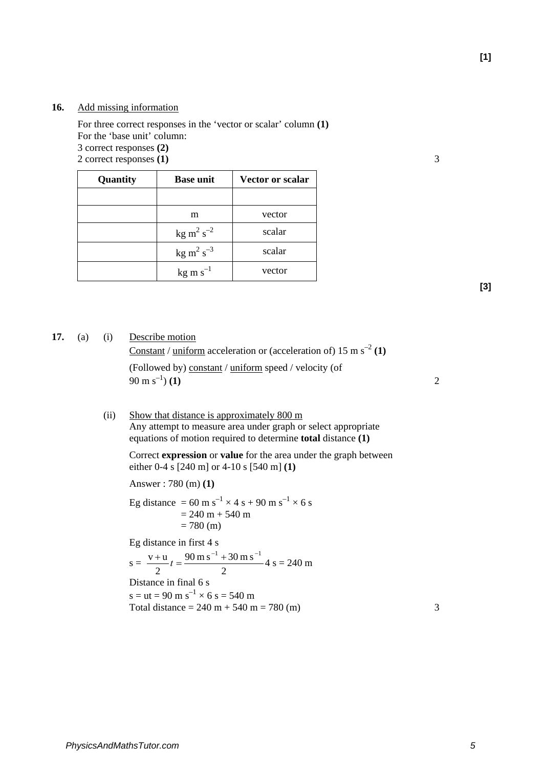#### **16.** Add missing information

For three correct responses in the 'vector or scalar' column **(1)**  For the 'base unit' column: 3 correct responses **(2)** 2 correct responses **(1)** 3

| Quantity | <b>Base unit</b>                  | <b>Vector or scalar</b> |
|----------|-----------------------------------|-------------------------|
|          |                                   |                         |
|          | m                                 | vector                  |
|          | kg m <sup>2</sup> s <sup>-2</sup> | scalar                  |
|          | $\text{kg m}^2 \text{ s}^{-3}$    | scalar                  |
|          | $kg \text{ m s}^{-1}$             | vector                  |

**17.** (a) (i) Describe motion

Constant / uniform acceleration or (acceleration of) 15 m  $s^{-2}$  (1) (Followed by) constant / uniform speed / velocity (of  $(90 \text{ m s}^{-1})$   $(1)$  2

(ii) Show that distance is approximately 800 m Any attempt to measure area under graph or select appropriate equations of motion required to determine **total** distance **(1)**

 Correct **expression** or **value** for the area under the graph between either 0-4 s [240 m] or 4-10 s [540 m] **(1)**

Answer : 780 (m) **(1)**

Eg distance = 60 m s<sup>-1</sup>  $\times$  4 s + 90 m s<sup>-1</sup>  $\times$  6 s  $= 240 m + 540 m$  $= 780$  (m)

Eg distance in first 4 s

 $s =$ 2  $90 \text{ m s}^{-1} + 30 \text{ m s}$ 2  $\frac{v+u}{2}t = \frac{90 \text{ m s}^{-1} + 30 \text{ m s}^{-1}}{2}$  4 s = 240 m Distance in final 6 s

 $s = ut = 90$  m  $s^{-1} \times 6$  s = 540 m Total distance =  $240 \text{ m} + 540 \text{ m} = 780 \text{ (m)}$  3



**[3]**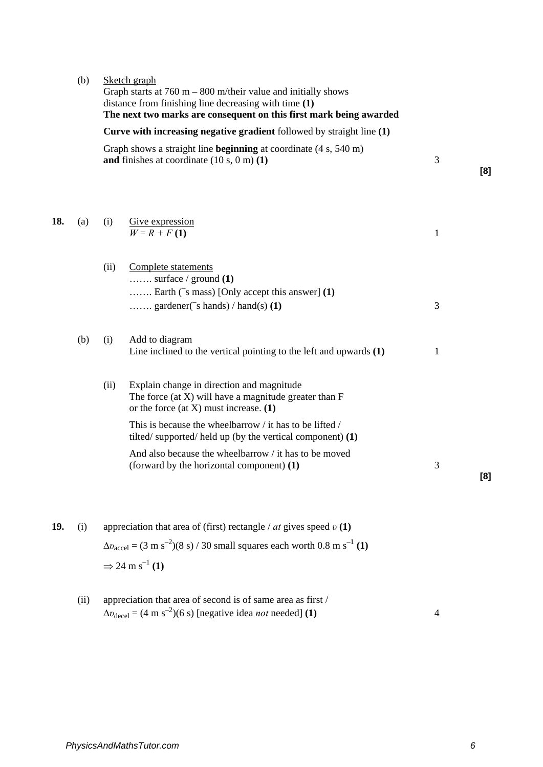|     | (b)  |      | <b>Sketch</b> graph<br>Graph starts at $760 \text{ m} - 800 \text{ m/their value}$ and initially shows<br>distance from finishing line decreasing with time (1)<br>The next two marks are consequent on this first mark being awarded |              |     |
|-----|------|------|---------------------------------------------------------------------------------------------------------------------------------------------------------------------------------------------------------------------------------------|--------------|-----|
|     |      |      | Curve with increasing negative gradient followed by straight line (1)                                                                                                                                                                 |              |     |
|     |      |      | Graph shows a straight line <b>beginning</b> at coordinate (4 s, 540 m)<br>and finishes at coordinate $(10 s, 0 m)$ (1)                                                                                                               | 3            | [8] |
| 18. | (a)  | (i)  | Give expression<br>$W = R + F(1)$                                                                                                                                                                                                     | $\mathbf{1}$ |     |
|     |      | (ii) | Complete statements<br>surface / ground $(1)$                                                                                                                                                                                         |              |     |
|     |      |      | Earth ( $\bar{s}$ mass) [Only accept this answer] (1)<br>gardener( $\bar{s}$ hands) / hand(s) (1)                                                                                                                                     | 3            |     |
|     | (b)  | (i)  | Add to diagram<br>Line inclined to the vertical pointing to the left and upwards $(1)$                                                                                                                                                | 1            |     |
|     |      | (ii) | Explain change in direction and magnitude<br>The force (at $X$ ) will have a magnitude greater than $F$<br>or the force $(at X)$ must increase. $(1)$                                                                                 |              |     |
|     |      |      | This is because the wheelbarrow / it has to be lifted /<br>tilted/supported/held up (by the vertical component) $(1)$                                                                                                                 |              |     |
|     |      |      | And also because the wheelbarrow / it has to be moved<br>(forward by the horizontal component) (1)                                                                                                                                    | 3            | [8] |
| 19. | (i)  |      | appreciation that area of (first) rectangle / at gives speed $v(1)$                                                                                                                                                                   |              |     |
|     |      |      | $\Delta v_{\text{accel}} = (3 \text{ m s}^{-2})(8 \text{ s}) / 30 \text{ small squares each worth } 0.8 \text{ m s}^{-1}$ (1)                                                                                                         |              |     |
|     |      |      | $\Rightarrow$ 24 m s <sup>-1</sup> (1)                                                                                                                                                                                                |              |     |
|     | (ii) |      | appreciation that area of second is of same area as first /<br>$\Delta v_{\text{decel}} = (4 \text{ m s}^{-2})(6 \text{ s})$ [negative idea <i>not</i> needed] (1)                                                                    | 4            |     |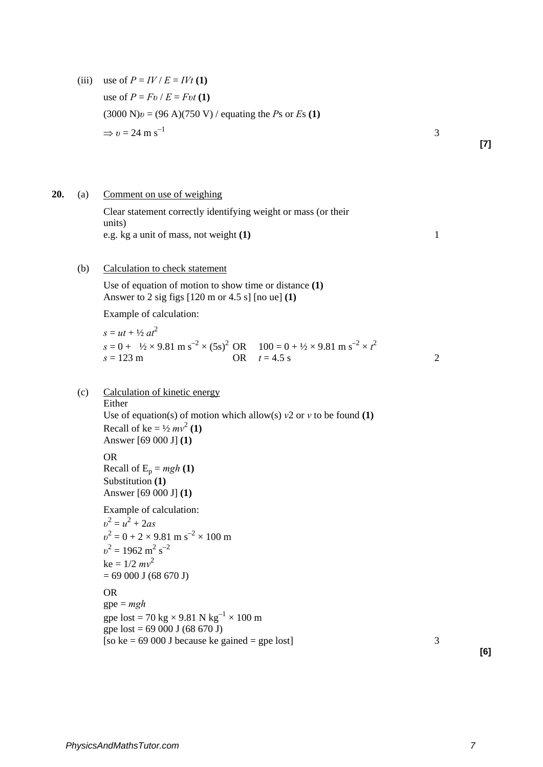(iii) use of  $P = IV / E = IVt(1)$ use of  $P = Fv / E = Fvt (1)$ (3000 N)*υ* = (96 A)(750 V) / equating the *P*s or *E*s **(1)**   $\Rightarrow v = 24 \text{ m s}^{-1}$  3 **[7]** 20. (a) Comment on use of weighing Clear statement correctly identifying weight or mass (or their units) e.g. kg a unit of mass, not weight **(1)** 1 (b) Calculation to check statement Use of equation of motion to show time or distance **(1)** Answer to 2 sig figs [120 m or 4.5 s] [no ue] **(1)**  Example of calculation:  $s = ut + \frac{1}{2}at^2$  $s = 0 + \frac{1}{2} \times 9.81 \text{ m s}^{-2} \times (5 \text{s})^2 \text{ OR } 100 = 0 + \frac{1}{2} \times 9.81 \text{ m s}^{-2} \times t^2$  $s = 123 \text{ m}$  OR  $t = 4.5 \text{ s}$  2 (c) Calculation of kinetic energy Either Use of equation(s) of motion which allow(s)  $v^2$  or  $v$  to be found **(1)** Recall of ke =  $\frac{1}{2}mv^2(1)$ Answer [69 000 J] **(1)**  OR Recall of  $E_p = mgh(1)$ Substitution **(1)** Answer [69 000 J] **(1)** Example of calculation:  $v^2 = u^2 + 2as$  $v^2 = 0 + 2 \times 9.81 \text{ m s}^{-2} \times 100 \text{ m}$  $v^2 = 1962 \text{ m}^2 \text{ s}^{-2}$  $ke = 1/2 mv^2$  $= 69000$  J (68 670 J) OR gpe = *mgh* gpe lost = 70 kg  $\times$  9.81 N kg<sup>-1</sup>  $\times$  100 m gpe lost = 69 000 J (68 670 J) [so ke  $= 69000$  J because ke gained  $=$  gpe lost] 3 **[6]**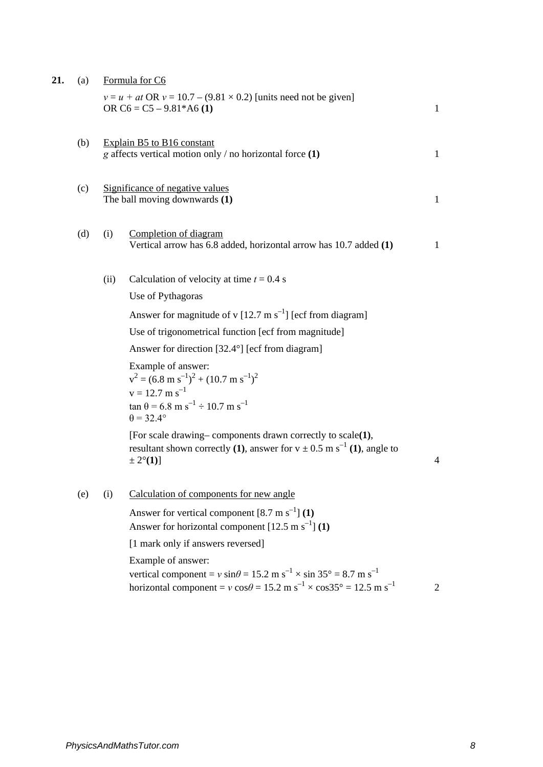| 21. | (a) |      | Formula for C6                                                                                                                                                                                                           |                |
|-----|-----|------|--------------------------------------------------------------------------------------------------------------------------------------------------------------------------------------------------------------------------|----------------|
|     |     |      | $v = u + at$ OR $v = 10.7 - (9.81 \times 0.2)$ [units need not be given]<br>OR $C6 = C5 - 9.81*AG(1)$                                                                                                                    | $\mathbf{1}$   |
|     | (b) |      | Explain B5 to B16 constant<br>g affects vertical motion only / no horizontal force (1)                                                                                                                                   | $\mathbf{1}$   |
|     | (c) |      | Significance of negative values<br>The ball moving downwards (1)                                                                                                                                                         | $\mathbf{1}$   |
|     | (d) | (i)  | Completion of diagram<br>Vertical arrow has 6.8 added, horizontal arrow has 10.7 added (1)                                                                                                                               | $\mathbf{1}$   |
|     |     | (ii) | Calculation of velocity at time $t = 0.4$ s                                                                                                                                                                              |                |
|     |     |      | Use of Pythagoras                                                                                                                                                                                                        |                |
|     |     |      | Answer for magnitude of v $[12.7 \text{ m s}^{-1}]$ [ecf from diagram]                                                                                                                                                   |                |
|     |     |      | Use of trigonometrical function [ecf from magnitude]                                                                                                                                                                     |                |
|     |     |      | Answer for direction [32.4°] [ecf from diagram]                                                                                                                                                                          |                |
|     |     |      | Example of answer:<br>$v^2 = (6.8 \text{ m s}^{-1})^2 + (10.7 \text{ m s}^{-1})^2$<br>$v = 12.7$ m s <sup>-1</sup><br>$\tan \theta = 6.8 \text{ m s}^{-1} \div 10.7 \text{ m s}^{-1}$<br>$\theta$ = 32.4°                |                |
|     |     |      | [For scale drawing– components drawn correctly to scale(1),<br>resultant shown correctly (1), answer for $v \pm 0.5$ m s <sup>-1</sup> (1), angle to<br>$\pm 2^{\circ}(1)$ ]                                             | $\overline{4}$ |
|     | (e) | (i)  | Calculation of components for new angle                                                                                                                                                                                  |                |
|     |     |      | Answer for vertical component $[8.7 \text{ m s}^{-1}]$ (1)<br>Answer for horizontal component $[12.5 \text{ m s}^{-1}]$ (1)                                                                                              |                |
|     |     |      | [1 mark only if answers reversed]                                                                                                                                                                                        |                |
|     |     |      | Example of answer:<br>vertical component = $v \sin\theta = 15.2$ m s <sup>-1</sup> × sin 35° = 8.7 m s <sup>-1</sup><br>horizontal component = $v \cos\theta = 15.2$ m s <sup>-1</sup> × cos35° = 12.5 m s <sup>-1</sup> | 2              |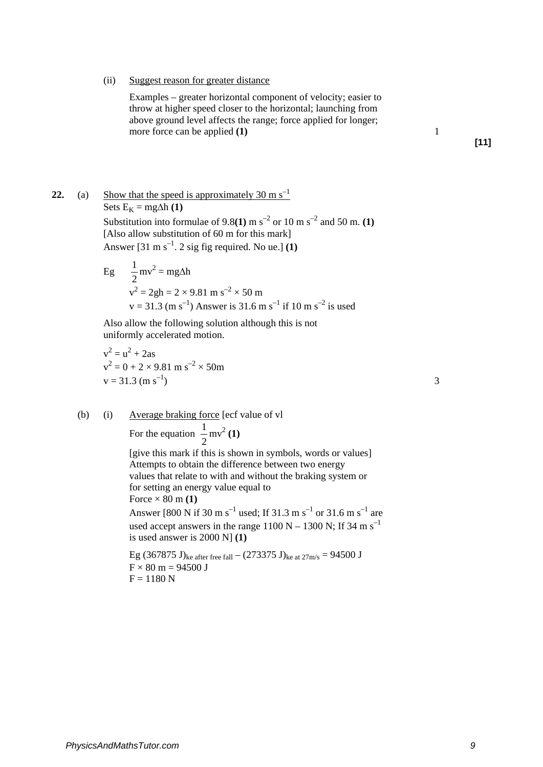(ii) Suggest reason for greater distance

Examples – greater horizontal component of velocity; easier to throw at higher speed closer to the horizontal; launching from above ground level affects the range; force applied for longer; more force can be applied **(1)** 1

**[11]**

**22.** (a) Show that the speed is approximately  $30 \text{ m s}^{-1}$ Sets  $E_K = mg\Delta h(1)$ Substitution into formulae of 9.8(1) m s<sup> $-2$ </sup> or 10 m s<sup> $-2$ </sup> and 50 m. (1) [Also allow substitution of 60 m for this mark] Answer  $[31 \text{ m s}^{-1}$ . 2 sig fig required. No ue.]  $(1)$  $\overline{1}$ 

Eg 
$$
\frac{1}{2}
$$
mv<sup>2</sup> = mg $\Delta$ h  
\nv<sup>2</sup> = 2gh = 2 × 9.81 m s<sup>-2</sup> × 50 m  
\nv = 31.3 (m s<sup>-1</sup>) Answer is 31.6 m s<sup>-1</sup> if 10 m s<sup>-2</sup> is used

Also allow the following solution although this is not uniformly accelerated motion.

 $v^2 = u^2 + 2as$  $v^2 = 0 + 2 \times 9.81 \text{ m s}^{-2} \times 50 \text{ m}$  $v = 31.3 \text{ (m s}^{-1})$  3

(b) (i) Average braking force [ecf value of vl

For the equation  $\frac{1}{2}mv^2$  (1)

[give this mark if this is shown in symbols, words or values] Attempts to obtain the difference between two energy values that relate to with and without the braking system or for setting an energy value equal to Force  $\times$  80 m (1)

Answer [800 N if 30 m s<sup>-1</sup> used; If 31.3 m s<sup>-1</sup> or 31.6 m s<sup>-1</sup> are used accept answers in the range  $1100$  N –  $1300$  N; If 34 m s<sup>-1</sup> is used answer is 2000 N] **(1)**

Eg (367875 J)<sub>ke after free fall</sub> – (273375 J)<sub>ke at 27m/s</sub> = 94500 J  $F \times 80 \text{ m} = 94500 \text{ J}$  $F = 1180 N$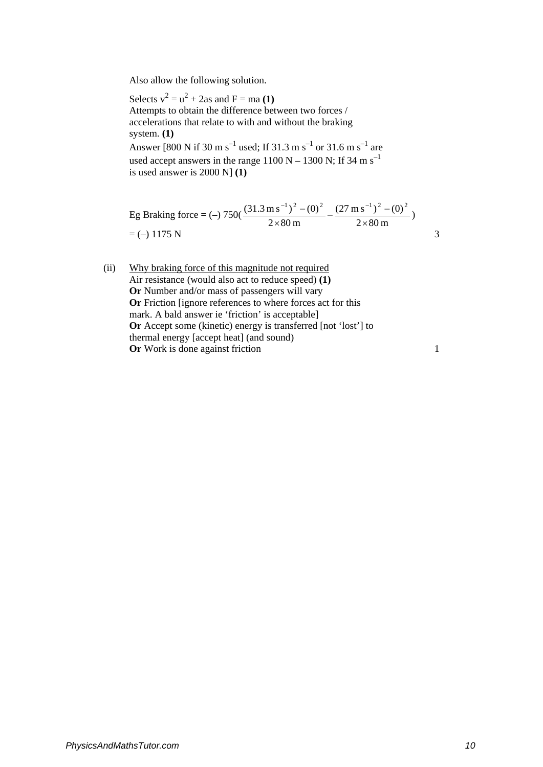Also allow the following solution.

Selects  $v^2 = u^2 + 2as$  and  $F = ma(1)$ Attempts to obtain the difference between two forces / accelerations that relate to with and without the braking system. **(1)** 

Answer [800 N if 30 m s<sup>-1</sup> used; If 31.3 m s<sup>-1</sup> or 31.6 m s<sup>-1</sup> are used accept answers in the range  $1100 \text{ N} - 1300 \text{ N}$ ; If 34 m s<sup>-1</sup> is used answer is 2000 N] **(1)**

Eg Braking force = (-) 750(
$$
\frac{(31.3 \text{ m s}^{-1})^2 - (0)^2}{2 \times 80 \text{ m}} - \frac{(27 \text{ m s}^{-1})^2 - (0)^2}{2 \times 80 \text{ m}}
$$
  
= (-) 1175 N

(ii) Why braking force of this magnitude not required Air resistance (would also act to reduce speed) **(1) Or** Number and/or mass of passengers will vary **Or** Friction [ignore references to where forces act for this mark. A bald answer ie 'friction' is acceptable] **Or** Accept some (kinetic) energy is transferred [not 'lost'] to thermal energy [accept heat] (and sound) **Or** Work is done against friction 1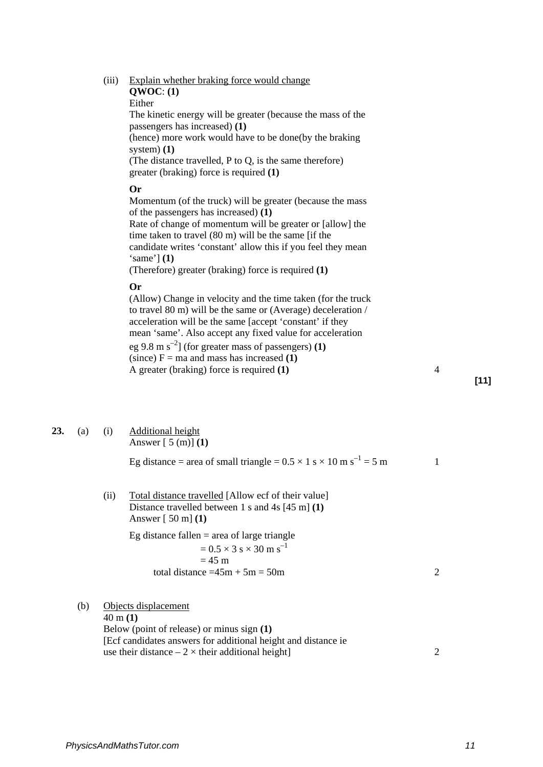# (iii) Explain whether braking force would change **QWOC**: **(1)** Either The kinetic energy will be greater (because the mass of the passengers has increased) **(1)**  (hence) more work would have to be done(by the braking system) **(1)**  (The distance travelled, P to Q, is the same therefore) greater (braking) force is required **(1) Or** Momentum (of the truck) will be greater (because the mass of the passengers has increased) **(1)**  Rate of change of momentum will be greater or [allow] the time taken to travel (80 m) will be the same [if the candidate writes 'constant' allow this if you feel they mean 'same'] **(1)**  (Therefore) greater (braking) force is required **(1) Or** (Allow) Change in velocity and the time taken (for the truck to travel 80 m) will be the same or (Average) deceleration / acceleration will be the same [accept 'constant' if they mean 'same'. Also accept any fixed value for acceleration eg  $9.8 \text{ m s}^{-2}$  (for greater mass of passengers) **(1)**  $(since) F = ma$  and mass has increased **(1)** A greater (braking) force is required **(1)** 4 **[11]**

#### **23.** (a) (i) Additional height Answer [ 5 (m)] **(1)**

| Eg distance = area of small triangle = $0.5 \times 1$ s $\times$ 10 m s <sup>-1</sup> = 5 m |  |
|---------------------------------------------------------------------------------------------|--|
|                                                                                             |  |

(ii) Total distance travelled [Allow ecf of their value] Distance travelled between 1 s and 4s [45 m] **(1)** Answer [ 50 m] **(1)**

> Eg distance fallen  $=$  area of large triangle  $= 0.5 \times 3$  s  $\times 30$  m s<sup>-1</sup>  $= 45$  m total distance  $=45m + 5m = 50m$  2

# (b) Objects displacement

40 m **(1)**  Below (point of release) or minus sign **(1)** [Ecf candidates answers for additional height and distance ie use their distance  $-2 \times$  their additional height] 2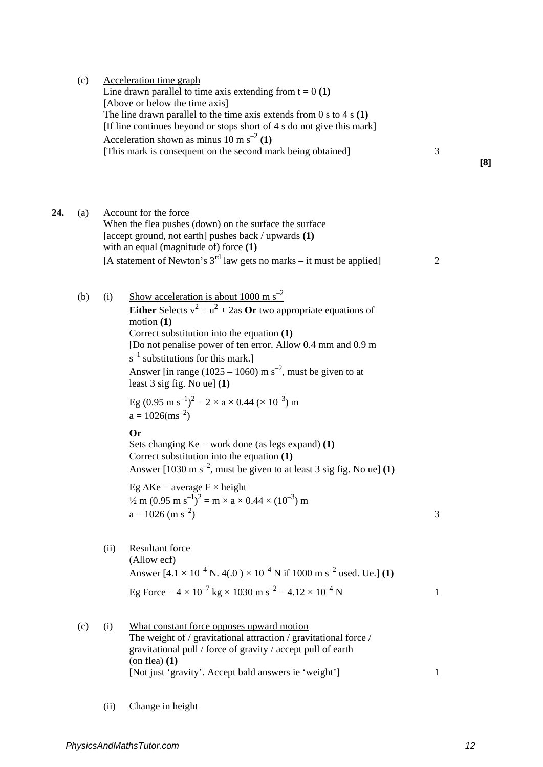|     | (c) |      | Acceleration time graph<br>Line drawn parallel to time axis extending from $t = 0$ (1)<br>[Above or below the time axis]<br>The line drawn parallel to the time axis extends from $0 s$ to $4 s (1)$<br>[If line continues beyond or stops short of 4 s do not give this mark]<br>Acceleration shown as minus 10 m s <sup>-2</sup> (1)<br>[This mark is consequent on the second mark being obtained]                                                                                                                                                                                                                                                                                                                                                                                                                                                                                                              | 3              | [8] |
|-----|-----|------|--------------------------------------------------------------------------------------------------------------------------------------------------------------------------------------------------------------------------------------------------------------------------------------------------------------------------------------------------------------------------------------------------------------------------------------------------------------------------------------------------------------------------------------------------------------------------------------------------------------------------------------------------------------------------------------------------------------------------------------------------------------------------------------------------------------------------------------------------------------------------------------------------------------------|----------------|-----|
| 24. | (a) |      | Account for the force<br>When the flea pushes (down) on the surface the surface<br>[accept ground, not earth] pushes back / upwards (1)<br>with an equal (magnitude of) force $(1)$<br>[A statement of Newton's $3rd$ law gets no marks – it must be applied]                                                                                                                                                                                                                                                                                                                                                                                                                                                                                                                                                                                                                                                      | $\overline{2}$ |     |
|     | (b) | (i)  | Show acceleration is about 1000 m $\rm s^{-2}$<br><b>Either</b> Selects $v^2 = u^2 + 2as$ Or two appropriate equations of<br>motion $(1)$<br>Correct substitution into the equation (1)<br>[Do not penalise power of ten error. Allow 0.4 mm and 0.9 m<br>$s^{-1}$ substitutions for this mark.]<br>Answer [in range (1025 – 1060) m $s^{-2}$ , must be given to at<br>least $3$ sig fig. No ue] $(1)$<br>Eg (0.95 m s <sup>-1</sup> ) <sup>2</sup> = 2 × a × 0.44 (× 10 <sup>-3</sup> ) m<br>$a = 1026 \text{(ms}^{-2})$<br><b>Or</b><br>Sets changing $Ke = work$ done (as legs expand) (1)<br>Correct substitution into the equation (1)<br>Answer $[1030 \text{ m s}^{-2}$ , must be given to at least 3 sig fig. No ue] (1)<br>Eg $\Delta$ Ke = average F $\times$ height<br>$\frac{1}{2}$ m (0.95 m s <sup>-1</sup> ) <sup>2</sup> = m × a × 0.44 × (10 <sup>-3</sup> ) m<br>$a = 1026$ (m s <sup>-2</sup> ) | 3              |     |
|     |     | (ii) | <b>Resultant force</b><br>(Allow ecf)<br>Answer $[4.1 \times 10^{-4}$ N. $4(0) \times 10^{-4}$ N if 1000 m s <sup>-2</sup> used. Ue.] (1)<br>Eg Force = $4 \times 10^{-7}$ kg $\times 1030$ m s <sup>-2</sup> = $4.12 \times 10^{-4}$ N                                                                                                                                                                                                                                                                                                                                                                                                                                                                                                                                                                                                                                                                            | 1              |     |
|     | (c) | (i)  | What constant force opposes upward motion<br>The weight of / gravitational attraction / gravitational force /<br>gravitational pull / force of gravity / accept pull of earth<br>$($ on flea $)$ $(1)$<br>[Not just 'gravity'. Accept bald answers ie 'weight']                                                                                                                                                                                                                                                                                                                                                                                                                                                                                                                                                                                                                                                    | 1              |     |
|     |     |      |                                                                                                                                                                                                                                                                                                                                                                                                                                                                                                                                                                                                                                                                                                                                                                                                                                                                                                                    |                |     |

<sup>(</sup>ii) Change in height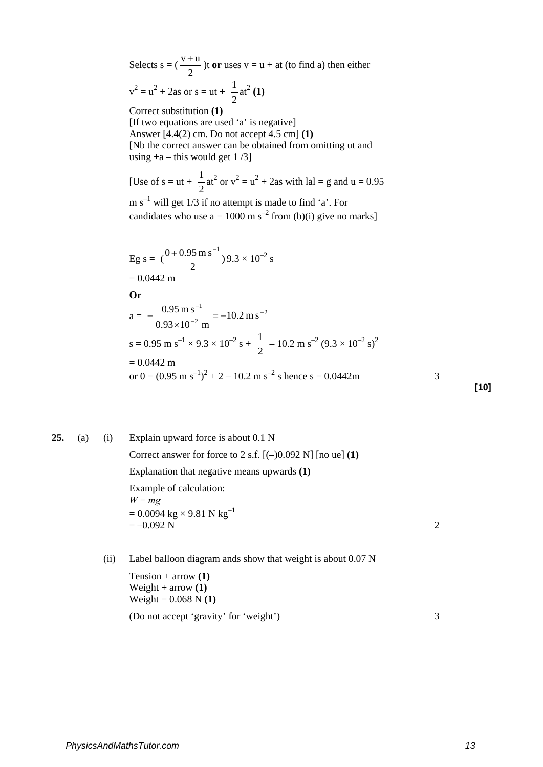Selects  $s = \left(\frac{v+u}{2}\right)t$  or uses  $v = u + at$  (to find a) then either  $v^2 = u^2 + 2as$  or  $s = ut +$ 2  $\frac{1}{2}$  at<sup>2</sup> (1) Correct substitution **(1)**

[If two equations are used 'a' is negative] Answer [4.4(2) cm. Do not accept 4.5 cm] **(1)**  [Nb the correct answer can be obtained from omitting ut and using  $+a$  – this would get 1/3]

[Use of  $s = ut + \frac{1}{2}at^2$  or  $v^2 = u^2 + 2as$  with  $lal = g$  and  $u = 0.95$  $m s^{-1}$  will get 1/3 if no attempt is made to find 'a'. For candidates who use  $a = 1000 \text{ m s}^{-2}$  from (b)(i) give no marks]

Eg s =  $\left(\frac{0 + 0.95 \text{ m s}^{-1}}{2}\right) 9.3 \times 10^{-2} \text{ s}$  $= 0.0442$  m **Or**  $a = -\frac{0.93 \text{ m/s}}{0.03 \times 10^{-2} \text{ m}} = -10.2 \text{ m s}^{-2}$ 1  $10.2 \text{ m s}$  $0.93\times10^{-2}$  m  $0.95 \text{ m s}^{-1}$   $-10.2 \text{ m s}^{-1}$ − −  $-\frac{0.99 \text{ m/s}}{0.93 \times 10^{-2} \text{ m}} =$  $s = 0.95$  m  $s^{-1} \times 9.3 \times 10^{-2}$  s + 2  $\frac{1}{2}$  – 10.2 m s<sup>-2</sup> (9.3 × 10<sup>-2</sup> s)<sup>2</sup>  $= 0.0442$  m or  $0 = (0.95 \text{ m s}^{-1})^2 + 2 - 10.2 \text{ m s}^{-2} \text{ s}$  hence  $s = 0.0442 \text{ m}$  3 **[10]**

25. (a) (i) Explain upward force is about 0.1 N

Correct answer for force to 2 s.f. [(–)0.092 N] [no ue] **(1)** Explanation that negative means upwards **(1)** Example of calculation:  $W = mg$  $= 0.0094 \text{ kg} \times 9.81 \text{ N kg}^{-1}$  $=-0.092 \text{ N}$  2

(ii) Label balloon diagram ands show that weight is about 0.07 N Tension + arrow **(1)**  Weight + arrow **(1)**  Weight = 0.068 N **(1)**  (Do not accept 'gravity' for 'weight') 3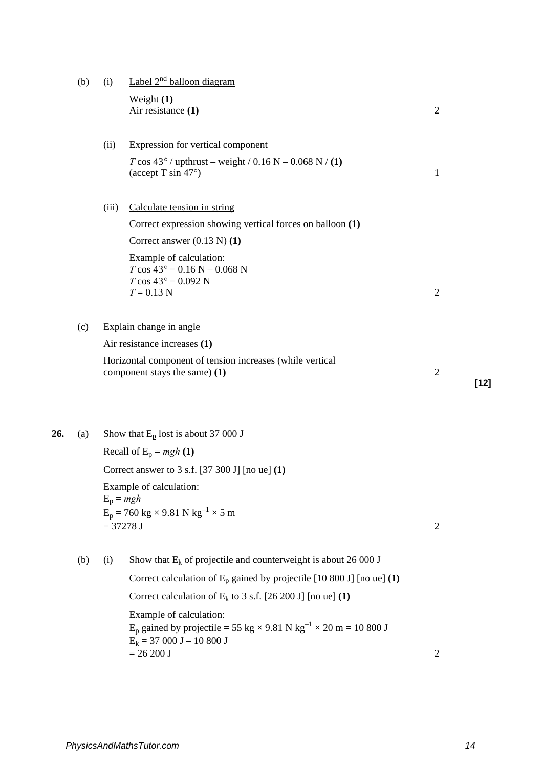|     | (b) | (i)                          | Label $2nd$ balloon diagram                                                                                                    |                |        |
|-----|-----|------------------------------|--------------------------------------------------------------------------------------------------------------------------------|----------------|--------|
|     |     |                              | Weight $(1)$<br>Air resistance (1)                                                                                             | $\overline{2}$ |        |
|     |     | (ii)                         | <b>Expression for vertical component</b>                                                                                       |                |        |
|     |     |                              | $T \cos 43^{\circ}$ / upthrust – weight / 0.16 N – 0.068 N / (1)<br>(accept T sin 47°)                                         | $\mathbf{1}$   |        |
|     |     | (iii)                        | Calculate tension in string                                                                                                    |                |        |
|     |     |                              | Correct expression showing vertical forces on balloon (1)                                                                      |                |        |
|     |     |                              | Correct answer $(0.13 N)(1)$                                                                                                   |                |        |
|     |     |                              | Example of calculation:<br>$T \cos 43^\circ = 0.16 \text{ N} - 0.068 \text{ N}$<br>$T \cos 43^\circ = 0.092$ N<br>$T = 0.13 N$ | $\overline{2}$ |        |
|     |     |                              |                                                                                                                                |                |        |
|     | (c) |                              | Explain change in angle                                                                                                        |                |        |
|     |     | Air resistance increases (1) |                                                                                                                                |                |        |
|     |     |                              | Horizontal component of tension increases (while vertical<br>component stays the same) (1)                                     | $\mathfrak{2}$ | $[12]$ |
| 26. | (a) |                              | Show that $E_p$ lost is about 37 000 J                                                                                         |                |        |
|     |     |                              | Recall of $E_p = mgh(1)$                                                                                                       |                |        |
|     |     |                              | Correct answer to $3$ s.f. [37 300 J] [no ue] (1)                                                                              |                |        |
|     |     |                              | Example of calculation:<br>$E_p = mgh$                                                                                         |                |        |
|     |     |                              | $E_p = 760 \text{ kg} \times 9.81 \text{ N kg}^{-1} \times 5 \text{ m}$<br>$= 37278$ J                                         | $\overline{2}$ |        |
|     | (b) | (i)                          | Show that $E_k$ of projectile and counterweight is about 26 000 J                                                              |                |        |
|     |     |                              | Correct calculation of $E_p$ gained by projectile [10 800 J] [no ue] (1)                                                       |                |        |
|     |     |                              | Correct calculation of $E_k$ to 3 s.f. [26 200 J] [no ue] (1)                                                                  |                |        |
|     |     |                              | Example of calculation:                                                                                                        |                |        |
|     |     |                              | $E_p$ gained by projectile = 55 kg × 9.81 N kg <sup>-1</sup> × 20 m = 10 800 J<br>$E_k = 37000 J - 10800 J$                    |                |        |
|     |     |                              | $= 26200$ J                                                                                                                    | $\overline{c}$ |        |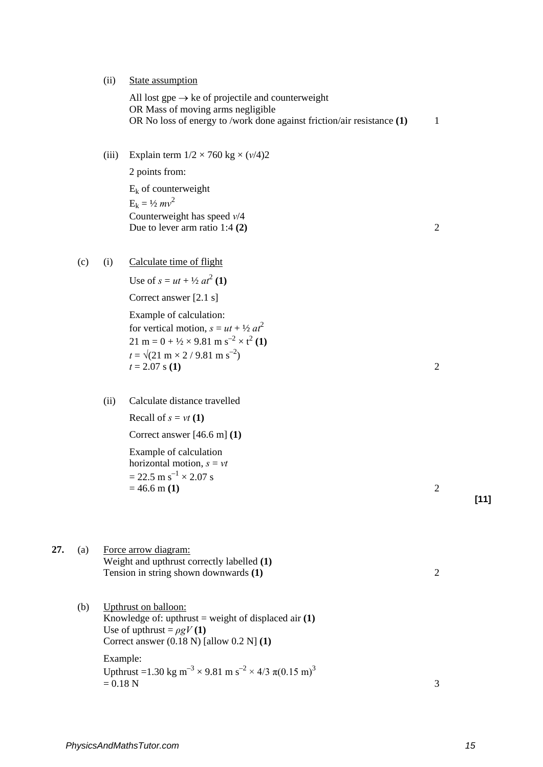| (ii) | State assumption |  |
|------|------------------|--|
|      |                  |  |

|     |            | <u>btate</u> assumption                                                                                                                                                              |                |
|-----|------------|--------------------------------------------------------------------------------------------------------------------------------------------------------------------------------------|----------------|
|     |            | All lost gpe $\rightarrow$ ke of projectile and counterweight<br>OR Mass of moving arms negligible<br>OR No loss of energy to /work done against friction/air resistance $(1)$       | $\mathbf{1}$   |
|     | (iii)      | Explain term $1/2 \times 760$ kg $\times (v/4)2$                                                                                                                                     |                |
|     |            | 2 points from:                                                                                                                                                                       |                |
|     |            | $E_k$ of counterweight                                                                                                                                                               |                |
|     |            | $E_k = \frac{1}{2}mv^2$                                                                                                                                                              |                |
|     |            | Counterweight has speed $\nu/4$<br>Due to lever arm ratio $1:4(2)$                                                                                                                   | $\overline{2}$ |
| (c) | (i)        | Calculate time of flight                                                                                                                                                             |                |
|     |            | Use of $s = ut + \frac{1}{2}at^2$ (1)                                                                                                                                                |                |
|     |            | Correct answer [2.1 s]                                                                                                                                                               |                |
|     |            | Example of calculation:                                                                                                                                                              |                |
|     |            | for vertical motion, $s = ut + \frac{1}{2}at^2$                                                                                                                                      |                |
|     |            | 21 m = $0 + \frac{1}{2} \times 9.81$ m s <sup>-2</sup> × t <sup>2</sup> (1)<br>$t = \sqrt{(21 \text{ m} \times 2 / 9.81 \text{ m s}^{-2})}$                                          |                |
|     |            | $t = 2.07$ s (1)                                                                                                                                                                     | $\overline{2}$ |
|     | (ii)       | Calculate distance travelled                                                                                                                                                         |                |
|     |            | Recall of $s = vt(1)$                                                                                                                                                                |                |
|     |            | Correct answer $[46.6 \text{ m}]$ (1)                                                                                                                                                |                |
|     |            | Example of calculation<br>horizontal motion, $s = vt$                                                                                                                                |                |
|     |            | $= 22.5$ m s <sup>-1</sup> × 2.07 s                                                                                                                                                  |                |
|     |            | $= 46.6$ m $(1)$                                                                                                                                                                     | 2              |
|     |            |                                                                                                                                                                                      |                |
| (a) |            | Force arrow diagram:<br>Weight and upthrust correctly labelled (1)                                                                                                                   |                |
|     |            | Tension in string shown downwards (1)                                                                                                                                                | $\overline{2}$ |
| (b) |            | Upthrust on balloon:<br>Knowledge of: upthrust = weight of displaced air $(1)$<br>Use of upthrust = $\rho gV(1)$<br>Correct answer $(0.18 \text{ N})$ [allow $0.2 \text{ N}$ ] $(1)$ |                |
|     | Example:   |                                                                                                                                                                                      |                |
|     | $= 0.18 N$ | Upthrust = 1.30 kg m <sup>-3</sup> × 9.81 m s <sup>-2</sup> × 4/3 $\pi$ (0.15 m) <sup>3</sup>                                                                                        | 3              |

**27.** (a)

**[11]**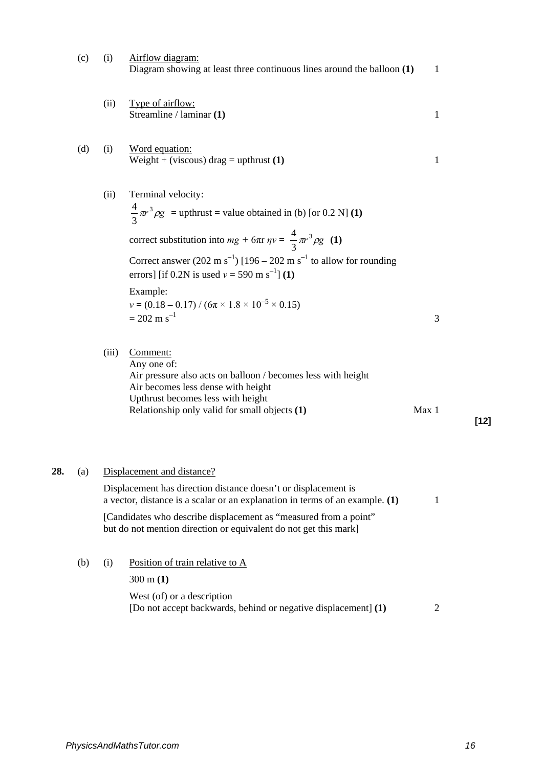|     | (c) | (i)   | Airflow diagram:<br>Diagram showing at least three continuous lines around the balloon (1)                                                                                                                                                                                                                                                                                                                                                                       | 1              |        |
|-----|-----|-------|------------------------------------------------------------------------------------------------------------------------------------------------------------------------------------------------------------------------------------------------------------------------------------------------------------------------------------------------------------------------------------------------------------------------------------------------------------------|----------------|--------|
|     |     | (ii)  | Type of airflow:<br>Streamline / laminar (1)                                                                                                                                                                                                                                                                                                                                                                                                                     | $\mathbf{1}$   |        |
|     | (d) | (i)   | Word equation:<br>Weight + (viscous) $drag = upthrust (1)$                                                                                                                                                                                                                                                                                                                                                                                                       | 1              |        |
|     |     | (ii)  | Terminal velocity:<br>$\frac{4}{3}\pi r^3 \rho g$ = upthrust = value obtained in (b) [or 0.2 N] (1)<br>correct substitution into $mg + 6\pi r \eta v = \frac{4}{3}\pi r^3 \rho g$ (1)<br>Correct answer (202 m s <sup>-1</sup> ) $[196 - 202 \text{ m s}^{-1}$ to allow for rounding<br>errors] [if 0.2N is used $v = 590$ m s <sup>-1</sup> ] (1)<br>Example:<br>$v = (0.18 - 0.17) / (6\pi \times 1.8 \times 10^{-5} \times 0.15)$<br>$= 202 \text{ m s}^{-1}$ | 3              |        |
|     |     | (iii) | Comment:<br>Any one of:<br>Air pressure also acts on balloon / becomes less with height<br>Air becomes less dense with height<br>Upthrust becomes less with height<br>Relationship only valid for small objects (1)                                                                                                                                                                                                                                              | Max 1          | $[12]$ |
| 28. | (a) |       | Displacement and distance?<br>Displacement has direction distance doesn't or displacement is<br>a vector, distance is a scalar or an explanation in terms of an example. (1)<br>[Candidates who describe displacement as "measured from a point"<br>but do not mention direction or equivalent do not get this mark]                                                                                                                                             | 1              |        |
|     | (b) | (i)   | Position of train relative to A<br>$300 \text{ m} (1)$<br>West (of) or a description<br>[Do not accept backwards, behind or negative displacement] (1)                                                                                                                                                                                                                                                                                                           | $\overline{2}$ |        |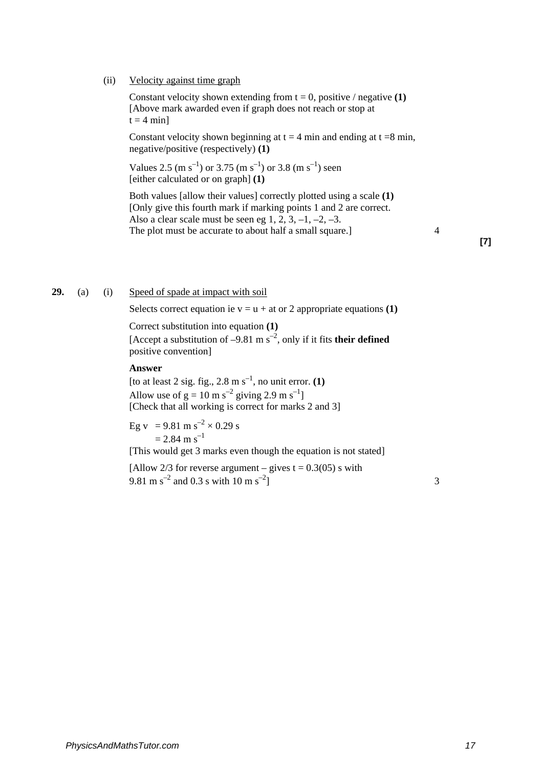(ii) Velocity against time graph

Constant velocity shown extending from  $t = 0$ , positive / negative **(1)** [Above mark awarded even if graph does not reach or stop at  $t = 4$  min]

Constant velocity shown beginning at  $t = 4$  min and ending at  $t = 8$  min, negative/positive (respectively) **(1)**

Values 2.5 (m s<sup>-1</sup>) or 3.75 (m s<sup>-1</sup>) or 3.8 (m s<sup>-1</sup>) seen [either calculated or on graph] **(1)** 

Both values [allow their values] correctly plotted using a scale **(1)** [Only give this fourth mark if marking points 1 and 2 are correct. Also a clear scale must be seen eg  $1, 2, 3, -1, -2, -3$ . The plot must be accurate to about half a small square.] 4

**[7]**

#### **29.** (a) (i) Speed of spade at impact with soil

Selects correct equation ie  $v = u + at$  or 2 appropriate equations (1)

Correct substitution into equation **(1)** [Accept a substitution of  $-9.81$  m s<sup>-2</sup>, only if it fits **their defined** positive convention]

#### **Answer**

[to at least 2 sig. fig.,  $2.8 \text{ m s}^{-1}$ , no unit error. **(1)** Allow use of  $g = 10$  m s<sup>-2</sup> giving 2.9 m s<sup>-1</sup>] [Check that all working is correct for marks 2 and 3]

Eg v = 9.81 m s–2 × 0.29 s = 2.84 m s–1

[This would get 3 marks even though the equation is not stated]

[Allow 2/3 for reverse argument – gives  $t = 0.3(05)$  s with 9.81 m s<sup>-2</sup> and 0.3 s with 10 m s<sup>-2</sup>] 3

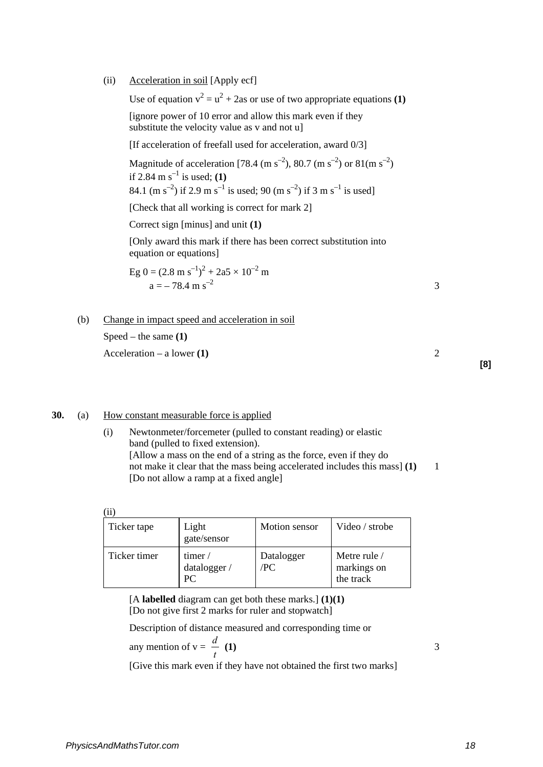(ii) Acceleration in soil [Apply ecf]

Use of equation  $v^2 = u^2 + 2as$  or use of two appropriate equations (1) [ignore power of 10 error and allow this mark even if they substitute the velocity value as v and not u] [If acceleration of freefall used for acceleration, award 0/3] Magnitude of acceleration [78.4 (m s<sup>-2</sup>), 80.7 (m s<sup>-2</sup>) or 81(m s<sup>-2</sup>) if 2.84 m s<sup>-1</sup> is used; **(1)** 84.1 (m s<sup>-2</sup>) if 2.9 m s<sup>-1</sup> is used; 90 (m s<sup>-2</sup>) if 3 m s<sup>-1</sup> is used] [Check that all working is correct for mark 2] Correct sign [minus] and unit **(1)**  [Only award this mark if there has been correct substitution into equation or equations] Eg  $0 = (2.8 \text{ m s}^{-1})^2 + 2a5 \times 10^{-2} \text{ m}$  $a = -78.4 \text{ m s}^{-2}$  3 (b) Change in impact speed and acceleration in soil Speed – the same **(1)**  Acceleration – a lower **(1)** 2

#### **30.** (a) How constant measurable force is applied

(i) Newtonmeter/forcemeter (pulled to constant reading) or elastic band (pulled to fixed extension). [Allow a mass on the end of a string as the force, even if they do not make it clear that the mass being accelerated includes this mass [1] 1 [Do not allow a ramp at a fixed angle]

(ii)

| Ticker tape  | Light<br>gate/sensor                        | Motion sensor     | Video / strobe                           |
|--------------|---------------------------------------------|-------------------|------------------------------------------|
| Ticker timer | timer $\overline{ }$<br>datalogger /<br>PC. | Datalogger<br>/PC | Metre rule /<br>markings on<br>the track |

[A **labelled** diagram can get both these marks.] **(1)(1)**  [Do not give first 2 marks for ruler and stopwatch]

Description of distance measured and corresponding time or

any mention of 
$$
v = \frac{d}{t}
$$
 (1) 3  
[Give this mark even if they have not obtained the first two marks]

**[8]**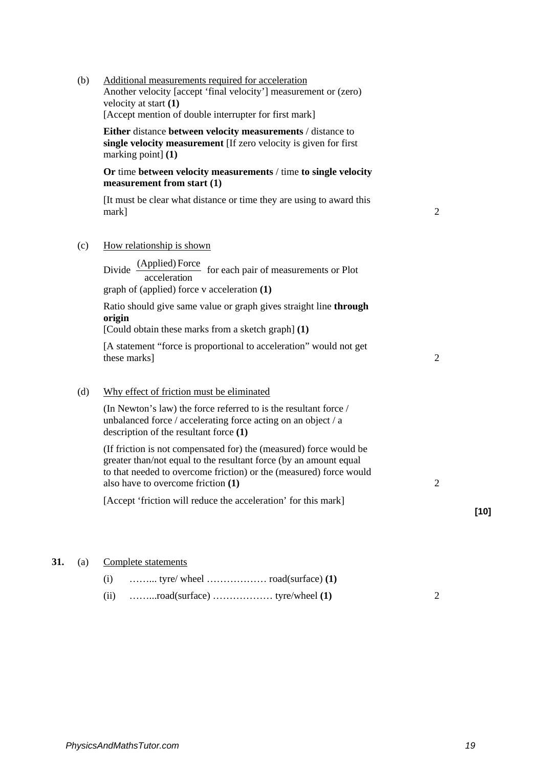| (b) | Additional measurements required for acceleration<br>Another velocity [accept 'final velocity'] measurement or (zero)<br>velocity at start (1)<br>[Accept mention of double interrupter for first mark]                                             |                |        |
|-----|-----------------------------------------------------------------------------------------------------------------------------------------------------------------------------------------------------------------------------------------------------|----------------|--------|
|     | <b>Either distance between velocity measurements / distance to</b><br>single velocity measurement [If zero velocity is given for first<br>marking point] $(1)$                                                                                      |                |        |
|     | Or time between velocity measurements / time to single velocity<br>measurement from start $(1)$                                                                                                                                                     |                |        |
|     | It must be clear what distance or time they are using to award this<br>mark]                                                                                                                                                                        | $\overline{2}$ |        |
| (c) | How relationship is shown                                                                                                                                                                                                                           |                |        |
|     | Divide (Applied) Force for each pair of measurements or Plot<br>acceleration<br>graph of (applied) force $v$ acceleration $(1)$                                                                                                                     |                |        |
|     | Ratio should give same value or graph gives straight line through<br>origin<br>[Could obtain these marks from a sketch graph] (1)                                                                                                                   |                |        |
|     | [A statement "force is proportional to acceleration" would not get<br>these marks]                                                                                                                                                                  | $\overline{2}$ |        |
| (d) | Why effect of friction must be eliminated                                                                                                                                                                                                           |                |        |
|     | (In Newton's law) the force referred to is the resultant force /<br>unbalanced force / accelerating force acting on an object / a<br>description of the resultant force $(1)$                                                                       |                |        |
|     | (If friction is not compensated for) the (measured) force would be<br>greater than/not equal to the resultant force (by an amount equal<br>to that needed to overcome friction) or the (measured) force would<br>also have to overcome friction (1) | $\overline{2}$ |        |
|     | [Accept 'friction will reduce the acceleration' for this mark]                                                                                                                                                                                      |                | $[10]$ |
| (a) | Complete statements                                                                                                                                                                                                                                 |                |        |
|     | (i)                                                                                                                                                                                                                                                 |                |        |

| и произведения на селото на представат на селото на селото на селото на селото на селото на селото на селото н |  |
|----------------------------------------------------------------------------------------------------------------|--|
|                                                                                                                |  |

 $31.$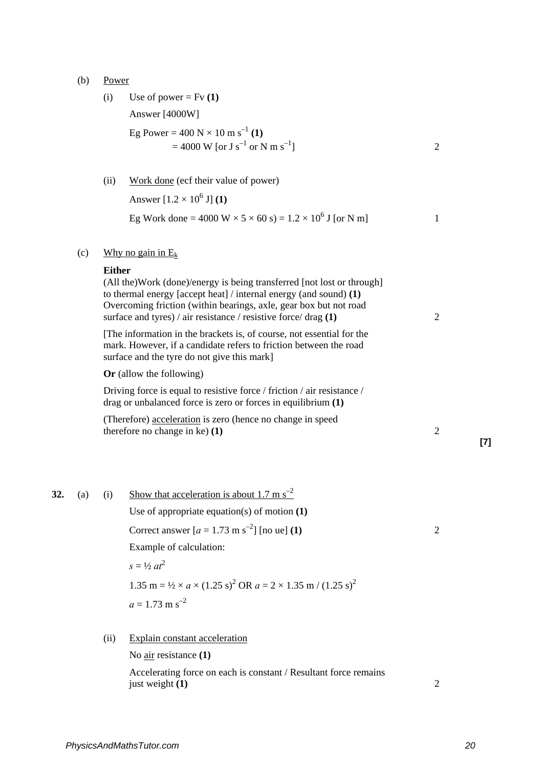(b) Power

|     | $\mathcal{U}$ | $1.0$ WCL     |                                                                                                                                                                                                                                                                                         |                |
|-----|---------------|---------------|-----------------------------------------------------------------------------------------------------------------------------------------------------------------------------------------------------------------------------------------------------------------------------------------|----------------|
|     |               | (i)           | Use of power = $Fv(1)$                                                                                                                                                                                                                                                                  |                |
|     |               |               | Answer [4000W]                                                                                                                                                                                                                                                                          |                |
|     |               |               | Eg Power = 400 N $\times$ 10 m s <sup>-1</sup> (1)<br>$= 4000 \text{ W}$ [or J s <sup>-1</sup> or N m s <sup>-1</sup> ]                                                                                                                                                                 | $\overline{2}$ |
|     |               | (ii)          | Work done (ecf their value of power)                                                                                                                                                                                                                                                    |                |
|     |               |               | Answer $[1.2 \times 10^6$ J] (1)                                                                                                                                                                                                                                                        |                |
|     |               |               | Eg Work done = 4000 W $\times$ 5 $\times$ 60 s) = 1.2 $\times$ 10 <sup>6</sup> J [or N m]                                                                                                                                                                                               | 1              |
|     | (c)           |               | Why no gain in $E_k$                                                                                                                                                                                                                                                                    |                |
|     |               | <b>Either</b> | (All the)Work (done)/energy is being transferred [not lost or through]<br>to thermal energy [accept heat] / internal energy (and sound) $(1)$<br>Overcoming friction (within bearings, axle, gear box but not road<br>surface and tyres) / air resistance / resistive force/ drag $(1)$ | $\overline{2}$ |
|     |               |               | [The information in the brackets is, of course, not essential for the<br>mark. However, if a candidate refers to friction between the road<br>surface and the tyre do not give this mark]                                                                                               |                |
|     |               |               | <b>Or</b> (allow the following)                                                                                                                                                                                                                                                         |                |
|     |               |               | Driving force is equal to resistive force / friction / air resistance /<br>drag or unbalanced force is zero or forces in equilibrium (1)                                                                                                                                                |                |
|     |               |               | (Therefore) acceleration is zero (hence no change in speed<br>therefore no change in ke $(1)$                                                                                                                                                                                           | $\overline{2}$ |
| 32. | (a)           | (i)           | Show that acceleration is about 1.7 m $\text{s}^{-2}$<br>Use of appropriate equation(s) of motion $(1)$                                                                                                                                                                                 |                |
|     |               |               | Correct answer $[a = 1.73 \text{ m s}^{-2}]$ [no ue] (1)<br>Example of calculation:                                                                                                                                                                                                     | $\sqrt{2}$     |
|     |               |               | $s = \frac{1}{2}at^2$<br>1.35 m = $\frac{1}{2} \times a \times (1.25 \text{ s})^2 \text{ OR } a = 2 \times 1.35 \text{ m} / (1.25 \text{ s})^2$<br>$a = 1.73$ m s <sup>-2</sup>                                                                                                         |                |
|     |               | (ii)          | Explain constant acceleration                                                                                                                                                                                                                                                           |                |
|     |               |               | No $\frac{\text{air}}{\text{d}t}$ resistance (1)                                                                                                                                                                                                                                        |                |
|     |               |               | Accelerating force on each is constant / Resultant force remains<br>just weight (1)                                                                                                                                                                                                     | $\overline{c}$ |

**[7]**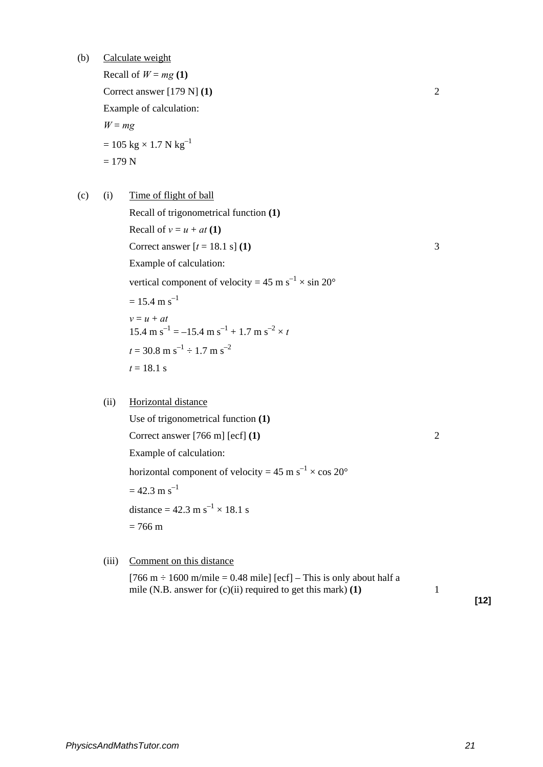(b) Calculate weight

Recall of  $W = mg(1)$ Correct answer [179 N] **(1)** 2 Example of calculation:  $W = mg$  $= 105 \text{ kg} \times 1.7 \text{ N kg}^{-1}$  $= 179 N$ 

(c) (i) Time of flight of ball

Recall of trigonometrical function **(1)** Recall of  $v = u + at(1)$ Correct answer  $[t = 18.1 \text{ s}]$  **(1)** 3 Example of calculation: vertical component of velocity =  $45 \text{ m s}^{-1} \times \sin 20^\circ$  $= 15.4$  m s<sup>-1</sup>  $v = u + at$ 15.4 m s<sup>-1</sup> = -15.4 m s<sup>-1</sup> + 1.7 m s<sup>-2</sup>  $\times t$  $t = 30.8 \text{ m s}^{-1} \div 1.7 \text{ m s}^{-2}$  $t = 18.1 s$ 

#### (ii) Horizontal distance

Use of trigonometrical function **(1)**  Correct answer [766 m] [ecf] **(1)** 2 Example of calculation: horizontal component of velocity =  $45 \text{ m s}^{-1} \times \cos 20^{\circ}$  $= 42.3$  m s<sup>-1</sup> distance =  $42.3 \text{ m s}^{-1} \times 18.1 \text{ s}$  $= 766 \text{ m}$ 

(iii) Comment on this distance

[766 m  $\div$  1600 m/mile = 0.48 mile] [ecf] – This is only about half a mile (N.B. answer for (c)(ii) required to get this mark) **(1)** 1

**[12]**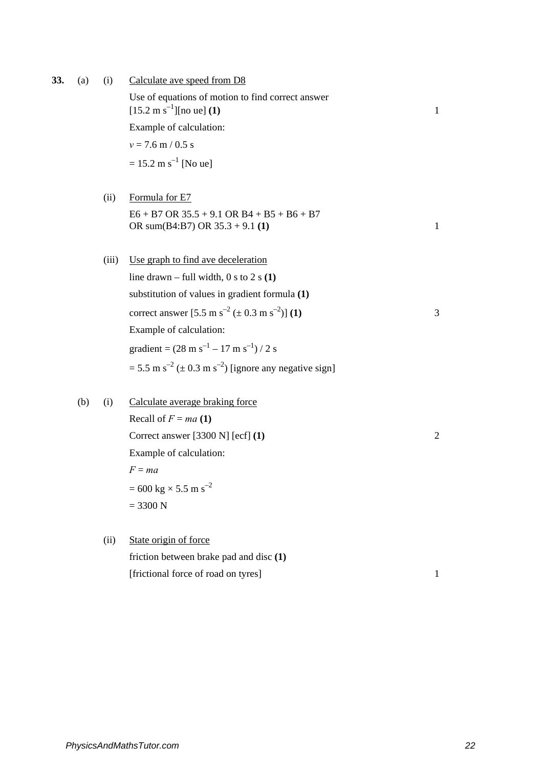**33.** (a) (i) Calculate ave speed from D8

Use of equations of motion to find correct answer  $[15.2 \text{ m s}^{-1}][\text{no ue}](1)$  1 Example of calculation:  $v = 7.6$  m / 0.5 s

 $= 15.2 \text{ m s}^{-1}$  [No ue]

- (ii) Formula for E7  $E6 + B7$  OR  $35.5 + 9.1$  OR  $B4 + B5 + B6 + B7$ OR sum(B4:B7) OR  $35.3 + 9.1$  (1) 1
- (iii) Use graph to find ave deceleration line drawn – full width, 0 s to 2 s **(1)**  substitution of values in gradient formula **(1)**  correct answer  $[5.5 \text{ m s}^{-2} (\pm 0.3 \text{ m s}^{-2})]$  (1) 3 Example of calculation: gradient =  $(28 \text{ m s}^{-1} - 17 \text{ m s}^{-1})/2 \text{ s}$  $= 5.5$  m s<sup>-2</sup> ( $\pm$  0.3 m s<sup>-2</sup>) [ignore any negative sign]
- (b) (i) Calculate average braking force Recall of  $F = ma(1)$ Correct answer [3300 N] [ecf] **(1)** 2

Example of calculation:

 $= 600 \text{ kg} \times 5.5 \text{ m s}^{-2}$  $= 3300 N$ 

 $F = ma$ 

(ii) State origin of force friction between brake pad and disc **(1)** [frictional force of road on tyres] 1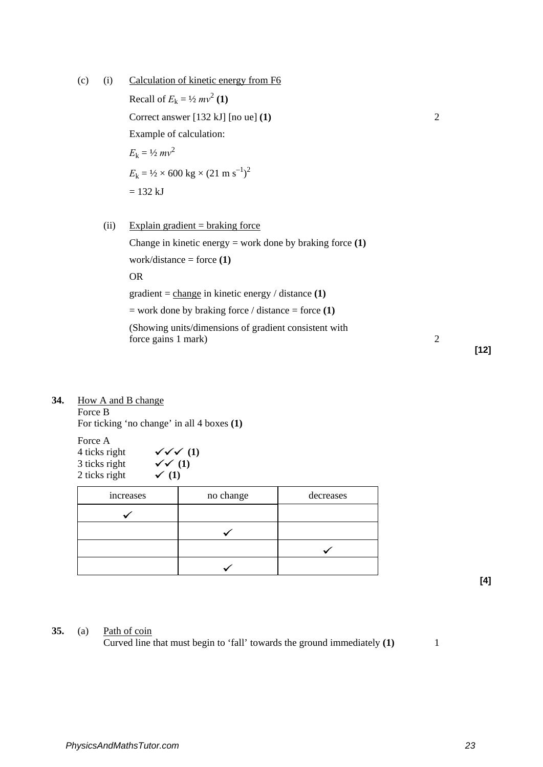- (c) (i) Calculation of kinetic energy from F6 Recall of  $E_k = \frac{1}{2} m v^2 (1)$ Correct answer [132 kJ] [no ue] **(1)** 2 Example of calculation:  $E_{\rm k} = 1/2 \ m v^2$  $E_k = 1/2 \times 600 \text{ kg} \times (21 \text{ m s}^{-1})^2$  $= 132$  kJ (ii) Explain gradient  $=$  braking force Change in kinetic energy = work done by braking force **(1)**  work/distance = force **(1)**  OR gradient = change in kinetic energy / distance **(1)**  = work done by braking force / distance = force **(1)** (Showing units/dimensions of gradient consistent with force gains 1 mark) 2
	- **[12]**

**34.** How A and B change

Force B For ticking 'no change' in all 4 boxes **(1)**

Force A 4 ticks right  $\checkmark \checkmark \checkmark$  (1)<br>3 ticks right  $\checkmark \checkmark$  (1) 3 ticks right  $\checkmark$  (1)<br>2 ticks right  $\checkmark$  (1) 2 ticks right **(1)** 

| increases | no change | decreases |
|-----------|-----------|-----------|
|           |           |           |
|           |           |           |
|           |           |           |
|           |           |           |

**[4]**

# **35.** (a) Path of coin

Curved line that must begin to 'fall' towards the ground immediately **(1)** 1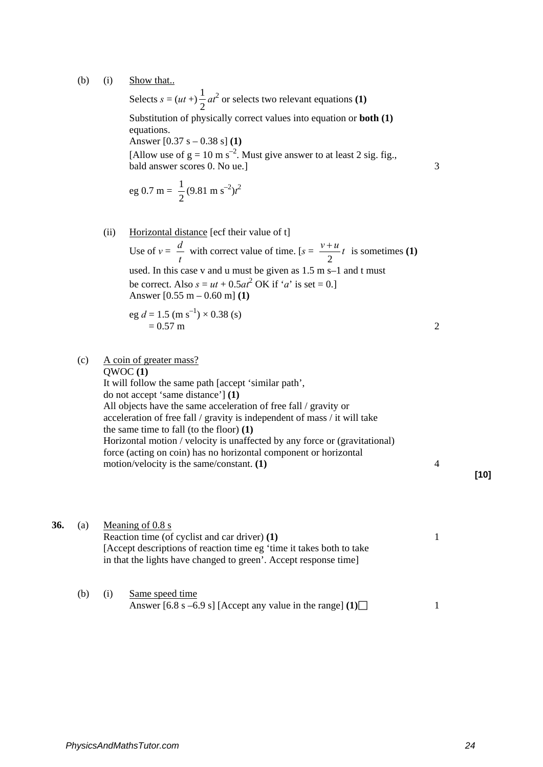(b) (i) Show that..

Selects  $s = (ut +)$  $\frac{1}{2}at^2$  or selects two relevant equations **(1)** Substitution of physically correct values into equation or **both (1)** equations. Answer [0.37 s – 0.38 s] **(1)** [Allow use of  $g = 10 \text{ m s}^{-2}$ . Must give answer to at least 2 sig. fig.,  $b$ ald answer scores 0. No ue.] 3 eg 0.7 m =  $\frac{1}{2}$ (9.81 m s<sup>-2</sup>)*t*<sup>2</sup> (ii) Horizontal distance [ecf their value of t] Use of  $v = \frac{d}{t}$  with correct value of time.  $[s = \frac{v+u}{2}t]$ 2  $\frac{+ u}{2} t$  is sometimes (1) used. In this case v and u must be given as 1.5 m s–1 and t must be correct. Also  $s = ut + 0.5at^2$  OK if '*a*' is set = 0.] Answer [0.55 m – 0.60 m] **(1)**  eg  $d = 1.5$  (m s<sup>-1</sup>) × 0.38 (s)  $= 0.57 \text{ m}$  2 (c) A coin of greater mass? QWOC **(1)** It will follow the same path [accept 'similar path', do not accept 'same distance'] **(1)** All objects have the same acceleration of free fall / gravity or acceleration of free fall / gravity is independent of mass / it will take

the same time to fall (to the floor) **(1)** Horizontal motion / velocity is unaffected by any force or (gravitational) force (acting on coin) has no horizontal component or horizontal motion/velocity is the same/constant. **(1)** 4

**[10]**

| 36. | (a) | Meaning of 0.8 s<br>Reaction time (of cyclist and car driver) (1)<br>[Accept descriptions of reaction time eg 'time it takes both to take<br>in that the lights have changed to green'. Accept response time |                                                                                |  |
|-----|-----|--------------------------------------------------------------------------------------------------------------------------------------------------------------------------------------------------------------|--------------------------------------------------------------------------------|--|
|     | (b) | (1)                                                                                                                                                                                                          | Same speed time<br>Answer [6.8 s –6.9 s] [Accept any value in the range] $(1)$ |  |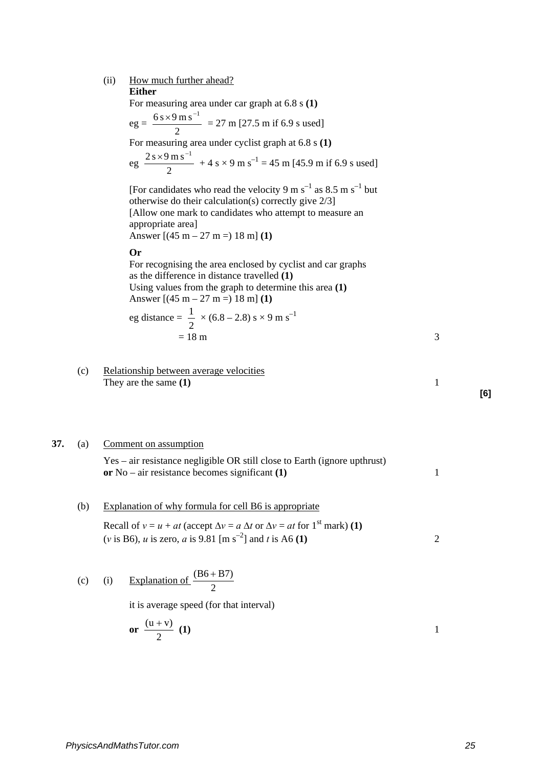#### (ii) How much further ahead?

**Either** 

For measuring area under car graph at 6.8 s **(1)** 

 $eg = \frac{cos(1)}{2}$  $\frac{6 \text{ s} \times 9 \text{ m s}^{-1}}{2}$  = 27 m [27.5 m if 6.9 s used] For measuring area under cyclist graph at 6.8 s **(1)** 

eg 
$$
\frac{2 \text{ s} \times 9 \text{ m s}^{-1}}{2} + 4 \text{ s} \times 9 \text{ m s}^{-1} = 45 \text{ m } [45.9 \text{ m if } 6.9 \text{ s used}]
$$

[For candidates who read the velocity 9 m s<sup>-1</sup> as 8.5 m s<sup>-1</sup> but otherwise do their calculation(s) correctly give 2/3] [Allow one mark to candidates who attempt to measure an appropriate area] Answer [(45 m – 27 m =) 18 m] **(1)**

#### **Or**

For recognising the area enclosed by cyclist and car graphs as the difference in distance travelled **(1)** Using values from the graph to determine this area **(1)**  Answer  $[(45 \text{ m} - 27 \text{ m} =) 18 \text{ m}]$  (1)  $\frac{1}{2}$  × (6.8 – 2.8) s × 9 m s<sup>-1</sup>

eg distance = 
$$
\frac{1}{2}
$$
 × (6.8 – 2.8) s × 9 m s<sup>-1</sup>  
= 18 m

(c) Relationship between average velocities They are the same **(1)** 1

#### **37.** (a) Comment on assumption

Yes – air resistance negligible OR still close to Earth (ignore upthrust) **or** No – air resistance becomes significant **(1)** 1

### (b) Explanation of why formula for cell B6 is appropriate

Recall of 
$$
v = u + at
$$
 (accept  $\Delta v = a \Delta t$  or  $\Delta v = at$  for 1<sup>st</sup> mark) (1)  
(*v* is B6), *u* is zero, *a* is 9.81 [m s<sup>-2</sup>] and *t* is A6 (1)

(c) (i) Explanation of 
$$
\frac{(B6 + B7)}{2}
$$

it is average speed (for that interval)

$$
or \frac{(u+v)}{2} (1)
$$

**[6]**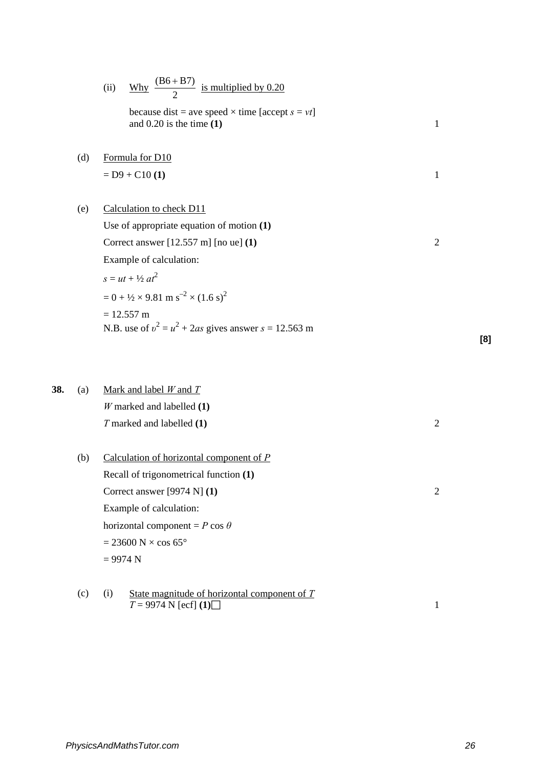|     |     | Why $\frac{(B6 + B7)}{2}$ is multiplied by 0.20<br>(ii)                                   |                |
|-----|-----|-------------------------------------------------------------------------------------------|----------------|
|     |     | because dist = ave speed $\times$ time [accept $s = vt$ ]<br>and $0.20$ is the time $(1)$ | $\mathbf{1}$   |
|     | (d) | Formula for D10                                                                           |                |
|     |     | $= D9 + C10 (1)$                                                                          | $\mathbf{1}$   |
|     | (e) | Calculation to check D11                                                                  |                |
|     |     | Use of appropriate equation of motion $(1)$                                               |                |
|     |     | Correct answer $[12.557 \text{ m}]$ [no ue] (1)                                           | $\overline{2}$ |
|     |     | Example of calculation:                                                                   |                |
|     |     | $s = ut + \frac{1}{2}at^2$                                                                |                |
|     |     | $= 0 + \frac{1}{2} \times 9.81 \text{ m s}^{-2} \times (1.6 \text{ s})^2$                 |                |
|     |     | $= 12.557$ m<br>N.B. use of $v^2 = u^2 + 2as$ gives answer $s = 12.563$ m                 |                |
|     |     |                                                                                           |                |
| 38. | (a) | Mark and label $W$ and $T$                                                                |                |
|     |     | $W$ marked and labelled $(1)$                                                             |                |
|     |     | T marked and labelled (1)                                                                 | $\overline{2}$ |
|     | (b) | Calculation of horizontal component of $P$                                                |                |
|     |     | Recall of trigonometrical function (1)                                                    |                |
|     |     | Correct answer [9974 N] (1)                                                               | $\overline{2}$ |
|     |     | Example of calculation:                                                                   |                |
|     |     | horizontal component = $P \cos \theta$                                                    |                |
|     |     | $= 23600$ N $\times$ cos 65 <sup>o</sup>                                                  |                |
|     |     | $= 9974 N$                                                                                |                |
|     |     |                                                                                           |                |
|     |     |                                                                                           |                |

(c) (i) State magnitude of horizontal component of T  

$$
T = 9974 \text{ N [ecf]} (1) \square
$$

**[8]**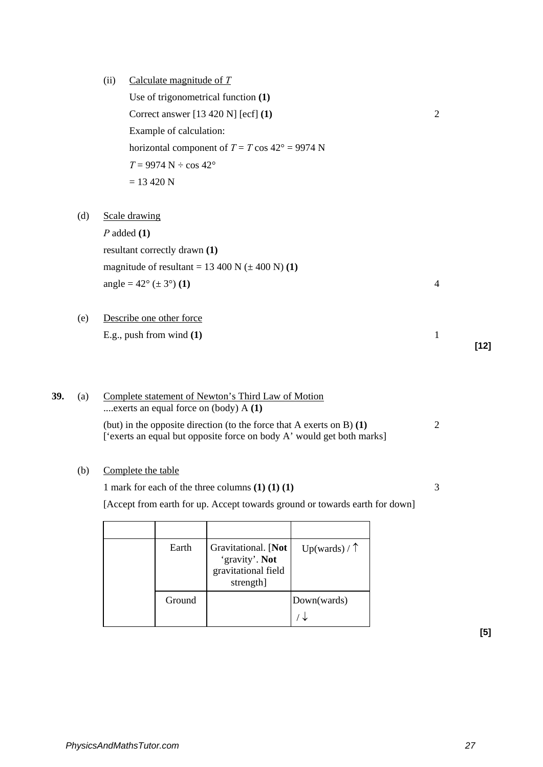Use of trigonometrical function **(1)** Correct answer [13 420 N] [ecf] **(1)** 2 Example of calculation: horizontal component of  $T = T \cos 42^\circ = 9974$  N  $T = 9974 \text{ N} \div \cos 42^{\circ}$  $= 13 420 N$ (d) Scale drawing *P* added **(1)** resultant correctly drawn **(1)** magnitude of resultant =  $13\,400\,\text{N}$  ( $\pm\,400\,\text{N}$ ) (1)  $angle = 42^{\circ} (\pm 3^{\circ}) (1)$  4 (e) Describe one other force E.g., push from wind  $(1)$  1 **[12] 39.** (a) Complete statement of Newton's Third Law of Motion ....exerts an equal force on (body) A **(1)** (but) in the opposite direction (to the force that A exerts on B) **(1)** 2 ['exerts an equal but opposite force on body A' would get both marks] (b) Complete the table 1 mark for each of the three columns **(1) (1) (1)** 3 [Accept from earth for up. Accept towards ground or towards earth for down] Earth Gravitational. [**Not** 'gravity'. **Not** gravitational field strength] Up(wards) /  $\uparrow$ Ground Down(wards)

/ ↓

(ii) Calculate magnitude of *T* 

**[5]**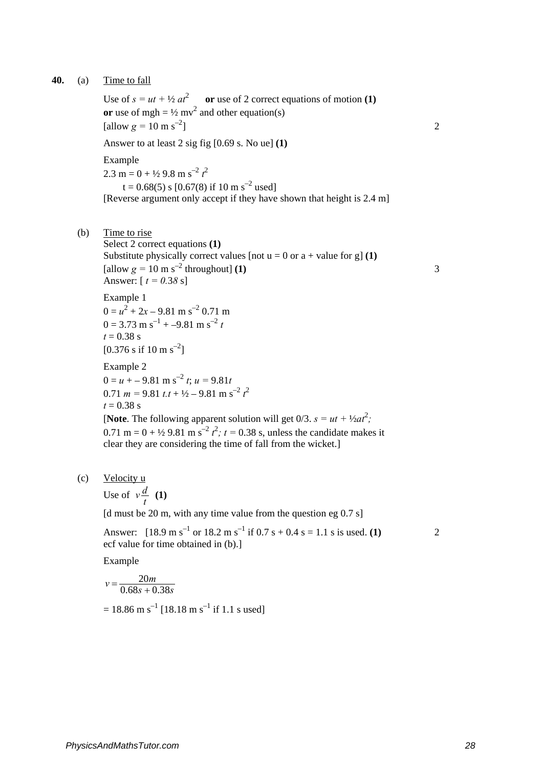#### **40.** (a) Time to fall

Use of  $s = ut + \frac{1}{2}at^2$  or use of 2 correct equations of motion (1) or use of mgh =  $\frac{1}{2}$  mv<sup>2</sup> and other equation(s)  $\text{[allow } g = 10 \text{ m s}^{-2}\text{]}$  2 Answer to at least 2 sig fig [0.69 s. No ue] **(1)**  Example 2.3 m =  $0 + \frac{1}{2}$  9.8 m s<sup>-2</sup>  $t^2$  $t = 0.68(5)$  s [0.67(8) if 10 m s<sup>-2</sup> used] [Reverse argument only accept if they have shown that height is 2.4 m] (b) Time to rise Select 2 correct equations **(1)** Substitute physically correct values  $[not u = 0 or a + value for g] (1)$  $\text{[allow } g = 10 \text{ m s}^{-2} \text{ throughout} \text{]} (1)$  3 Answer:  $[t = 0.38 \text{ s}]$ Example 1  $0 = u^2 + 2x - 9.81$  m s<sup>-2</sup> 0.71 m  $0 = 3.73 \text{ m s}^{-1}$  + –9.81 m s<sup>-2</sup> t  $t = 0.38$  s  $[0.376 \text{ s if } 10 \text{ m s}^{-2}]$ Example 2  $0 = u - 9.81 \text{ m s}^{-2} t$ ;  $u = 9.81t$ 0.71  $m = 9.81$  t.t +  $\frac{1}{2}$  – 9.81 m s<sup>-2</sup>  $t^2$  $t = 0.38$  s [Note. The following apparent solution will get  $0/3$ .  $s = ut + \frac{1}{2}at^2$ ; 0.71 m =  $0 + \frac{1}{2}$  9.81 m s<sup>-2</sup>  $t^2$ ; t = 0.38 s, unless the candidate makes it clear they are considering the time of fall from the wicket.]

(c) Velocity u

Use of  $v \frac{d}{t}$  (1)

[d must be 20 m, with any time value from the question eg  $0.7 \text{ s}$ ]

Answer:  $[18.9 \text{ m s}^{-1} \text{ or } 18.2 \text{ m s}^{-1} \text{ if } 0.7 \text{ s} + 0.4 \text{ s} = 1.1 \text{ s is used.}$  (1) 2 ecf value for time obtained in (b).]

Example

$$
v = \frac{20m}{0.68s + 0.38s}
$$
  
= 18.86 m s<sup>-1</sup> [18.18 m s<sup>-1</sup> if 1.1 s used]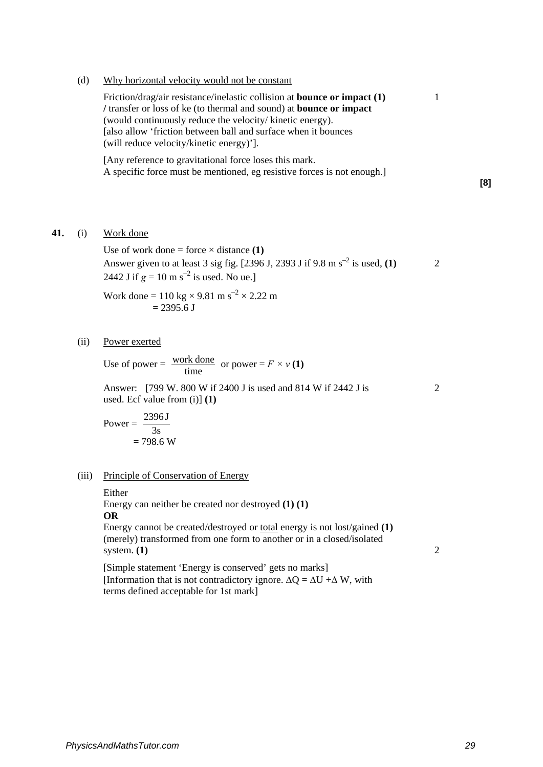(d) Why horizontal velocity would not be constant

Friction/drag/air resistance/inelastic collision at **bounce or impact (1)** 1 **/** transfer or loss of ke (to thermal and sound) at **bounce or impact** (would continuously reduce the velocity/ kinetic energy). [also allow 'friction between ball and surface when it bounces (will reduce velocity/kinetic energy)'].

[Any reference to gravitational force loses this mark. A specific force must be mentioned, eg resistive forces is not enough.]

**41.** (i) Work done

Use of work done = force  $\times$  distance **(1)** Answer given to at least 3 sig fig.  $[2396 \text{ J}, 2393 \text{ J} \text{ if } 9.8 \text{ m s}^{-2} \text{ is used}, (1)$  2 2442 J if  $g = 10 \text{ m s}^{-2}$  is used. No ue.]

Work done =  $110 \text{ kg} \times 9.81 \text{ m s}^{-2} \times 2.22 \text{ m}$  $= 2395.6$  J

(ii) Power exerted

Use of power =  $\frac{\text{work done}}{\text{time}}$  or power =  $F \times v$  (1)

Answer: [799 W. 800 W if 2400 J is used and 814 W if 2442 J is 2 used. Ecf value from (i)] **(1)**

**[8]**

Power =  $\frac{255x}{3s}$ 2396 J  $= 798.6 W$ 

#### (iii) Principle of Conservation of Energy

Either Energy can neither be created nor destroyed **(1) (1) OR** Energy cannot be created/destroyed or total energy is not lost/gained **(1)** (merely) transformed from one form to another or in a closed/isolated

system. **(1)** 2

[Simple statement 'Energy is conserved' gets no marks] [Information that is not contradictory ignore.  $\Delta Q = \Delta U + \Delta W$ , with terms defined acceptable for 1st mark]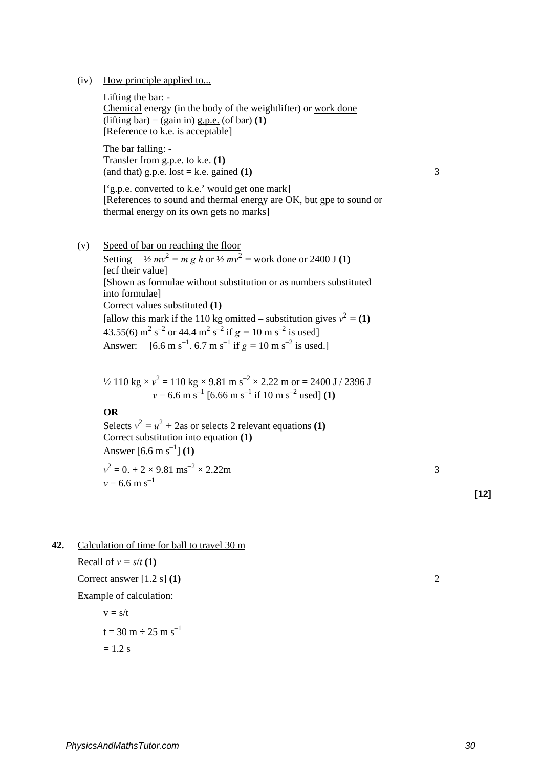(iv) How principle applied to...

Lifting the bar: - Chemical energy (in the body of the weightlifter) or work done  $(lifting bar) = (gain in) g.p.e. (of bar) (1)$ [Reference to k.e. is acceptable]

The bar falling: - Transfer from g.p.e. to k.e. **(1)** (and that) g.p.e. lost = k.e. gained  $(1)$  3

['g.p.e. converted to k.e.' would get one mark] [References to sound and thermal energy are OK, but gpe to sound or thermal energy on its own gets no marks]

(v) Speed of bar on reaching the floor

Setting  $\frac{1}{2}mv^2 = m g h$  or  $\frac{1}{2}mv^2 = w$  or k done or 2400 J (1) [ecf their value] [Shown as formulae without substitution or as numbers substituted into formulae] Correct values substituted **(1)** [allow this mark if the 110 kg omitted – substitution gives  $v^2 = (1)$ 43.55(6)  $\text{m}^2 \text{ s}^{-2}$  or 44.4  $\text{m}^2 \text{ s}^{-2}$  if  $g = 10 \text{ m s}^{-2}$  is used] Answer:  $[6.6 \text{ m s}^{-1} \cdot 6.7 \text{ m s}^{-1} \text{ if } g = 10 \text{ m s}^{-2} \text{ is used.}]$ 

$$
\frac{1}{2}110 \text{ kg} \times v^2 = 110 \text{ kg} \times 9.81 \text{ m s}^{-2} \times 2.22 \text{ m or} = 2400 \text{ J} / 2396 \text{ J}
$$

$$
v = 6.6 \text{ m s}^{-1} \text{ [6.66 m s}^{-1} \text{ if } 10 \text{ m s}^{-2} \text{ used }]
$$
 (1)

#### **OR**

Selects  $v^2 = u^2 + 2$ as or selects 2 relevant equations **(1)** Correct substitution into equation **(1)** Answer  $[6.6 \text{ m s}^{-1}] (1)$  $v^2 = 0. + 2 \times 9.81 \text{ ms}^{-2} \times 2.22 \text{m}$  3  $v = 6.6$  m s<sup>-1</sup>

**[12]**

**42.** Calculation of time for ball to travel 30 m

Recall of  $v = s/t$  (1) Correct answer [1.2 s] **(1)** 2 Example of calculation:

$$
v = s/t
$$
  
t = 30 m ÷ 25 m s<sup>-1</sup>  
= 1.2 s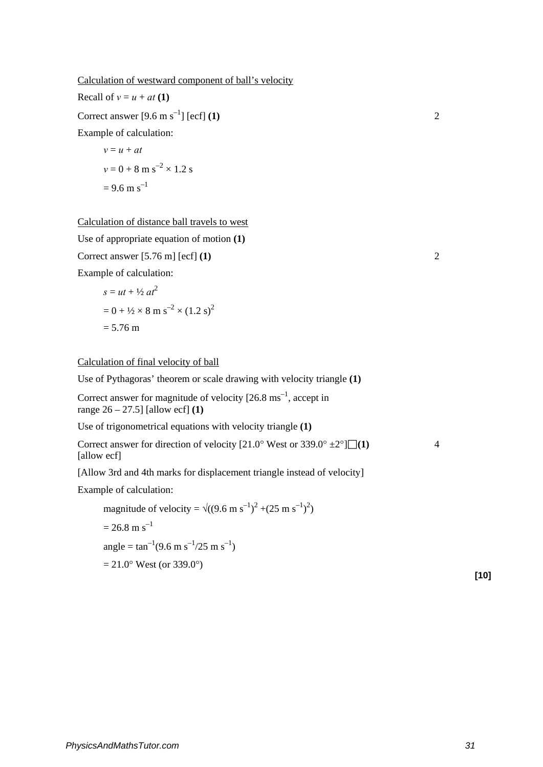Calculation of westward component of ball's velocity

Recall of  $v = u + at(1)$ 

Correct answer  $[9.6 \text{ m s}^{-1}]$  [ecf] **(1)** 2

Example of calculation:

$$
v = u + at
$$
  

$$
v = 0 + 8 \text{ m s}^{-2} \times 1.2 \text{ s}
$$
  
= 9.6 m s<sup>-1</sup>

Calculation of distance ball travels to west

Use of appropriate equation of motion **(1)**

Correct answer [5.76 m] [ecf] **(1)** 2

Example of calculation:

$$
s = ut + \frac{1}{2} at^{2}
$$
  
= 0 + \frac{1}{2} \times 8 \text{ m s}^{-2} \times (1.2 \text{ s})^{2}  
= 5.76 \text{ m}

#### Calculation of final velocity of ball

Use of Pythagoras' theorem or scale drawing with velocity triangle **(1)**

Correct answer for magnitude of velocity  $[26.8 \text{ ms}^{-1}]$ , accept in range 26 – 27.5] [allow ecf] **(1)**

Use of trigonometrical equations with velocity triangle **(1)**

Correct answer for direction of velocity  $[21.0^\circ$  West or  $339.0^\circ \pm 2^\circ$   $\Box(1)$  4 [allow ecf]

[Allow 3rd and 4th marks for displacement triangle instead of velocity]

Example of calculation:

magnitude of velocity =  $\sqrt{(9.6 \text{ m s}^{-1})^2 + (25 \text{ m s}^{-1})^2}$ 

= 26.8 m s–1 angle = tan–1(9.6 m s–1/25 m s–1) = 21.0° West (or 339.0°)

**[10]**

*PhysicsAndMathsTutor.com 31*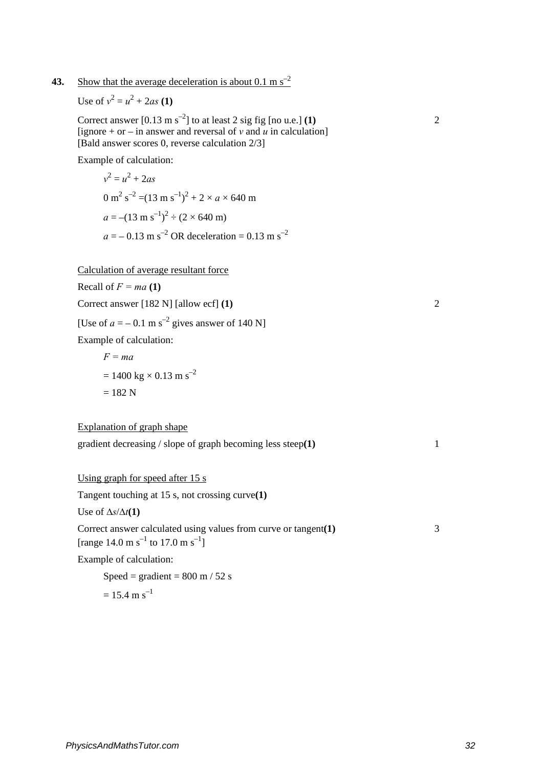**43.** Show that the average deceleration is about  $0.1 \text{ m s}^{-2}$ 

Use of  $v^2 = u^2 + 2as(1)$ 

Correct answer  $[0.13 \text{ m s}^{-2}]$  to at least 2 sig fig  $[\text{no u.e.}]$  **(1)** 2 [ignore + or – in answer and reversal of  $\nu$  and  $\overline{u}$  in calculation] [Bald answer scores 0, reverse calculation 2/3]

Example of calculation:

 $v^2 = u^2 + 2as$  $0 \text{ m}^2 \text{ s}^{-2} = (13 \text{ m s}^{-1})^2 + 2 \times a \times 640 \text{ m}$  $a = -(13 \text{ m s}^{-1})^2 \div (2 \times 640 \text{ m})$  $a = -0.13$  m s<sup>-2</sup> OR deceleration = 0.13 m s<sup>-2</sup>

Calculation of average resultant force

Recall of  $F = ma(1)$ 

Correct answer [182 N] [allow ecf] **(1)** 2

[Use of  $a = -0.1$  m s<sup>-2</sup> gives answer of 140 N]

Example of calculation:

*F = ma*  $= 1400 \text{ kg} \times 0.13 \text{ m s}^{-2}$  $= 182 N$ 

Explanation of graph shape gradient decreasing / slope of graph becoming less steep**(1)** 1 Using graph for speed after 15 s Tangent touching at 15 s, not crossing curve**(1)** Use of ∆*s*/∆*t***(1)** Correct answer calculated using values from curve or tangent**(1)** 3 [range 14.0 m s<sup>-1</sup> to 17.0 m s<sup>-1</sup>] Example of calculation: Speed = gradient =  $800 \text{ m}$  /  $52 \text{ s}$ 

 $= 15.4$  m s<sup>-1</sup>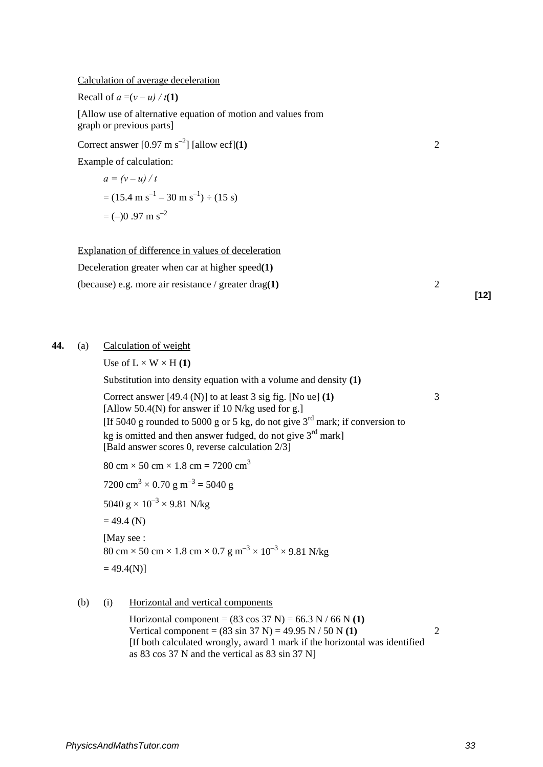Calculation of average deceleration

Recall of  $a = (v - u) / t(1)$ 

[Allow use of alternative equation of motion and values from graph or previous parts]

Correct answer  $[0.97 \text{ m s}^{-2}]$  [allow ecf](1) 2

Example of calculation:

$$
a = (v - u) / t
$$
  
= (15.4 m s<sup>-1</sup> – 30 m s<sup>-1</sup>) ÷ (15 s)  
= (-)0.97 m s<sup>-2</sup>

Explanation of difference in values of deceleration Deceleration greater when car at higher speed**(1)**

(because) e.g. more air resistance / greater drag**(1)** 2

**[12]**

# **44.** (a) Calculation of weight

Use of  $L \times W \times H(1)$ 

Substitution into density equation with a volume and density **(1)**

Correct answer [49.4 (N)] to at least 3 sig fig. [No ue] **(1)** 3 [Allow 50.4(N) for answer if 10 N/kg used for g.] [If 5040 g rounded to 5000 g or 5 kg, do not give  $3<sup>rd</sup>$  mark; if conversion to kg is omitted and then answer fudged, do not give  $3<sup>rd</sup>$  mark] [Bald answer scores 0, reverse calculation 2/3]

80 cm  $\times$  50 cm  $\times$  1.8 cm = 7200 cm<sup>3</sup>

7200 cm<sup>3</sup>  $\times$  0.70 g m<sup>-3</sup> = 5040 g

5040 g  $\times$  10<sup>-3</sup>  $\times$  9.81 N/kg

 $= 49.4$  (N)

[May see : 80 cm  $\times$  50 cm  $\times$  1.8 cm  $\times$  0.7 g m<sup>-3</sup>  $\times$  10<sup>-3</sup>  $\times$  9.81 N/kg  $= 49.4(N)$ ]

#### (b) (i) Horizontal and vertical components

Horizontal component =  $(83 \cos 37 \text{ N}) = 66.3 \text{ N} / 66 \text{ N}$  (1) Vertical component =  $(83 \sin 37 \text{ N}) = 49.95 \text{ N} / 50 \text{ N} (1)$  2 [If both calculated wrongly, award 1 mark if the horizontal was identified as 83 cos 37 N and the vertical as 83 sin 37 N]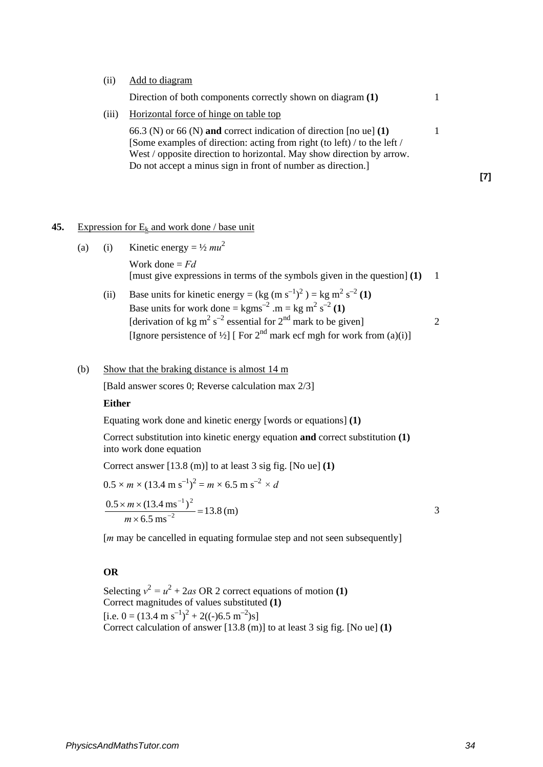(ii) Add to diagram

Direction of both components correctly shown on diagram **(1)** 1

(iii) Horizontal force of hinge on table top

66.3 (N) or 66 (N) **and** correct indication of direction [no ue] **(1)** 1 [Some examples of direction: acting from right (to left) / to the left / West / opposite direction to horizontal. May show direction by arrow. Do not accept a minus sign in front of number as direction.

#### **45.** Expression for  $E_k$  and work done / base unit

- (a) (i) Kinetic energy =  $\frac{1}{2}mu^2$ Work done = *Fd* [must give expressions in terms of the symbols given in the question] **(1)** 1
	- (ii) Base units for kinetic energy =  $(\text{kg (m s<sup>-1</sup>)<sup>2</sup>) = \text{kg m}<sup>2</sup> s<sup>-2</sup> (1)$ Base units for work done =  $kgms^{-2}$  .m =  $kg m^2 s^{-2} (1)$ [derivation of kg m<sup>2</sup> s<sup>-2</sup> essential for  $2<sup>nd</sup>$  mark to be given] 2 [Ignore persistence of  $\frac{1}{2}$ ] [ For  $2^{nd}$  mark ecf mgh for work from (a)(i)]

#### (b) Show that the braking distance is almost  $14 \text{ m}$

[Bald answer scores 0; Reverse calculation max 2/3]

#### **Either**

Equating work done and kinetic energy [words or equations] **(1)**

Correct substitution into kinetic energy equation **and** correct substitution **(1)** into work done equation

Correct answer [13.8 (m)] to at least 3 sig fig. [No ue] **(1)**

$$
0.5 \times m \times (13.4 \text{ m s}^{-1})^2 = m \times 6.5 \text{ m s}^{-2} \times d
$$
  

$$
\frac{0.5 \times m \times (13.4 \text{ m s}^{-1})^2}{m \times 6.5 \text{ m s}^{-2}} = 13.8 \text{ (m)}
$$

[*m* may be cancelled in equating formulae step and not seen subsequently]

# **OR**

Selecting  $v^2 = u^2 + 2as \text{ OR } 2$  correct equations of motion **(1)** Correct magnitudes of values substituted **(1)** [i.e. 0 = (13.4 m s<sup>-1</sup>)<sup>2</sup> + 2((-)6.5 m<sup>-2</sup>)s] Correct calculation of answer [13.8 (m)] to at least 3 sig fig. [No ue] **(1)**

**[7]**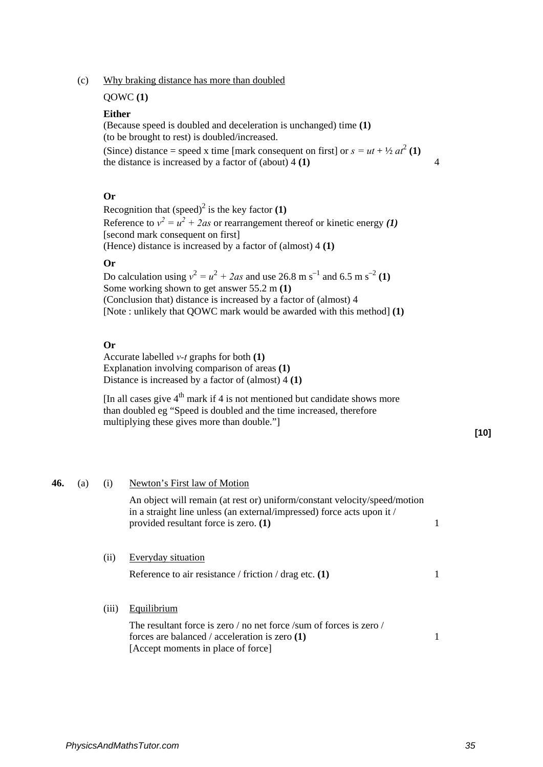(c) Why braking distance has more than doubled

#### QOWC **(1)**

#### **Either**

(Because speed is doubled and deceleration is unchanged) time **(1)** (to be brought to rest) is doubled/increased. (Since) distance = speed x time [mark consequent on first] or  $s = ut + \frac{1}{2}at^2$  (1) the distance is increased by a factor of (about) 4 **(1)** 4

#### **Or**

Recognition that  $(speed)^2$  is the key factor  $(1)$ Reference to  $v^2 = u^2 + 2as$  or rearrangement thereof or kinetic energy (1) [second mark consequent on first] (Hence) distance is increased by a factor of (almost) 4 **(1)**

#### **Or**

Do calculation using  $v^2 = u^2 + 2as$  and use 26.8 m s<sup>-1</sup> and 6.5 m s<sup>-2</sup> (1) Some working shown to get answer 55.2 m **(1)** (Conclusion that) distance is increased by a factor of (almost) 4 [Note : unlikely that QOWC mark would be awarded with this method] **(1)**

#### **Or**

Accurate labelled *v-t* graphs for both **(1)** Explanation involving comparison of areas **(1)** Distance is increased by a factor of (almost) 4 **(1)**

[In all cases give  $4<sup>th</sup>$  mark if 4 is not mentioned but candidate shows more than doubled eg "Speed is doubled and the time increased, therefore multiplying these gives more than double."]

#### **[10]**

# **46.** (a) (i) Newton's First law of Motion An object will remain (at rest or) uniform/constant velocity/speed/motion in a straight line unless (an external/impressed) force acts upon it / provided resultant force is zero. **(1)** 1 (ii) Everyday situation Reference to air resistance / friction / drag etc. **(1)** 1 (iii) Equilibrium The resultant force is zero / no net force /sum of forces is zero / forces are balanced / acceleration is zero **(1)** 1 [Accept moments in place of force]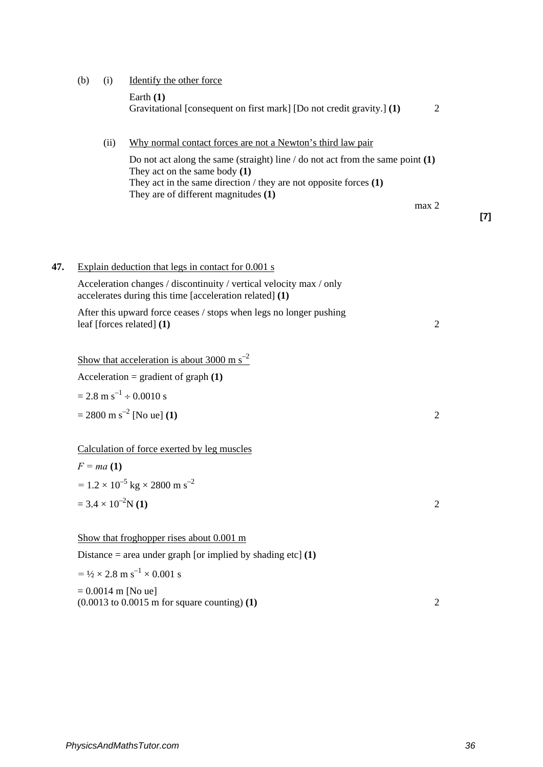|     | (b)                                         | (i)         | Identify the other force                                                                                                                                                                   |                  |       |
|-----|---------------------------------------------|-------------|--------------------------------------------------------------------------------------------------------------------------------------------------------------------------------------------|------------------|-------|
|     |                                             |             | Earth $(1)$                                                                                                                                                                                |                  |       |
|     |                                             |             | Gravitational [consequent on first mark] [Do not credit gravity.] (1)                                                                                                                      | $\mathfrak{2}$   |       |
|     |                                             | (ii)        | Why normal contact forces are not a Newton's third law pair                                                                                                                                |                  |       |
|     |                                             |             | Do not act along the same (straight) line / do not act from the same point $(1)$<br>They act on the same body $(1)$<br>They act in the same direction / they are not opposite forces $(1)$ |                  |       |
|     |                                             |             | They are of different magnitudes (1)                                                                                                                                                       | max <sub>2</sub> |       |
|     |                                             |             |                                                                                                                                                                                            |                  | $[7]$ |
|     |                                             |             |                                                                                                                                                                                            |                  |       |
| 47. |                                             |             | Explain deduction that legs in contact for 0.001 s                                                                                                                                         |                  |       |
|     |                                             |             |                                                                                                                                                                                            |                  |       |
|     |                                             |             | Acceleration changes / discontinuity / vertical velocity max / only<br>accelerates during this time [acceleration related] (1)                                                             |                  |       |
|     |                                             |             | After this upward force ceases / stops when legs no longer pushing                                                                                                                         |                  |       |
|     | leaf [forces related] (1)<br>$\overline{2}$ |             |                                                                                                                                                                                            |                  |       |
|     |                                             |             | Show that acceleration is about 3000 m $\rm s^{-2}$                                                                                                                                        |                  |       |
|     |                                             |             | Acceleration = gradient of graph $(1)$                                                                                                                                                     |                  |       |
|     |                                             |             | $= 2.8 \text{ m s}^{-1} \div 0.0010 \text{ s}$                                                                                                                                             |                  |       |
|     |                                             |             | $= 2800 \text{ m s}^{-2}$ [No ue] (1)                                                                                                                                                      | $\overline{2}$   |       |
|     |                                             |             |                                                                                                                                                                                            |                  |       |
|     |                                             |             | Calculation of force exerted by leg muscles                                                                                                                                                |                  |       |
|     |                                             | $F = ma(1)$ |                                                                                                                                                                                            |                  |       |
|     |                                             |             | $= 1.2 \times 10^{-5}$ kg $\times 2800$ m s <sup>-2</sup>                                                                                                                                  |                  |       |
|     |                                             |             | $= 3.4 \times 10^{-2} N(1)$                                                                                                                                                                | $\overline{2}$   |       |
|     |                                             |             | Show that froghopper rises about $0.001 \text{ m}$                                                                                                                                         |                  |       |
|     |                                             |             | Distance = area under graph [or implied by shading etc] $(1)$                                                                                                                              |                  |       |
|     |                                             |             | $=$ 1/2 $\times$ 2.8 m s <sup>-1</sup> $\times$ 0.001 s                                                                                                                                    |                  |       |
|     |                                             |             | $= 0.0014$ m [No ue]                                                                                                                                                                       |                  |       |
|     |                                             |             |                                                                                                                                                                                            |                  |       |

(0.0013 to 0.0015 m for square counting) **(1)** 2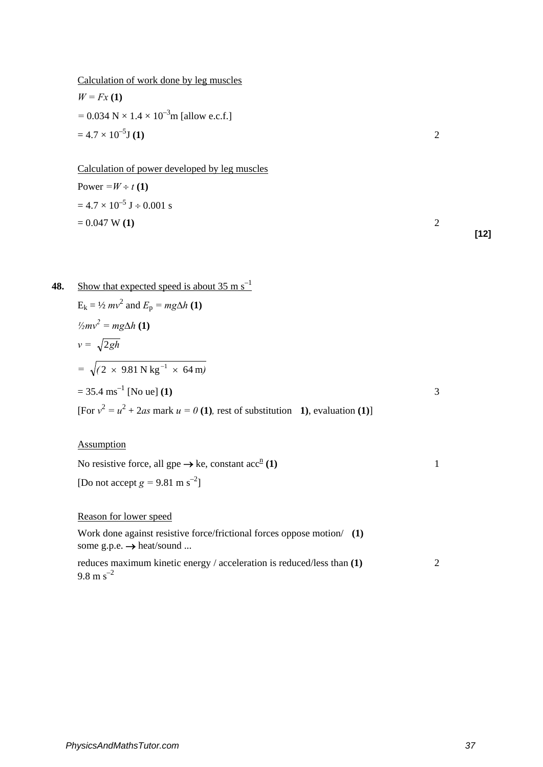Calculation of work done by leg muscles  $W = Fx(1)$  $= 0.034$  N  $\times$  1.4  $\times$  10<sup>-3</sup>m [allow e.c.f.]  $= 4.7 \times 10^{-5}$ **J** (1)  $\hspace{1cm}$  2 Calculation of power developed by leg muscles Power  $=W \div t(1)$  $= 4.7 \times 10^{-5}$  J ÷ 0.001 s  $= 0.047 \text{ W (1)}$  2 **[12] 48.** Show that expected speed is about  $35 \text{ m s}^{-1}$  $E_k = \frac{1}{2} m v^2$  and  $E_p = mg \Delta h$  (1) *½mv2 = mg*∆*h* **(1)**  $v = \sqrt{2gh}$  $= \sqrt{(2 \times 9.81 \text{ N kg}^{-1} \times 64 \text{ m})}$  $= 35.4 \text{ ms}^{-1}$  [No ue] (1)  $\qquad 3$ [For  $v^2 = u^2 + 2as$  mark  $u = 0$  (1), rest of substitution 1), evaluation (1)] **Assumption** No resistive force, all gpe  $\rightarrow$  ke, constant acc<sup>n</sup> (1) <sup>1</sup> [Do not accept  $g = 9.81 \text{ m s}^{-2}$ ] Reason for lower speed Work done against resistive force/frictional forces oppose motion/ **(1)** some g.p.e. → heat/sound ... reduces maximum kinetic energy / acceleration is reduced/less than **(1)** 2  $9.8 \text{ m s}^{-2}$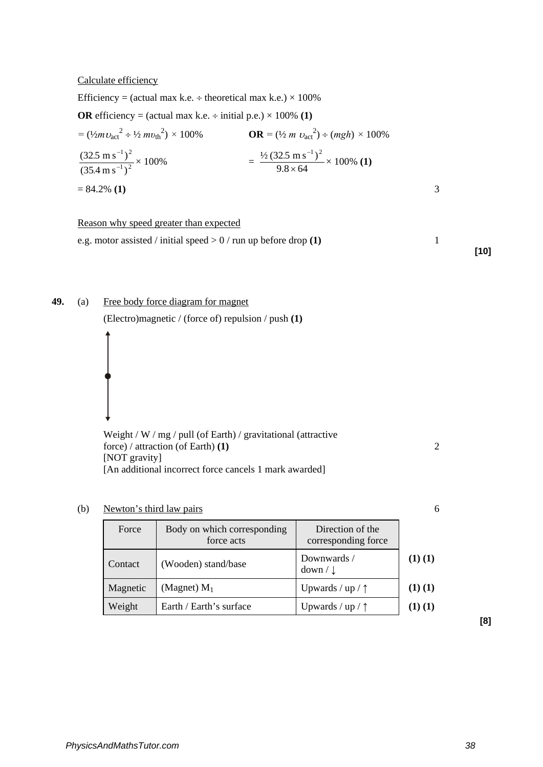### Calculate efficiency

Efficiency = (actual max k.e.  $\div$  theoretical max k.e.)  $\times$  100%

**OR** efficiency = (actual max k.e.  $\div$  initial p.e.)  $\times$  100% (1)

$$
= (\frac{1}{2}m v_{\text{act}}^2 \div \frac{1}{2} m v_{\text{th}}^2) \times 100\%
$$
\n
$$
OR = (\frac{1}{2} m v_{\text{act}}^2) \div (mgh) \times 100\%
$$
\n
$$
\frac{(32.5 \text{ m s}^{-1})^2}{(35.4 \text{ m s}^{-1})^2} \times 100\%
$$
\n
$$
= \frac{\frac{1}{2}(32.5 \text{ m s}^{-1})^2}{9.8 \times 64} \times 100\%
$$
\n
$$
= 84.2\%
$$
\n
$$
(1)
$$
\n
$$
= 84.2\%
$$

### Reason why speed greater than expected

e.g. motor assisted / initial speed  $> 0$  / run up before drop (1) 1

**[10]**

**49.** (a) Free body force diagram for magnet

(Electro)magnetic / (force of) repulsion / push **(1)**

Weight / W / mg / pull (of Earth) / gravitational (attractive force) / attraction (of Earth) **(1)** 2 [NOT gravity] [An additional incorrect force cancels 1 mark awarded]

### (b) Newton's third law pairs 6

| Force    | Body on which corresponding<br>force acts | Direction of the<br>corresponding force |             |
|----------|-------------------------------------------|-----------------------------------------|-------------|
| Contact  | (Wooden) stand/base                       | Downwards /<br>$down / \downarrow$      | (1)(1)      |
| Magnetic | (Magnet) $M_1$                            | Upwards / up / $\uparrow$               | $(1)$ $(1)$ |
| Weight   | Earth / Earth's surface                   | Upwards / up / $\uparrow$               | $(1)$ $(1)$ |

**[8]**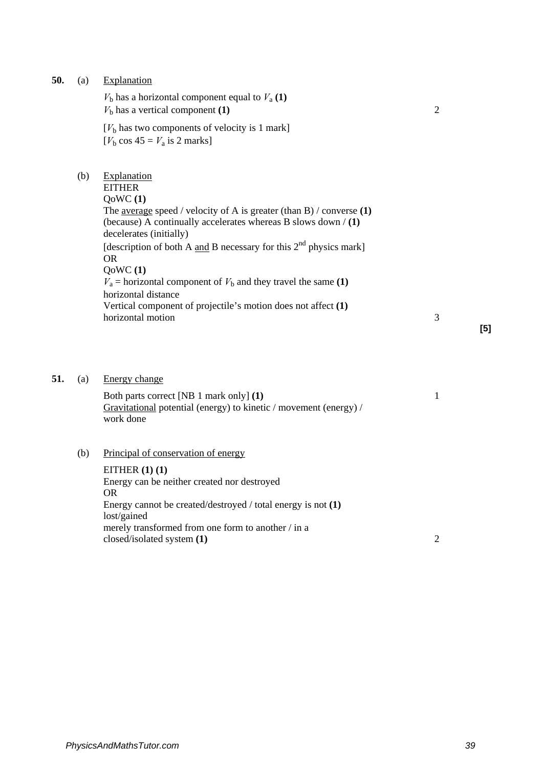### **50.** (a) Explanation

 $V<sub>b</sub>$  has a horizontal component equal to  $V<sub>a</sub>$  **(1)**  $V<sub>b</sub>$  has a vertical component **(1)** 2

 [*V*<sup>b</sup> has two components of velocity is 1 mark]  $[V_b \cos 45 = V_a \text{ is } 2 \text{ marks}]$ 

### (b) Explanation

**EITHER** QoWC **(1)**  The average speed / velocity of A is greater (than B) / converse **(1)**  (because) A continually accelerates whereas B slows down / **(1)**  decelerates (initially) [description of both A and B necessary for this  $2<sup>nd</sup>$  physics mark] OR QoWC **(1)**   $V_a$  = horizontal component of  $V_b$  and they travel the same **(1)** horizontal distance Vertical component of projectile's motion does not affect **(1)**  horizontal motion 3

**[5]**

#### **51.** (a) Energy change

Both parts correct [NB 1 mark only] **(1)** 1 Gravitational potential (energy) to kinetic / movement (energy) / work done

### (b) Principal of conservation of energy

EITHER **(1) (1)**  Energy can be neither created nor destroyed OR Energy cannot be created/destroyed / total energy is not **(1)**  lost/gained merely transformed from one form to another / in a closed/isolated system **(1)** 2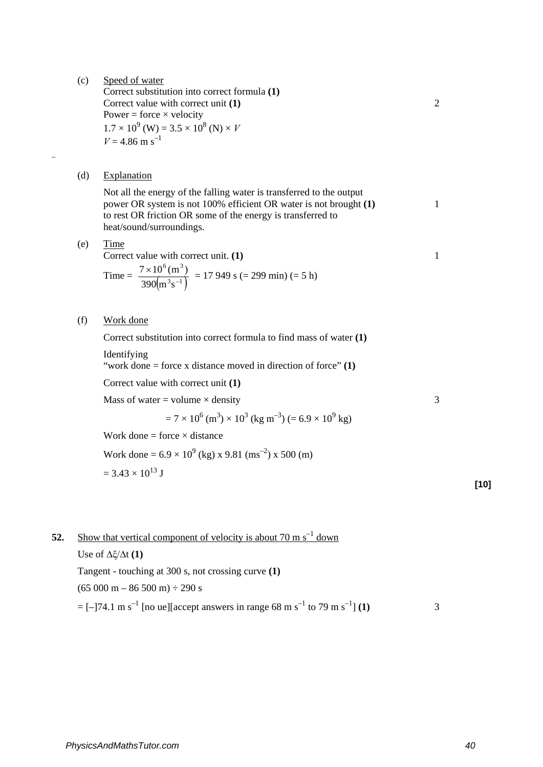- (c) Speed of water Correct substitution into correct formula **(1)**  Correct value with correct unit **(1)** 2 Power = force  $\times$  velocity  $1.7 \times 10^9$  (W) =  $3.5 \times 10^8$  (N)  $\times V$  $V = 4.86$  m s<sup>-1</sup>
- (d) Explanation

Not all the energy of the falling water is transferred to the output power OR system is not 100% efficient OR water is not brought **(1)** 1 to rest OR friction OR some of the energy is transferred to heat/sound/surroundings.

(e) Time

–

Correct value with correct unit. **(1)** 1

Time = 
$$
\frac{7 \times 10^6 \text{(m}^3)}{390 \text{(m}^3 \text{s}^{-1})}
$$
 = 17 949 s (= 299 min) (= 5 h)

(f) Work done

Correct substitution into correct formula to find mass of water **(1)**

Identifying

"work done = force x distance moved in direction of force" **(1)**

Correct value with correct unit **(1)**

Mass of water = volume  $\times$  density 3

$$
= 7 \times 10^6 \, (\text{m}^3) \times 10^3 \, (\text{kg m}^{-3}) \, (= 6.9 \times 10^9 \, \text{kg})
$$

Work done = force  $\times$  distance

Work done = 
$$
6.9 \times 10^9
$$
 (kg) x 9.81 (ms<sup>-2</sup>) x 500 (m)  
=  $3.43 \times 10^{13}$  J

**52.** Show that vertical component of velocity is about 70 m s<sup>-1</sup> down

Use of 
$$
\Delta\xi/\Delta t
$$
 (1)  
Tangent - touching at 300 s, not crossing curve (1)  
(65 000 m – 86 500 m) ÷ 290 s  
= [-]74.1 m s<sup>-1</sup> [no ue][accept answers in range 68 m s<sup>-1</sup> to 79 m s<sup>-1</sup>] (1)

**[10]**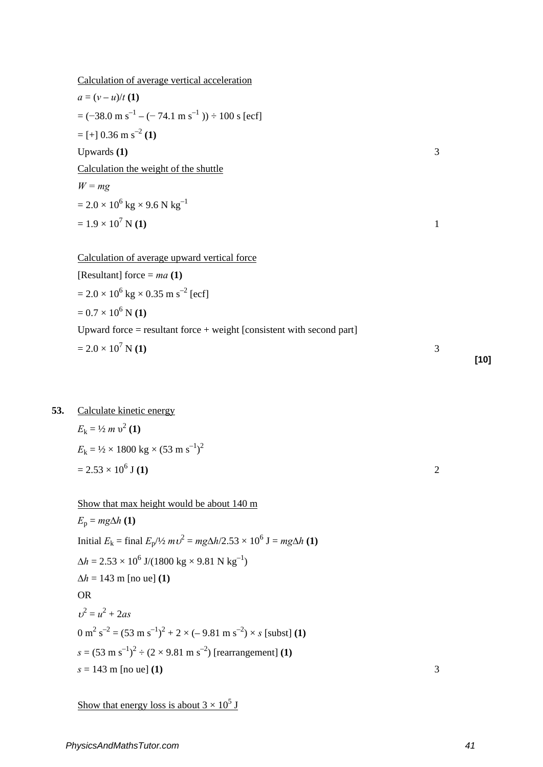|     | Calculation of average vertical acceleration                                                                              |                |        |
|-----|---------------------------------------------------------------------------------------------------------------------------|----------------|--------|
|     | $a = (v - u)/t(1)$                                                                                                        |                |        |
|     | $= (-38.0 \text{ m s}^{-1} - (-74.1 \text{ m s}^{-1})) \div 100 \text{ s [ecf]}$                                          |                |        |
|     | $=[+] 0.36 \text{ m s}^{-2} (1)$                                                                                          |                |        |
|     | Upwards $(1)$                                                                                                             | 3              |        |
|     | Calculation the weight of the shuttle                                                                                     |                |        |
|     | $W = mg$                                                                                                                  |                |        |
|     | $= 2.0 \times 10^6$ kg $\times$ 9.6 N kg <sup>-1</sup>                                                                    |                |        |
|     | $= 1.9 \times 10^7$ N (1)                                                                                                 | $\mathbf{1}$   |        |
|     | Calculation of average upward vertical force                                                                              |                |        |
|     | [Resultant] force = $ma(1)$                                                                                               |                |        |
|     | $= 2.0 \times 10^6$ kg $\times$ 0.35 m s <sup>-2</sup> [ecf]                                                              |                |        |
|     | $= 0.7 \times 10^6$ N (1)                                                                                                 |                |        |
|     | Upward force = resultant force + weight [consistent with second part]                                                     |                |        |
|     | $= 2.0 \times 10^7$ N (1)                                                                                                 | 3              |        |
|     |                                                                                                                           |                | $[10]$ |
| 53. | Calculate kinetic energy                                                                                                  |                |        |
|     | $E_{\rm k} = 1/2 m v^2$ (1)                                                                                               |                |        |
|     | $E_k = \frac{1}{2} \times 1800 \text{ kg} \times (53 \text{ m s}^{-1})^2$                                                 |                |        |
|     | $= 2.53 \times 10^6$ J (1)                                                                                                | $\mathfrak{2}$ |        |
|     |                                                                                                                           |                |        |
|     | Show that max height would be about $140 \text{ m}$                                                                       |                |        |
|     | $E_p = mg\Delta h$ (1)                                                                                                    |                |        |
|     | Initial $E_k$ = final $E_p$ / $\frac{k}{2}$ m $v^2$ = mg $\Delta h/2.53 \times 10^6$ J = mg $\Delta h$ (1)                |                |        |
|     | $\Delta h = 2.53 \times 10^6$ J/(1800 kg $\times$ 9.81 N kg <sup>-1</sup> )                                               |                |        |
|     | $\Delta h = 143$ m [no ue] (1)                                                                                            |                |        |
|     | <b>OR</b>                                                                                                                 |                |        |
|     | $v^2 = u^2 + 2as$                                                                                                         |                |        |
|     | $0 \text{ m}^2 \text{ s}^{-2} = (53 \text{ m s}^{-1})^2 + 2 \times (-9.81 \text{ m s}^{-2}) \times s \text{ [subst]} (1)$ |                |        |
|     | $s = (53 \text{ m s}^{-1})^2 \div (2 \times 9.81 \text{ m s}^{-2})$ [rearrangement] (1)                                   |                |        |
|     | $s = 143$ m [no ue] (1)                                                                                                   | 3              |        |
|     | <u>Show that energy loss is about <math>3 \times 10^5</math> J</u>                                                        |                |        |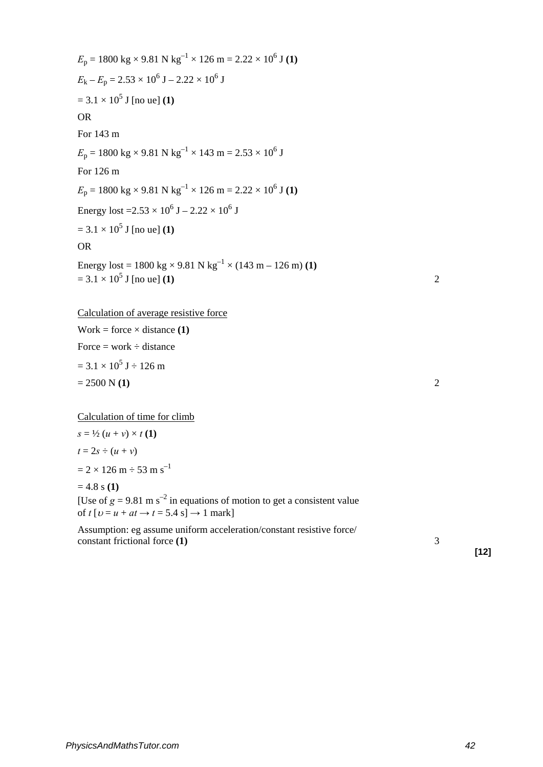| $E_p = 1800 \text{ kg} \times 9.81 \text{ N kg}^{-1} \times 126 \text{ m} = 2.22 \times 10^6 \text{ J}$ (1)                                                                            |   |
|----------------------------------------------------------------------------------------------------------------------------------------------------------------------------------------|---|
| $E_k - E_p = 2.53 \times 10^6$ J $- 2.22 \times 10^6$ J                                                                                                                                |   |
| $= 3.1 \times 10^5$ J [no ue] (1)                                                                                                                                                      |   |
| <b>OR</b>                                                                                                                                                                              |   |
| For 143 m                                                                                                                                                                              |   |
| $E_p = 1800 \text{ kg} \times 9.81 \text{ N kg}^{-1} \times 143 \text{ m} = 2.53 \times 10^6 \text{ J}$                                                                                |   |
| For 126 m                                                                                                                                                                              |   |
| $E_p = 1800 \text{ kg} \times 9.81 \text{ N kg}^{-1} \times 126 \text{ m} = 2.22 \times 10^6 \text{ J}$ (1)                                                                            |   |
| Energy lost = $2.53 \times 10^6$ J – $2.22 \times 10^6$ J                                                                                                                              |   |
| $= 3.1 \times 10^5$ J [no ue] (1)                                                                                                                                                      |   |
| <b>OR</b>                                                                                                                                                                              |   |
| Energy lost = 1800 kg $\times$ 9.81 N kg <sup>-1</sup> $\times$ (143 m – 126 m) (1)<br>$= 3.1 \times 10^5$ J [no ue] (1)                                                               | 2 |
| Calculation of average resistive force                                                                                                                                                 |   |
| Work = force $\times$ distance (1)                                                                                                                                                     |   |
| Force = work $\div$ distance                                                                                                                                                           |   |
| $= 3.1 \times 10^5$ J $\div$ 126 m                                                                                                                                                     |   |
| $= 2500 N(1)$                                                                                                                                                                          | 2 |
| Calculation of time for climb                                                                                                                                                          |   |
| $s = \frac{1}{2}(u + v) \times t(1)$                                                                                                                                                   |   |
| $t = 2s \div (u + v)$                                                                                                                                                                  |   |
| $= 2 \times 126$ m $\div 53$ m s <sup>-1</sup>                                                                                                                                         |   |
| $= 4.8$ s (1)<br>[Use of $g = 9.81$ m s <sup>-2</sup> in equations of motion to get a consistent value<br>of $t [v = u + at \rightarrow t = 5.4 \text{ s}] \rightarrow 1 \text{ mark}$ |   |
| Assumption: eg assume uniform acceleration/constant resistive force/<br>constant frictional force (1)                                                                                  | 3 |
|                                                                                                                                                                                        |   |

**[12]**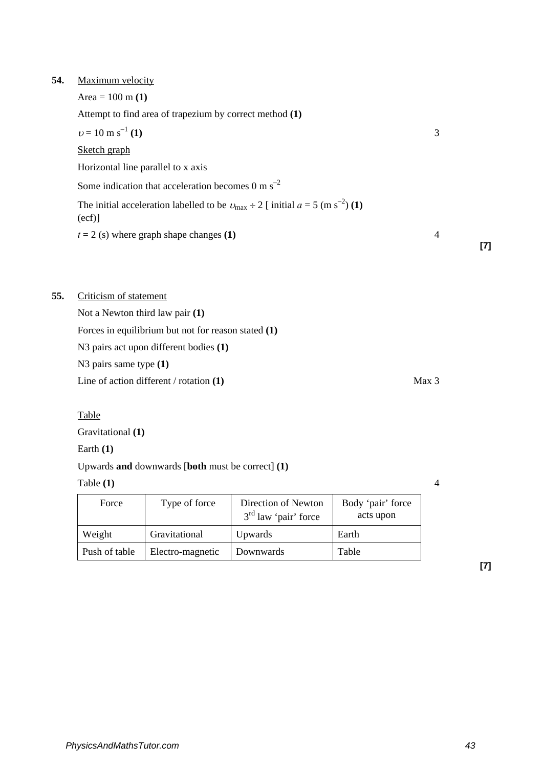### **54.** Maximum velocity

Area = 100 m **(1)** Attempt to find area of trapezium by correct method **(1)**  $v = 10 \text{ m s}^{-1}$  (1) 3 Sketch graph Horizontal line parallel to x axis Some indication that acceleration becomes  $0 \text{ m s}^{-2}$ The initial acceleration labelled to be  $v_{\text{max}} \div 2$  [ initial  $a = 5$  (m s<sup>-2</sup>) (1) (ecf)]  $t = 2$  (s) where graph shape changes **(1)**  $4$ 

**55.** Criticism of statement

Not a Newton third law pair **(1)** Forces in equilibrium but not for reason stated **(1)** N3 pairs act upon different bodies **(1)** N3 pairs same type **(1)** Line of action different / rotation **(1)** Max 3

Table

Gravitational **(1)**

Earth **(1)**

# Upwards **and** downwards [**both** must be correct] **(1)**

Table **(1)** 4

| Force         | Type of force    | Direction of Newton<br>$3rd$ law 'pair' force | Body 'pair' force<br>acts upon |
|---------------|------------------|-----------------------------------------------|--------------------------------|
| Weight        | Gravitational    | Upwards                                       | Earth                          |
| Push of table | Electro-magnetic | Downwards                                     | Table                          |

**[7]**

**[7]**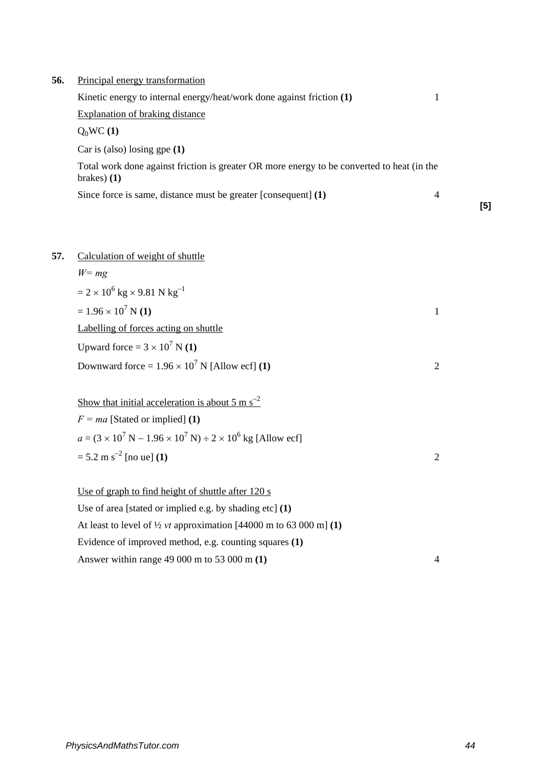| 56. | Principal energy transformation                                                                            |                |     |
|-----|------------------------------------------------------------------------------------------------------------|----------------|-----|
|     | Kinetic energy to internal energy/heat/work done against friction (1)                                      |                |     |
|     | Explanation of braking distance                                                                            |                |     |
|     | $Q_0WC(1)$                                                                                                 |                |     |
|     | Car is (also) losing gpe $(1)$                                                                             |                |     |
|     | Total work done against friction is greater OR more energy to be converted to heat (in the<br>brakes $(1)$ |                |     |
|     | Since force is same, distance must be greater [consequent] $(1)$                                           | $\overline{4}$ | [5] |

# **57.** Calculation of weight of shuttle

| $W = mg$                                                                                               |                |
|--------------------------------------------------------------------------------------------------------|----------------|
| $= 2 \times 10^6$ kg $\times$ 9.81 N kg <sup>-1</sup>                                                  |                |
| $= 1.96 \times 10^7$ N (1)                                                                             | 1              |
| Labelling of forces acting on shuttle                                                                  |                |
| Upward force = $3 \times 10^7$ N (1)                                                                   |                |
| Downward force = $1.96 \times 10^7$ N [Allow ecf] (1)                                                  | 2              |
|                                                                                                        |                |
| Show that initial acceleration is about 5 m $s^{-2}$                                                   |                |
| $F = ma$ [Stated or implied] (1)                                                                       |                |
| $a = (3 \times 10^7 \text{ N} - 1.96 \times 10^7 \text{ N}) \div 2 \times 10^6 \text{ kg}$ [Allow ecf] |                |
| $= 5.2 \text{ m s}^{-2}$ [no ue] (1)                                                                   | $\overline{2}$ |
|                                                                                                        |                |
| Use of graph to find height of shuttle after 120 s                                                     |                |
| Use of area [stated or implied e.g. by shading etc] $(1)$                                              |                |
| At least to level of $\frac{1}{2}vt$ approximation [44000 m to 63 000 m] (1)                           |                |

Evidence of improved method, e.g. counting squares **(1)**

Answer within range 49 000 m to 53 000 m **(1)** 4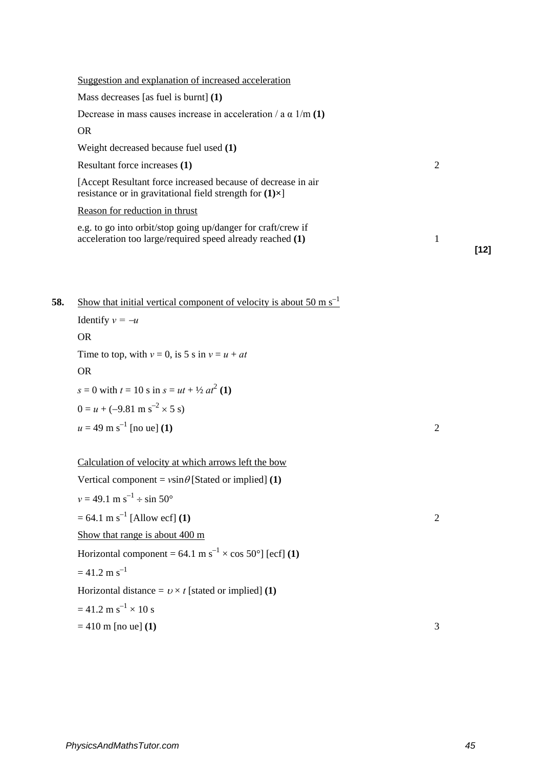| Suggestion and explanation of increased acceleration                                                                             |   |      |
|----------------------------------------------------------------------------------------------------------------------------------|---|------|
| Mass decreases [as fuel is burnt] $(1)$                                                                                          |   |      |
| Decrease in mass causes increase in acceleration / a $\alpha$ 1/m (1)                                                            |   |      |
| OR.                                                                                                                              |   |      |
| Weight decreased because fuel used (1)                                                                                           |   |      |
| Resultant force increases (1)                                                                                                    | 2 |      |
| [Accept Resultant force increased because of decrease in air<br>resistance or in gravitational field strength for $(1) \times$ ] |   |      |
| Reason for reduction in thrust                                                                                                   |   |      |
| e.g. to go into orbit/stop going up/danger for craft/crew if<br>acceleration too large/required speed already reached (1)        |   | [12] |
|                                                                                                                                  |   |      |

| 58. | Show that initial vertical component of velocity is about 50 m $s^{-1}$ |                |
|-----|-------------------------------------------------------------------------|----------------|
|     | Identify $v = -u$                                                       |                |
|     | <b>OR</b>                                                               |                |
|     | Time to top, with $v = 0$ , is 5 s in $v = u + at$                      |                |
|     | <b>OR</b>                                                               |                |
|     | $s = 0$ with $t = 10$ s in $s = ut + \frac{1}{2}at^2$ (1)               |                |
|     | $0 = u + (-9.81 \text{ m s}^{-2} \times 5 \text{ s})$                   |                |
|     | $u = 49$ m s <sup>-1</sup> [no ue] (1)                                  | $\overline{2}$ |
|     |                                                                         |                |
|     | Calculation of velocity at which arrows left the bow                    |                |
|     | Vertical component = $v\sin\theta$ [Stated or implied] (1)              |                |
|     | $v = 49.1 \text{ m s}^{-1} \div \sin 50^{\circ}$                        |                |
|     | $= 64.1 \text{ m s}^{-1}$ [Allow ecf] (1)                               | $\overline{2}$ |
|     | Show that range is about 400 m                                          |                |
|     | Horizontal component = 64.1 m s <sup>-1</sup> × cos 50°] [ecf] (1)      |                |

$$
= 41.2 \text{ m s}^{-1}
$$

Horizontal distance =  $v \times t$  [stated or implied] **(1)** 

$$
= 41.2 \text{ m s}^{-1} \times 10 \text{ s}
$$
  
410 m from 1.13

$$
= 410 \text{ m} \text{ [no ue]} (1)
$$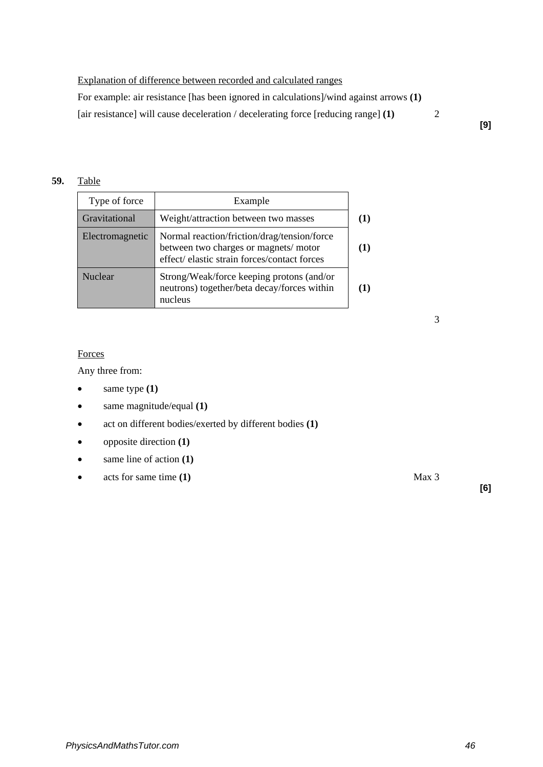# Explanation of difference between recorded and calculated ranges

For example: air resistance [has been ignored in calculations]/wind against arrows **(1)**

[air resistance] will cause deceleration / decelerating force [reducing range] **(1)** 2

# **59.** Table

| Type of force   | Example                                                                                                                            |     |
|-----------------|------------------------------------------------------------------------------------------------------------------------------------|-----|
| Gravitational   | Weight/attraction between two masses                                                                                               | (1) |
| Electromagnetic | Normal reaction/friction/drag/tension/force<br>between two charges or magnets/motor<br>effect/elastic strain forces/contact forces | (1) |
| <b>Nuclear</b>  | Strong/Weak/force keeping protons (and/or<br>neutrons) together/beta decay/forces within<br>nucleus                                |     |

3

**Forces** 

Any three from:

- same type **(1)**
- same magnitude/equal **(1)**
- act on different bodies/exerted by different bodies **(1)**
- opposite direction **(1)**
- same line of action **(1)**
- acts for same time **(1)** Max 3

**[6]**

**[9]**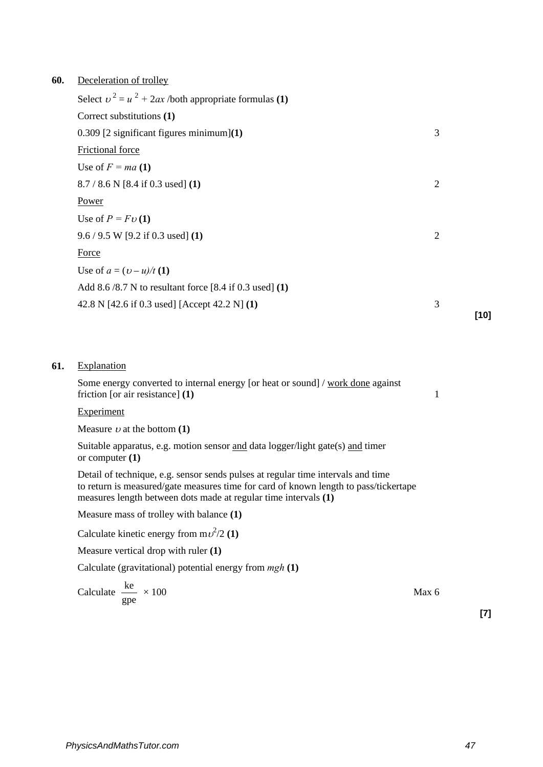| 60. | Deceleration of trolley |  |  |
|-----|-------------------------|--|--|
|     |                         |  |  |

| Select $v^2 = u^2 + 2ax$ /both appropriate formulas (1)                   |                |      |
|---------------------------------------------------------------------------|----------------|------|
| Correct substitutions (1)                                                 |                |      |
| $0.309$ [2 significant figures minimum](1)                                | 3              |      |
| Frictional force                                                          |                |      |
| Use of $F = ma(1)$                                                        |                |      |
| $8.7 / 8.6$ N [8.4 if 0.3 used] (1)                                       | 2              |      |
| Power                                                                     |                |      |
| Use of $P = Fv(1)$                                                        |                |      |
| $9.6 / 9.5 W$ [9.2 if 0.3 used] (1)                                       | $\overline{2}$ |      |
| Force                                                                     |                |      |
| Use of $a = (v - u)/t(1)$                                                 |                |      |
| Add 8.6/8.7 N to resultant force $[8.4 \text{ if } 0.3 \text{ used}]$ (1) |                |      |
| 42.8 N [42.6 if 0.3 used] [Accept 42.2 N] (1)                             | 3              |      |
|                                                                           |                | [10] |

# **61.** Explanation

Some energy converted to internal energy [or heat or sound] / work done against friction [or air resistance] **(1)** 1

#### **Experiment**

Measure  $\nu$  at the bottom **(1)** 

Suitable apparatus, e.g. motion sensor and data logger/light gate(s) and timer or computer **(1)**

Detail of technique, e.g. sensor sends pulses at regular time intervals and time to return is measured/gate measures time for card of known length to pass/tickertape measures length between dots made at regular time intervals **(1)**

Measure mass of trolley with balance **(1)**

Calculate kinetic energy from  $\frac{m^2}{2}$  (1)

Measure vertical drop with ruler **(1)**

Calculate (gravitational) potential energy from *mgh* **(1)**

Calculate 
$$
\frac{\text{ke}}{\text{gpe}} \times 100
$$
 Max 6

**[7]**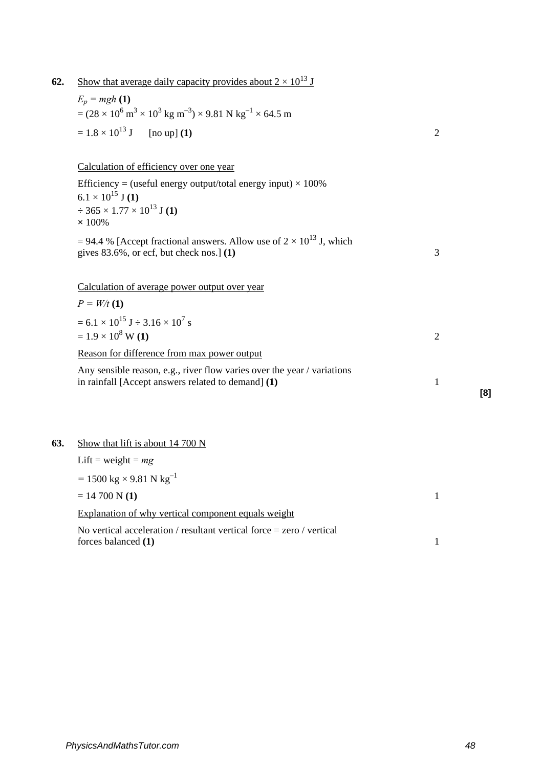| 62. | Show that average daily capacity provides about $2 \times 10^{13}$ J                                                                                                            |                |     |
|-----|---------------------------------------------------------------------------------------------------------------------------------------------------------------------------------|----------------|-----|
|     | $E_p = mgh(1)$                                                                                                                                                                  |                |     |
|     | = $(28 \times 10^6 \text{ m}^3 \times 10^3 \text{ kg m}^{-3}) \times 9.81 \text{ N kg}^{-1} \times 64.5 \text{ m}$                                                              |                |     |
|     | $= 1.8 \times 10^{13}$ J<br>[no up] (1)                                                                                                                                         | $\mathfrak{2}$ |     |
|     | Calculation of efficiency over one year                                                                                                                                         |                |     |
|     | Efficiency = (useful energy output/total energy input) $\times$ 100%<br>$6.1 \times 10^{15}$ J (1)<br>$\div$ 365 $\times$ 1.77 $\times$ 10 <sup>13</sup> J (1)<br>$\times$ 100% |                |     |
|     | = 94.4 % [Accept fractional answers. Allow use of $2 \times 10^{13}$ J, which<br>gives $83.6\%$ , or ecf, but check nos.] (1)                                                   | 3              |     |
|     | Calculation of average power output over year                                                                                                                                   |                |     |
|     | $P = W/t(1)$                                                                                                                                                                    |                |     |
|     | $= 6.1 \times 10^{15}$ J $\div$ 3.16 $\times 10^{7}$ s<br>$= 1.9 \times 10^8$ W (1)                                                                                             | $\overline{2}$ |     |
|     | Reason for difference from max power output                                                                                                                                     |                |     |
|     | Any sensible reason, e.g., river flow varies over the year / variations<br>in rainfall [Accept answers related to demand] (1)                                                   | $\mathbf{1}$   | [8] |
|     |                                                                                                                                                                                 |                |     |
| 63. | Show that lift is about 14 700 N                                                                                                                                                |                |     |
|     | Lift = weight = $mg$                                                                                                                                                            |                |     |
|     | $= 1500 \text{ kg} \times 9.81 \text{ N kg}^{-1}$                                                                                                                               |                |     |
|     | $= 14700 N(1)$                                                                                                                                                                  | $\mathbf{1}$   |     |
|     | Explanation of why vertical component equals weight                                                                                                                             |                |     |
|     | No vertical acceleration / resultant vertical force $=$ zero / vertical<br>forces balanced (1)                                                                                  | $\mathbf{1}$   |     |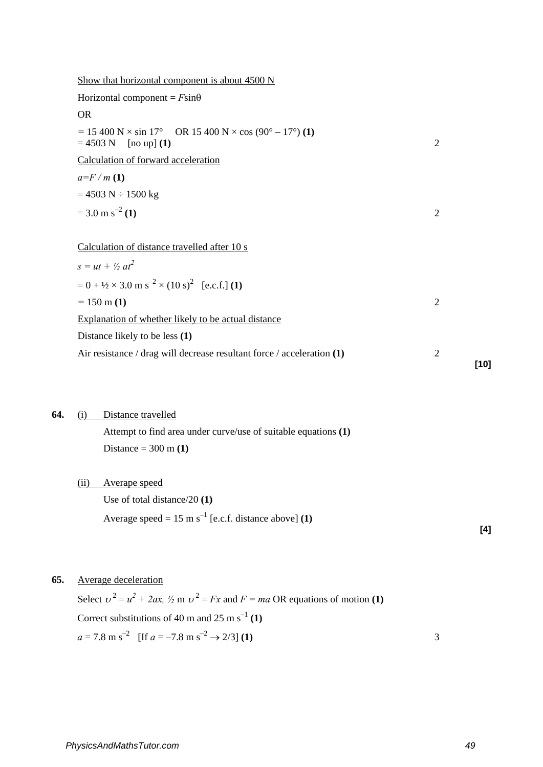|     | Show that horizontal component is about 4500 N                                                                                   |                |        |
|-----|----------------------------------------------------------------------------------------------------------------------------------|----------------|--------|
|     | Horizontal component = $F\sin\theta$                                                                                             |                |        |
|     | <b>OR</b>                                                                                                                        |                |        |
|     | $= 15400 \text{ N} \times \sin 17^{\circ}$ OR 15400 N $\times \cos (90^{\circ} - 17^{\circ})$ (1)<br>$= 4503 N$<br>[no up] $(1)$ | $\mathfrak{2}$ |        |
|     | Calculation of forward acceleration                                                                                              |                |        |
|     | $a = F/m(1)$                                                                                                                     |                |        |
|     | $= 4503$ N $\div 1500$ kg                                                                                                        |                |        |
|     | $= 3.0 \text{ m s}^{-2}$ (1)                                                                                                     | $\overline{2}$ |        |
|     | Calculation of distance travelled after 10 s                                                                                     |                |        |
|     | $s = ut + \frac{1}{2}at^2$                                                                                                       |                |        |
|     | $= 0 + \frac{1}{2} \times 3.0 \text{ m s}^{-2} \times (10 \text{ s})^2$ [e.c.f.] (1)                                             |                |        |
|     | $= 150$ m (1)                                                                                                                    | $\overline{2}$ |        |
|     | Explanation of whether likely to be actual distance                                                                              |                |        |
|     | Distance likely to be less (1)                                                                                                   |                |        |
|     | Air resistance / drag will decrease resultant force / acceleration $(1)$                                                         | $\overline{2}$ | $[10]$ |
|     |                                                                                                                                  |                |        |
| 64. | Distance travelled<br>(i)                                                                                                        |                |        |
|     | Attempt to find area under curve/use of suitable equations (1)                                                                   |                |        |
|     | Distance = $300 \text{ m}$ (1)                                                                                                   |                |        |
|     | (ii)<br>Averape speed                                                                                                            |                |        |
|     | Use of total distance/20 $(1)$                                                                                                   |                |        |
|     | Average speed = $15 \text{ m s}^{-1}$ [e.c.f. distance above] (1)                                                                |                | [4]    |
|     |                                                                                                                                  |                |        |
| 65. | <b>Average deceleration</b>                                                                                                      |                |        |
|     | Select $v^2 = u^2 + 2ax$ , $\frac{1}{2}$ m $v^2 = Fx$ and $F = ma$ OR equations of motion (1)                                    |                |        |
|     | Correct substitutions of 40 m and 25 m s <sup>-1</sup> (1)                                                                       |                |        |
|     | $a = 7.8 \text{ m s}^{-2}$ [If $a = -7.8 \text{ m s}^{-2} \rightarrow 2/3$ ] (1)                                                 | 3              |        |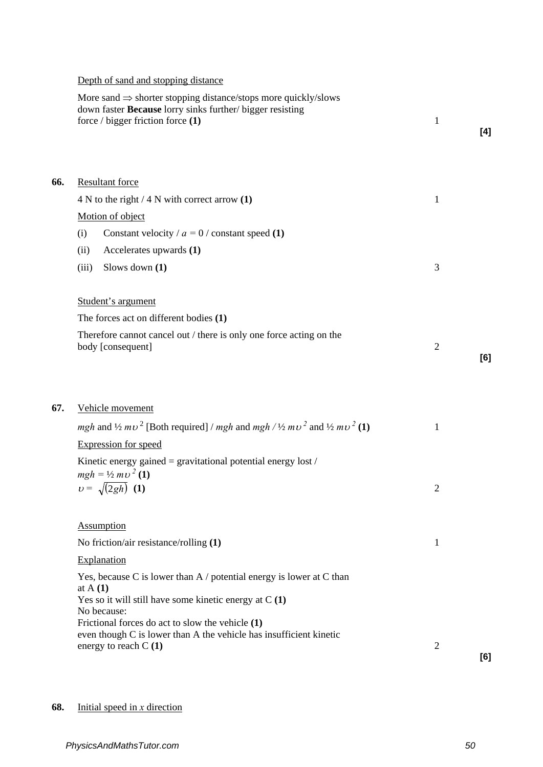|  |  |  | Depth of sand and stopping distance |
|--|--|--|-------------------------------------|
|  |  |  |                                     |

|     | More sand $\Rightarrow$ shorter stopping distance/stops more quickly/slows<br>down faster Because lorry sinks further/ bigger resisting<br>force / bigger friction force (1) | 1              | [4] |
|-----|------------------------------------------------------------------------------------------------------------------------------------------------------------------------------|----------------|-----|
| 66. | <b>Resultant force</b>                                                                                                                                                       |                |     |
|     | 4 N to the right $/$ 4 N with correct arrow (1)                                                                                                                              | 1              |     |
|     | Motion of object                                                                                                                                                             |                |     |
|     | Constant velocity / $a = 0$ / constant speed (1)<br>(i)                                                                                                                      |                |     |
|     | Accelerates upwards (1)<br>(ii)                                                                                                                                              |                |     |
|     | Slows down (1)<br>(iii)                                                                                                                                                      | 3              |     |
|     | Student's argument                                                                                                                                                           |                |     |
|     | The forces act on different bodies (1)                                                                                                                                       |                |     |
|     | Therefore cannot cancel out / there is only one force acting on the<br>body [consequent]                                                                                     | $\overline{2}$ | [6] |
| 67. | Vehicle movement<br>mgh and $\frac{1}{2}mv^2$ [Both required] / mgh and mgh / $\frac{1}{2}mv^2$ and $\frac{1}{2}mv^2$ (1)                                                    | 1              |     |
|     | <b>Expression</b> for speed                                                                                                                                                  |                |     |
|     | Kinetic energy gained = gravitational potential energy lost /<br>$mgh = \frac{1}{2} m v^2 (1)$                                                                               |                |     |
|     | $v = \sqrt{(2gh)}$ (1)                                                                                                                                                       | $\overline{2}$ |     |
|     | <b>Assumption</b>                                                                                                                                                            |                |     |
|     | No friction/air resistance/rolling (1)                                                                                                                                       | 1              |     |
|     | Explanation                                                                                                                                                                  |                |     |
|     | Yes, because C is lower than $A /$ potential energy is lower at C than<br>at $A(1)$<br>Yes so it will still have some kinetic energy at $C(1)$<br>No because:                |                |     |
|     | Frictional forces do act to slow the vehicle (1)<br>even though C is lower than A the vehicle has insufficient kinetic<br>energy to reach $C(1)$                             | $\overline{2}$ | [6] |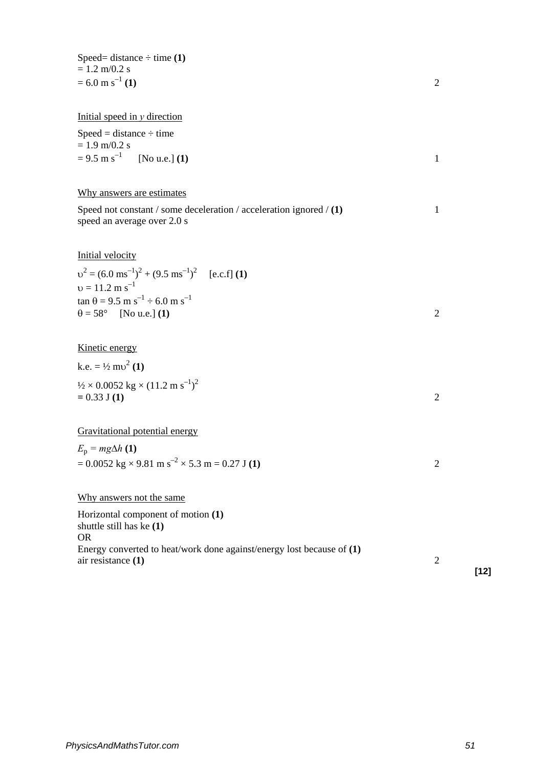Speed= distance ÷ time **(1)**   $= 1.2$  m/0.2 s  $= 6.0 \text{ m s}^{-1} (1)$  2 Initial speed in *y* direction  $Speed = distance \div time$  $= 1.9$  m/0.2 s  $= 9.5 \text{ m s}^{-1}$  [No u.e.] **(1)** 1 Why answers are estimates Speed not constant / some deceleration / acceleration ignored / **(1)** 1 speed an average over 2.0 s Initial velocity  $v^2 = (6.0 \text{ ms}^{-1})^2 + (9.5 \text{ ms}^{-1})^2$  [e.c.f] (1)  $v = 11.2 \text{ m s}^{-1}$ tan θ = 9.5 m s<sup>-1</sup> ÷ 6.0 m s<sup>-1</sup>  $\theta = 58^{\circ}$  [No u.e.] **(1)** 2 Kinetic energy k.e.  $= \frac{1}{2}$  mv<sup>2</sup> (1)  $\frac{1}{2} \times 0.0052 \text{ kg} \times (11.2 \text{ m s}^{-1})^2$  $= 0.33 \text{ J} (1)$   $\qquad \qquad$  2 Gravitational potential energy  $E_p = mg\Delta h$  **(1)**  $= 0.0052 \text{ kg} \times 9.81 \text{ m s}^{-2} \times 5.3 \text{ m} = 0.27 \text{ J} \text{ (1)}$  2 Why answers not the same Horizontal component of motion **(1)**  shuttle still has ke **(1)**  OR Energy converted to heat/work done against/energy lost because of **(1)**  air resistance **(1)** 2

**[12]**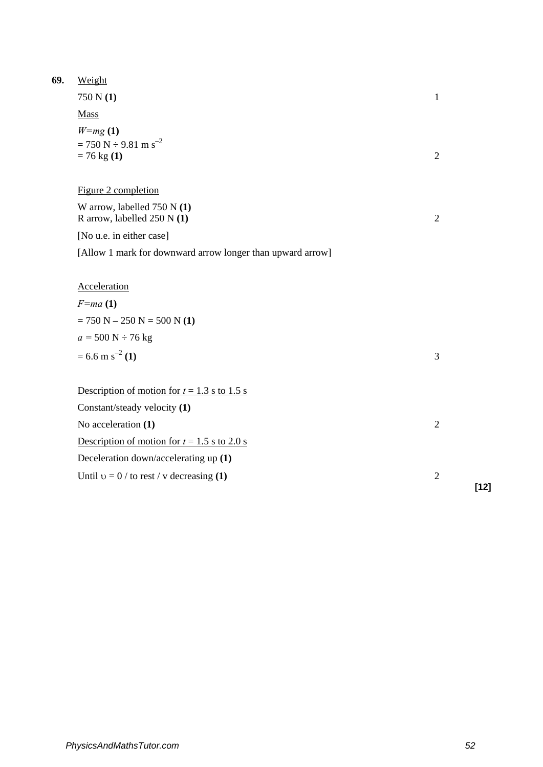| 69. | Weight                                                                       |                |        |
|-----|------------------------------------------------------------------------------|----------------|--------|
|     | 750 N (1)                                                                    | $\mathbf{1}$   |        |
|     | <b>Mass</b>                                                                  |                |        |
|     | $W=mg(1)$<br>$= 750 \text{ N} \div 9.81 \text{ m s}^{-2}$<br>$= 76$ kg $(1)$ | $\overline{2}$ |        |
|     | Figure 2 completion                                                          |                |        |
|     | W arrow, labelled $750 N(1)$<br>R arrow, labelled 250 N (1)                  | $\overline{2}$ |        |
|     | [No u.e. in either case]                                                     |                |        |
|     | [Allow 1 mark for downward arrow longer than upward arrow]                   |                |        |
|     | Acceleration                                                                 |                |        |
|     | $F = ma(1)$                                                                  |                |        |
|     | $= 750 N - 250 N = 500 N (1)$                                                |                |        |
|     | $a = 500$ N $\div$ 76 kg                                                     |                |        |
|     | $= 6.6$ m s <sup>-2</sup> (1)                                                | 3              |        |
|     | Description of motion for $t = 1.3$ s to 1.5 s                               |                |        |
|     | Constant/steady velocity (1)                                                 |                |        |
|     | No acceleration (1)                                                          | $\mathfrak{2}$ |        |
|     | Description of motion for $t = 1.5$ s to 2.0 s                               |                |        |
|     | Deceleration down/accelerating up (1)                                        |                |        |
|     | Until $v = 0 / \text{to rest} / v$ decreasing (1)                            | $\overline{2}$ | $[12]$ |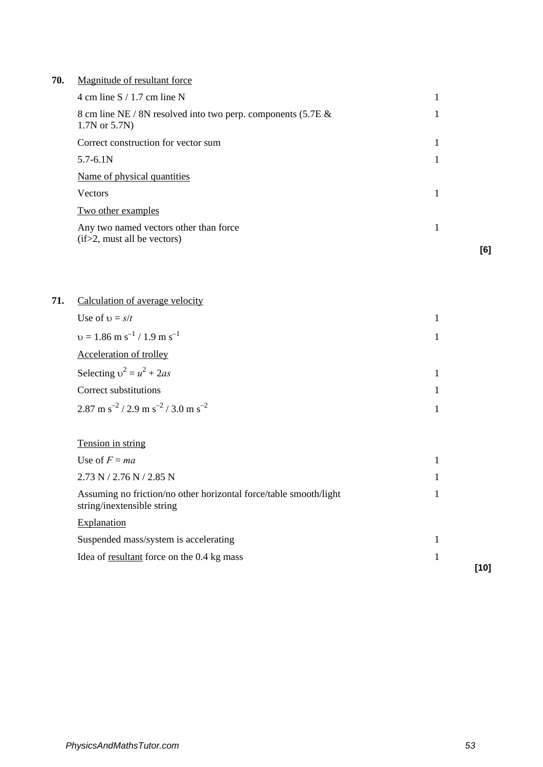| 70. | Magnitude of resultant force |
|-----|------------------------------|
|     |                              |

| 4 cm line $S / 1.7$ cm line N                                                    |  |
|----------------------------------------------------------------------------------|--|
| 8 cm line NE / 8N resolved into two perp. components (5.7E &<br>1.7N or $5.7N$ ) |  |
| Correct construction for vector sum                                              |  |
| $5.7 - 6.1N$                                                                     |  |
| Name of physical quantities                                                      |  |
| Vectors                                                                          |  |
| Two other examples                                                               |  |
| Any two named vectors other than force<br>$(if>2$ , must all be vectors)         |  |

**[6]**

# 71. Calculation of average velocity Use of  $v = s/t$  1  $v = 1.86$  m s<sup>-1</sup> / 1.9 m s<sup>-1</sup> 1 Acceleration of trolley Selecting  $v^2 = u^2 + 2as$  $2^2 + 2as$  1 Correct substitutions 1  $2.87 \text{ m s}^{-2}$  /  $2.9 \text{ m s}^{-2}$  /  $3.0 \text{ m s}^{-2}$  1 Tension in string Use of  $F = ma$  1  $2.73 N / 2.76 N / 2.85 N$  1 Assuming no friction/no other horizontal force/table smooth/light 1

string/inextensible string **Explanation** Suspended mass/system is accelerating 1 Idea of <u>resultant</u> force on the 0.4 kg mass 1 **[10]**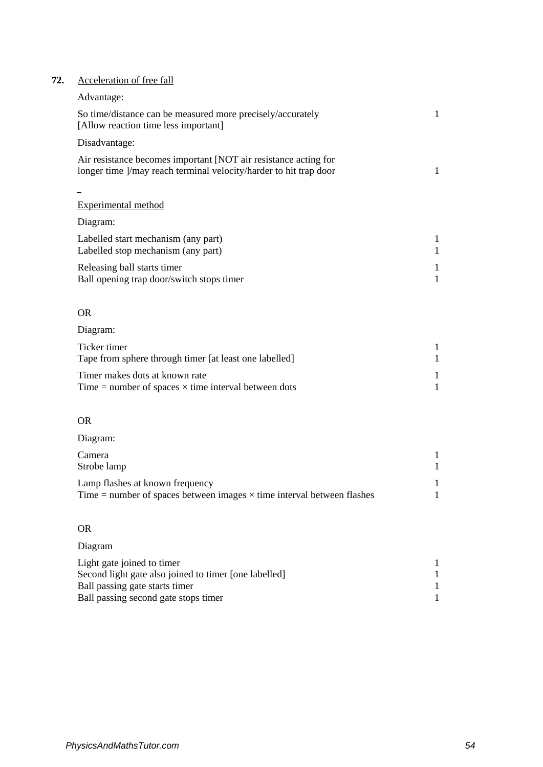# **72.** Acceleration of free fall

| Advantage:                                                                                                                                                    |                                        |
|---------------------------------------------------------------------------------------------------------------------------------------------------------------|----------------------------------------|
| So time/distance can be measured more precisely/accurately<br>[Allow reaction time less important]                                                            | $\mathbf{1}$                           |
| Disadvantage:                                                                                                                                                 |                                        |
| Air resistance becomes important [NOT air resistance acting for<br>longer time ]/may reach terminal velocity/harder to hit trap door                          | $\mathbf{1}$                           |
|                                                                                                                                                               |                                        |
| <b>Experimental method</b>                                                                                                                                    |                                        |
| Diagram:                                                                                                                                                      |                                        |
| Labelled start mechanism (any part)<br>Labelled stop mechanism (any part)                                                                                     | $\mathbf{1}$<br>$\mathbf{1}$           |
| Releasing ball starts timer<br>Ball opening trap door/switch stops timer                                                                                      | $\mathbf{1}$<br>$\mathbf{1}$           |
| <b>OR</b>                                                                                                                                                     |                                        |
| Diagram:                                                                                                                                                      |                                        |
| Ticker timer<br>Tape from sphere through timer [at least one labelled]                                                                                        | 1<br>$\mathbf{1}$                      |
| Timer makes dots at known rate<br>Time = number of spaces $\times$ time interval between dots                                                                 | $\mathbf{1}$<br>$\mathbf{1}$           |
| <b>OR</b>                                                                                                                                                     |                                        |
| Diagram:                                                                                                                                                      |                                        |
| Camera<br>Strobe lamp                                                                                                                                         | 1<br>$\mathbf{1}$                      |
| Lamp flashes at known frequency<br>Time = number of spaces between images $\times$ time interval between flashes                                              | 1<br>1                                 |
| <b>OR</b>                                                                                                                                                     |                                        |
| Diagram                                                                                                                                                       |                                        |
| Light gate joined to timer<br>Second light gate also joined to timer [one labelled]<br>Ball passing gate starts timer<br>Ball passing second gate stops timer | 1<br>1<br>$\mathbf{1}$<br>$\mathbf{1}$ |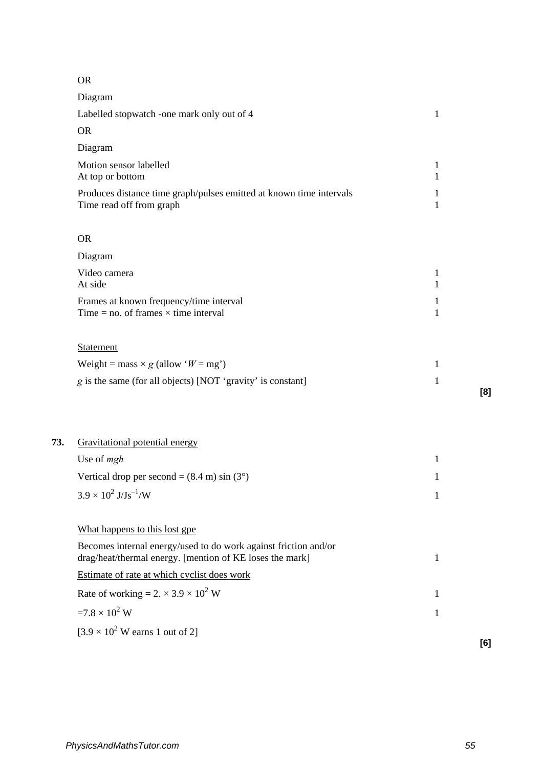# OR

|     | Diagram                                                                                                                     |              |
|-----|-----------------------------------------------------------------------------------------------------------------------------|--------------|
|     | Labelled stopwatch -one mark only out of 4                                                                                  | $\mathbf{1}$ |
|     | <b>OR</b>                                                                                                                   |              |
|     | Diagram                                                                                                                     |              |
|     | Motion sensor labelled<br>At top or bottom                                                                                  | 1<br>1       |
|     | Produces distance time graph/pulses emitted at known time intervals<br>Time read off from graph                             | 1<br>1       |
|     | <b>OR</b>                                                                                                                   |              |
|     | Diagram                                                                                                                     |              |
|     | Video camera<br>At side                                                                                                     | 1<br>1       |
|     | Frames at known frequency/time interval<br>Time = no. of frames $\times$ time interval                                      | 1<br>1       |
|     | <b>Statement</b>                                                                                                            |              |
|     | Weight = mass $\times$ g (allow 'W = mg')                                                                                   | 1            |
|     | g is the same (for all objects) [NOT 'gravity' is constant]                                                                 | 1            |
|     |                                                                                                                             |              |
| 73. | Gravitational potential energy                                                                                              |              |
|     | Use of $mgh$                                                                                                                | 1            |
|     | Vertical drop per second = $(8.4 \text{ m}) \sin (3^{\circ})$                                                               | 1            |
|     | $3.9 \times 10^2$ J/Js <sup>-1</sup> /W                                                                                     | 1            |
|     | What happens to this lost gpe                                                                                               |              |
|     | Becomes internal energy/used to do work against friction and/or<br>drag/heat/thermal energy. [mention of KE loses the mark] | $\mathbf{1}$ |
|     | Estimate of rate at which cyclist does work                                                                                 |              |
|     | Rate of working = $2. \times 3.9 \times 10^2$ W                                                                             | 1            |
|     | $=7.8 \times 10^2$ W                                                                                                        | 1            |
|     | $[3.9 \times 10^2$ W earns 1 out of 2]                                                                                      |              |
|     |                                                                                                                             |              |

**[6]**

**[8]**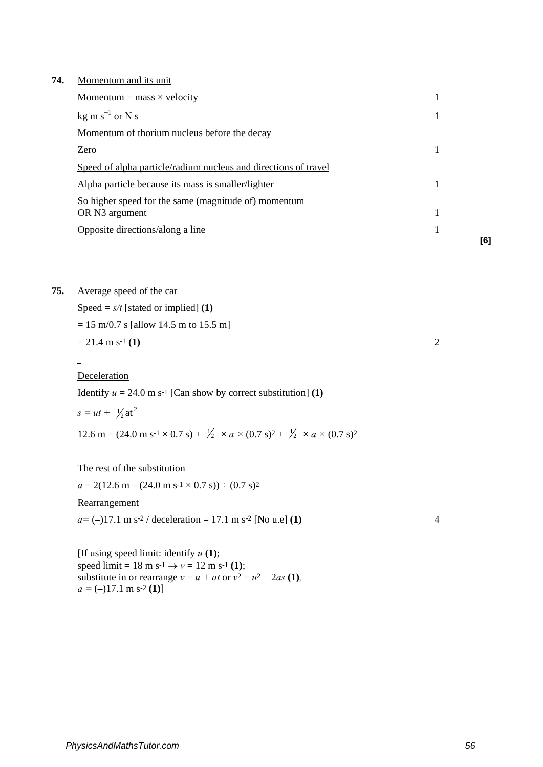| 74. | Momentum and its unit                                                  |   |     |
|-----|------------------------------------------------------------------------|---|-----|
|     | Momentum = mass $\times$ velocity                                      |   |     |
|     | $kg \text{ m s}^{-1}$ or N s                                           |   |     |
|     | Momentum of thorium nucleus before the decay                           |   |     |
|     | Zero                                                                   | 1 |     |
|     | Speed of alpha particle/radium nucleus and directions of travel        |   |     |
|     | Alpha particle because its mass is smaller/lighter                     |   |     |
|     | So higher speed for the same (magnitude of) momentum<br>OR N3 argument | 1 |     |
|     | Opposite directions/along a line                                       |   | [6] |

**75.** Average speed of the car

Speed  $= s/t$  [stated or implied] (1)

 $= 15$  m/0.7 s [allow 14.5 m to 15.5 m]  $= 21.4 \text{ m s}^{-1} (1)$  2

 $\overline{a}$ **Deceleration** Identify  $u = 24.0$  m s<sup>-1</sup> [Can show by correct substitution] (1)  $s = ut + \frac{1}{2}at^2$ 12.6 m = (24.0 m s<sup>-1</sup> × 0.7 s) +  $\frac{1}{2}$  × *a* × (0.7 s)<sup>2</sup> +  $\frac{1}{2}$  × *a* × (0.7 s)<sup>2</sup>

The rest of the substitution

 $a = 2(12.6 \text{ m} - (24.0 \text{ m s}^{-1} \times 0.7 \text{ s})) \div (0.7 \text{ s})^2$ Rearrangement  $a = (-17.1 \text{ m s}^2/\text{deceleration} = 17.1 \text{ m s}^2 \text{ [No u.e] (1)}$  4

[If using speed limit: identify *u* **(1)**; speed limit = 18 m s<sup>-1</sup>  $\rightarrow$  *v* = 12 m s<sup>-1</sup> (1); substitute in or rearrange  $v = u + at$  or  $v^2 = u^2 + 2as$  (1),  $a = (-17.1 \text{ m s}^{-2} (1)]$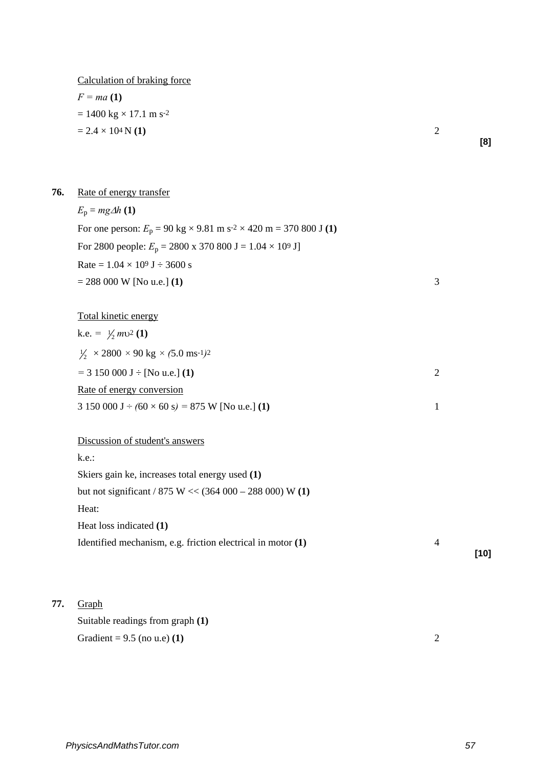Calculation of braking force *F = ma* **(1)**  $= 1400 \text{ kg} \times 17.1 \text{ m s}^{-2}$  $= 2.4 \times 10^4 \,\text{N}$  (1) 2

**[8]**

| Rate of energy transfer                                                                                                  |                |
|--------------------------------------------------------------------------------------------------------------------------|----------------|
| $E_p = mg\Delta h$ (1)                                                                                                   |                |
| For one person: $E_p = 90 \text{ kg} \times 9.81 \text{ m} \text{ s}^{-2} \times 420 \text{ m} = 370\,800 \text{ J}$ (1) |                |
| For 2800 people: $E_p = 2800 \times 370\,800 \text{ J} = 1.04 \times 10^9 \text{ J}$                                     |                |
| Rate = $1.04 \times 10^9$ J ÷ 3600 s                                                                                     |                |
| $= 288 000 W$ [No u.e.] (1)                                                                                              | 3              |
| Total kinetic energy                                                                                                     |                |
| k.e. = $\frac{1}{2}mv^2(1)$                                                                                              |                |
| $\frac{1}{2}$ × 2800 × 90 kg × (5.0 ms <sup>-1)2</sup>                                                                   |                |
| $=$ 3 150 000 J $\div$ [No u.e.] (1)                                                                                     | $\overline{2}$ |
| Rate of energy conversion                                                                                                |                |
| 3 150 000 J $\div$ (60 $\times$ 60 s) = 875 W [No u.e.] (1)                                                              | $\mathbf{1}$   |
| Discussion of student's answers                                                                                          |                |
| k.e.:                                                                                                                    |                |
| Skiers gain ke, increases total energy used (1)                                                                          |                |
| but not significant / 875 W << $(364 000 - 288 000)$ W (1)                                                               |                |
| Heat:                                                                                                                    |                |
| Heat loss indicated (1)                                                                                                  |                |
| Identified mechanism, e.g. friction electrical in motor (1)                                                              | 4              |
|                                                                                                                          |                |

# **77.** Graph

| Suitable readings from graph (1) |  |
|----------------------------------|--|
| Gradient = $9.5$ (no u.e) (1)    |  |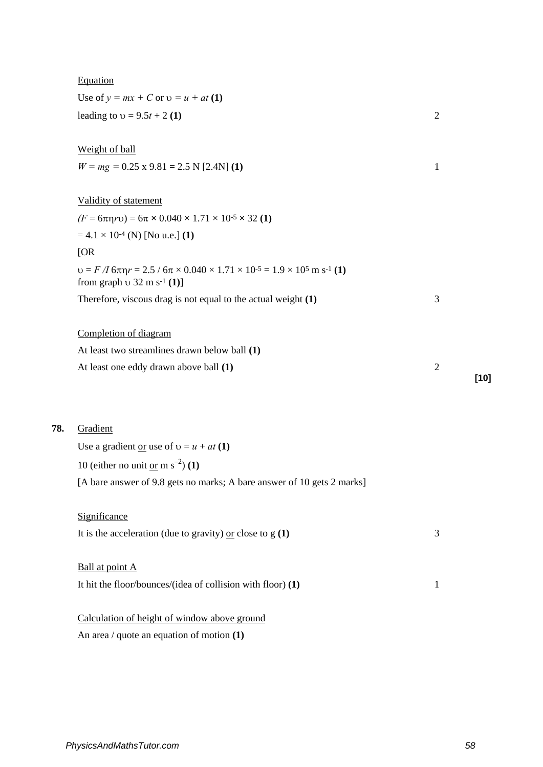|     | Equation                                                                                                                                                                  |                |        |
|-----|---------------------------------------------------------------------------------------------------------------------------------------------------------------------------|----------------|--------|
|     | Use of $y = mx + C$ or $v = u + at (1)$                                                                                                                                   |                |        |
|     | leading to $v = 9.5t + 2(1)$                                                                                                                                              | $\overline{2}$ |        |
|     | Weight of ball                                                                                                                                                            |                |        |
|     | $W = mg = 0.25 \times 9.81 = 2.5 N [2.4 N]$ (1)                                                                                                                           | $\mathbf{1}$   |        |
|     | Validity of statement                                                                                                                                                     |                |        |
|     | $(F = 6\pi\eta r\upsilon) = 6\pi \times 0.040 \times 1.71 \times 10^{-5} \times 32$ (1)                                                                                   |                |        |
|     | $= 4.1 \times 10^{-4}$ (N) [No u.e.] (1)                                                                                                                                  |                |        |
|     | [OR]                                                                                                                                                                      |                |        |
|     | $v = F/I$ 6 $\pi\eta r = 2.5 / 6\pi \times 0.040 \times 1.71 \times 10^{-5} = 1.9 \times 10^{5}$ m s <sup>-1</sup> (1)<br>from graph $\upsilon$ 32 m s <sup>-1</sup> (1)] |                |        |
|     | Therefore, viscous drag is not equal to the actual weight $(1)$                                                                                                           | 3              |        |
|     | Completion of diagram                                                                                                                                                     |                |        |
|     | At least two streamlines drawn below ball (1)                                                                                                                             |                |        |
|     | At least one eddy drawn above ball (1)                                                                                                                                    | $\overline{c}$ | $[10]$ |
|     |                                                                                                                                                                           |                |        |
| 78. | Gradient                                                                                                                                                                  |                |        |
|     | Use a gradient or use of $v = u + at(1)$                                                                                                                                  |                |        |
|     | 10 (either no unit or m $s^{-2}$ ) (1)                                                                                                                                    |                |        |
|     | [A bare answer of 9.8 gets no marks; A bare answer of 10 gets 2 marks]                                                                                                    |                |        |
|     | Significance                                                                                                                                                              |                |        |
|     | It is the acceleration (due to gravity) or close to $g(1)$                                                                                                                | 3              |        |
|     | Ball at point A                                                                                                                                                           |                |        |
|     | It hit the floor/bounces/(idea of collision with floor) (1)                                                                                                               | 1              |        |

Calculation of height of window above ground An area / quote an equation of motion **(1)**

**78.**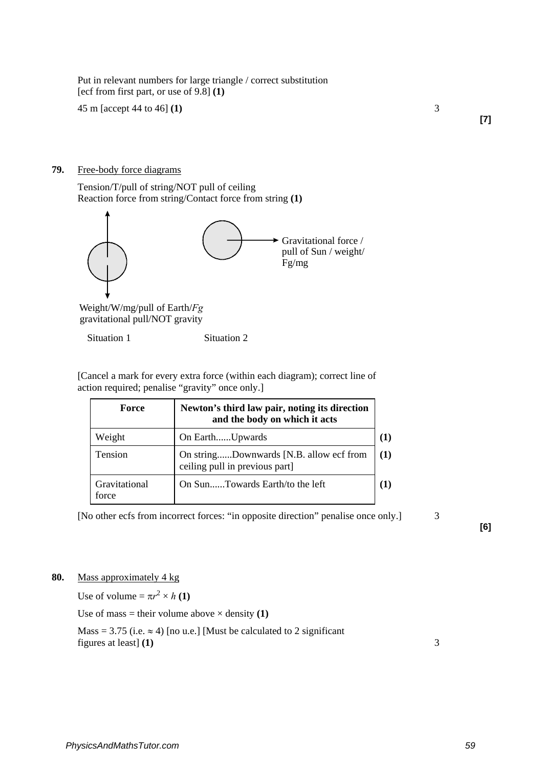Put in relevant numbers for large triangle / correct substitution [ecf from first part, or use of 9.8] **(1)** 

45 m [accept 44 to 46] **(1)** 3

**[7]**

### **79.** Free-body force diagrams

Tension/T/pull of string/NOT pull of ceiling Reaction force from string/Contact force from string **(1)** 



Weight/W/mg/pull of Earth/ *Fg* gravitational pull/NOT gravity

Situation 1 Situation 2

[Cancel a mark for every extra force (within each diagram); correct line of action required; penalise "gravity" once only.]

| Force                  | Newton's third law pair, noting its direction<br>and the body on which it acts |     |
|------------------------|--------------------------------------------------------------------------------|-----|
| Weight                 | On EarthUpwards                                                                | (1) |
| Tension                | On stringDownwards [N.B. allow ecf from<br>ceiling pull in previous part]      | (1) |
| Gravitational<br>force | On SunTowards Earth/to the left                                                | (1) |

[No other ecfs from incorrect forces: "in opposite direction" penalise once only.] 3

**[6]**

### **80.** Mass approximately 4 kg

Use of volume  $= \pi r^2 \times h(1)$ 

Use of mass = their volume above  $\times$  density **(1)** 

Mass = 3.75 (i.e.  $\approx$  4) [no u.e.] [Must be calculated to 2 significant figures at least  $(1)$  3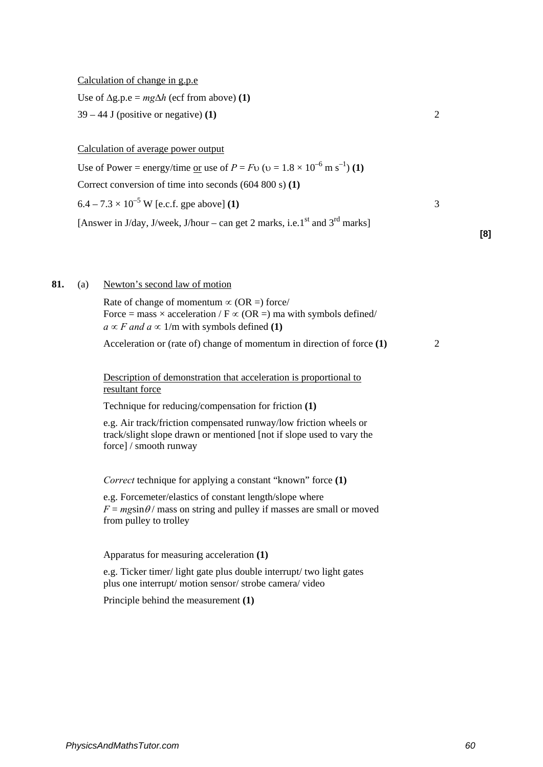Calculation of change in g.p.e

Use of  $\Delta$ g.p.e =  $mg\Delta h$  (ecf from above) **(1)** 

39 – 44 J (positive or negative) **(1)** 2

### Calculation of average power output

Use of Power = energy/time or use of  $P = Fv$  ( $v = 1.8 \times 10^{-6}$  m s<sup>-1</sup>) (1) Correct conversion of time into seconds (604 800 s) **(1)**  $6.4 - 7.3 \times 10^{-5}$  W [e.c.f. gpe above] (1) 3 [Answer in J/day, J/week, J/hour – can get 2 marks, i.e.1st and  $3<sup>rd</sup>$  marks]

### **81.** (a) Newton's second law of motion

Rate of change of momentum  $\propto$  (OR =) force/ Force = mass  $\times$  acceleration / F  $\propto$  (OR =) ma with symbols defined/  $a \propto F$  *and*  $a \propto 1/m$  with symbols defined **(1)** 

Acceleration or (rate of) change of momentum in direction of force **(1)** 2

**[8]**

# Description of demonstration that acceleration is proportional to resultant force

Technique for reducing/compensation for friction **(1)**

e.g. Air track/friction compensated runway/low friction wheels or track/slight slope drawn or mentioned [not if slope used to vary the force] / smooth runway

*Correct* technique for applying a constant "known" force **(1)**

e.g. Forcemeter/elastics of constant length/slope where  $F = mg\sin\theta$  / mass on string and pulley if masses are small or moved from pulley to trolley

Apparatus for measuring acceleration **(1)**

e.g. Ticker timer/ light gate plus double interrupt/ two light gates plus one interrupt/ motion sensor/ strobe camera/ video

Principle behind the measurement **(1)**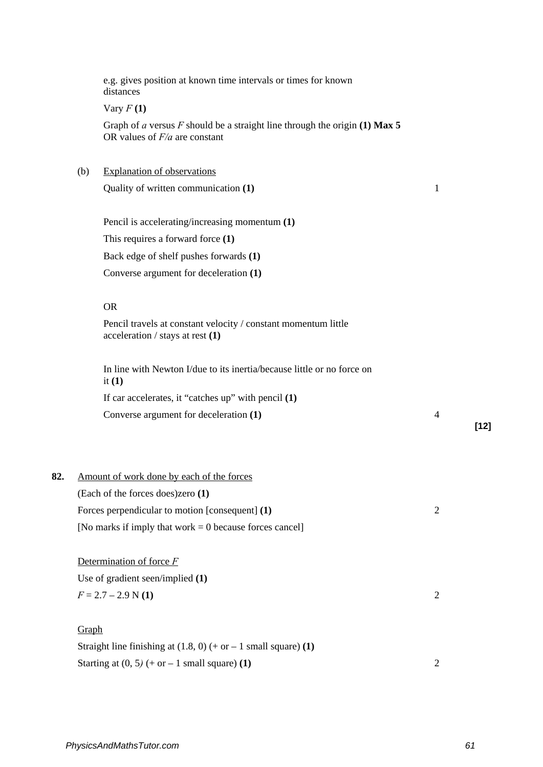|     |       | e.g. gives position at known time intervals or times for known<br>distances                                     |                |        |
|-----|-------|-----------------------------------------------------------------------------------------------------------------|----------------|--------|
|     |       | Vary $F(1)$                                                                                                     |                |        |
|     |       | Graph of a versus $F$ should be a straight line through the origin (1) Max 5<br>OR values of $F/a$ are constant |                |        |
|     | (b)   | <b>Explanation of observations</b>                                                                              |                |        |
|     |       | Quality of written communication (1)                                                                            | 1              |        |
|     |       | Pencil is accelerating/increasing momentum (1)                                                                  |                |        |
|     |       | This requires a forward force (1)                                                                               |                |        |
|     |       | Back edge of shelf pushes forwards (1)                                                                          |                |        |
|     |       | Converse argument for deceleration (1)                                                                          |                |        |
|     |       | <b>OR</b>                                                                                                       |                |        |
|     |       | Pencil travels at constant velocity / constant momentum little<br>acceleration / stays at rest (1)              |                |        |
|     |       | In line with Newton I/due to its inertia/because little or no force on<br>it $(1)$                              |                |        |
|     |       | If car accelerates, it "catches up" with pencil $(1)$                                                           |                |        |
|     |       | Converse argument for deceleration (1)                                                                          | 4              | $[12]$ |
|     |       |                                                                                                                 |                |        |
| 82. |       | <u>Amount of work done by each of the forces</u>                                                                |                |        |
|     |       | (Each of the forces does)zero (1)                                                                               |                |        |
|     |       | Forces perpendicular to motion [consequent] (1)                                                                 | $\overline{2}$ |        |
|     |       | [No marks if imply that work $= 0$ because forces cancel]                                                       |                |        |
|     |       | Determination of force $F$                                                                                      |                |        |
|     |       | Use of gradient seen/implied (1)                                                                                |                |        |
|     |       | $F = 2.7 - 2.9$ N (1)                                                                                           | $\overline{2}$ |        |
|     | Graph |                                                                                                                 |                |        |
|     |       | Straight line finishing at $(1.8, 0)$ (+ or – 1 small square) (1)                                               |                |        |
|     |       | Starting at $(0, 5)$ (+ or – 1 small square) (1)                                                                | $\overline{2}$ |        |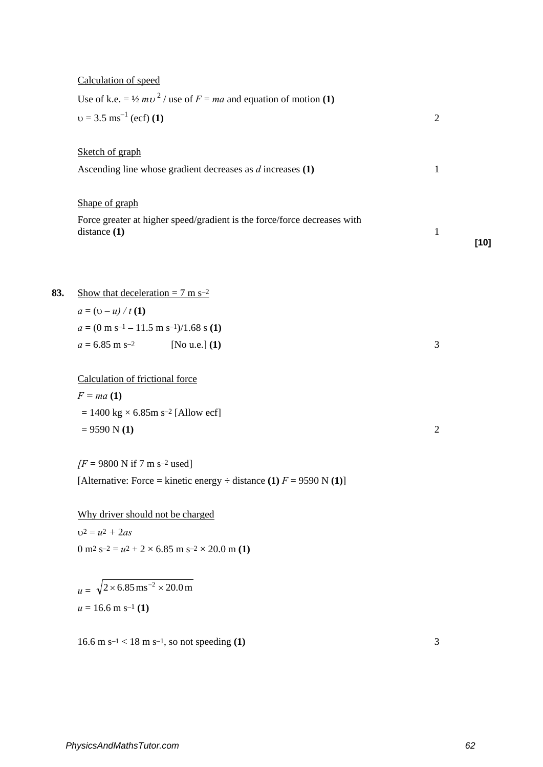|     | Calculation of speed                                                                       |                |        |
|-----|--------------------------------------------------------------------------------------------|----------------|--------|
|     | Use of k.e. = $\frac{1}{2} m v^2$ / use of $F = ma$ and equation of motion (1)             |                |        |
|     | $v = 3.5$ ms <sup>-1</sup> (ecf) (1)                                                       | $\overline{2}$ |        |
|     | Sketch of graph                                                                            |                |        |
|     | Ascending line whose gradient decreases as $d$ increases $(1)$                             | $\mathbf{1}$   |        |
|     | Shape of graph                                                                             |                |        |
|     | Force greater at higher speed/gradient is the force/force decreases with<br>distance $(1)$ | 1              | $[10]$ |
|     |                                                                                            |                |        |
| 83. | Show that deceleration = 7 m s <sup>-2</sup>                                               |                |        |
|     | $a = (v - u) / t(1)$                                                                       |                |        |
|     | $a = (0 \text{ m s}^{-1} - 11.5 \text{ m s}^{-1})/1.68 \text{ s (1)}$                      |                |        |
|     | $a = 6.85$ m s <sup>-2</sup><br>[No u.e.] $(1)$                                            | 3              |        |
|     | Calculation of frictional force                                                            |                |        |
|     | $F = ma(1)$                                                                                |                |        |
|     | $= 1400 \text{ kg} \times 6.85 \text{ m s}^{-2}$ [Allow ecf]                               |                |        |
|     | $= 9590 N(1)$                                                                              | $\mathfrak{2}$ |        |
|     | $\overline{F}$ = 9800 N if 7 m s <sup>-2</sup> used]                                       |                |        |
|     | [Alternative: Force = kinetic energy $\div$ distance (1) $F = 9590$ N (1)]                 |                |        |
|     | Why driver should not be charged                                                           |                |        |
|     | $v^2 = u^2 + 2as$                                                                          |                |        |
|     | 0 m <sup>2</sup> s <sup>-2</sup> = $u^2$ + 2 × 6.85 m s <sup>-2</sup> × 20.0 m (1)         |                |        |
|     | $u = \sqrt{2 \times 6.85 \text{ ms}^{-2} \times 20.0 \text{ m}}$                           |                |        |
|     | $u = 16.6$ m s <sup>-1</sup> (1)                                                           |                |        |
|     | 16.6 m s <sup>-1</sup> < 18 m s <sup>-1</sup> , so not speeding (1)                        | 3              |        |
|     |                                                                                            |                |        |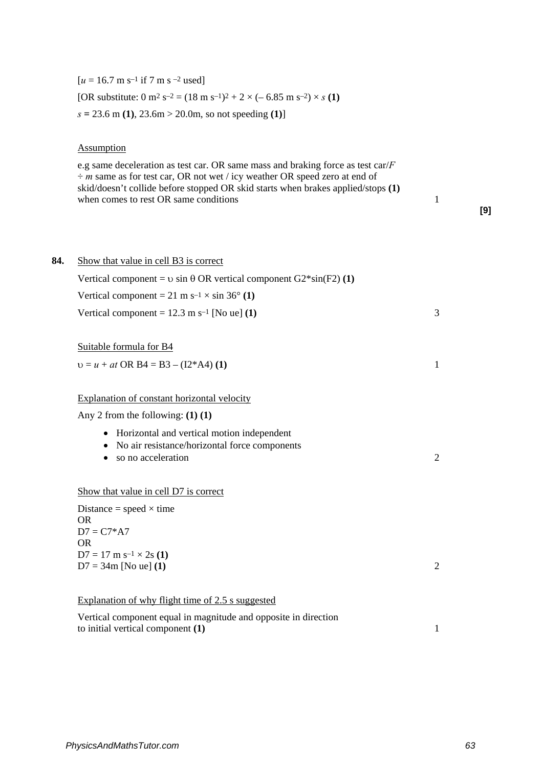$[u = 16.7 \text{ m s}^{-1} \text{ if } 7 \text{ m s }^{-2} \text{ used}]$ [OR substitute:  $0 \text{ m}^2 \text{ s}^{-2} = (18 \text{ m s}^{-1})^2 + 2 \times (-6.85 \text{ m s}^{-2}) \times (1)$ *s* **=** 23.6 m **(1)**, 23.6m > 20.0m, so not speeding **(1)**]

### **Assumption**

e.g same deceleration as test car. OR same mass and braking force as test car/*F*  $\div m$  same as for test car, OR not wet / icy weather OR speed zero at end of skid/doesn't collide before stopped OR skid starts when brakes applied/stops **(1)** when comes to rest OR same conditions 1

**[9]**

| Show that value in cell B3 is correct                                                                                            |   |
|----------------------------------------------------------------------------------------------------------------------------------|---|
| Vertical component = $\nu \sin \theta$ OR vertical component G2*sin(F2) (1)                                                      |   |
| Vertical component = 21 m s <sup>-1</sup> $\times$ sin 36° (1)                                                                   |   |
| Vertical component = $12.3$ m s <sup>-1</sup> [No ue] (1)                                                                        | 3 |
| Suitable formula for B4                                                                                                          |   |
| $v = u + at OR B4 = B3 - (I2*A4)$ (1)                                                                                            | 1 |
| Explanation of constant horizontal velocity                                                                                      |   |
| Any 2 from the following: $(1)$ $(1)$                                                                                            |   |
| • Horizontal and vertical motion independent<br>No air resistance/horizontal force components<br>$\bullet$<br>so no acceleration | 2 |
| Show that value in cell D7 is correct                                                                                            |   |
| Distance = speed $\times$ time                                                                                                   |   |
| OR.<br>$D7 = C7*A7$                                                                                                              |   |
| <b>OR</b>                                                                                                                        |   |
| $D7 = 17$ m s <sup>-1</sup> × 2s (1)                                                                                             |   |
| $D7 = 34m$ [No ue] (1)                                                                                                           | 2 |
| Explanation of why flight time of 2.5 s suggested                                                                                |   |
| Vertical component equal in magnitude and opposite in direction<br>to initial vertical component (1)                             | 1 |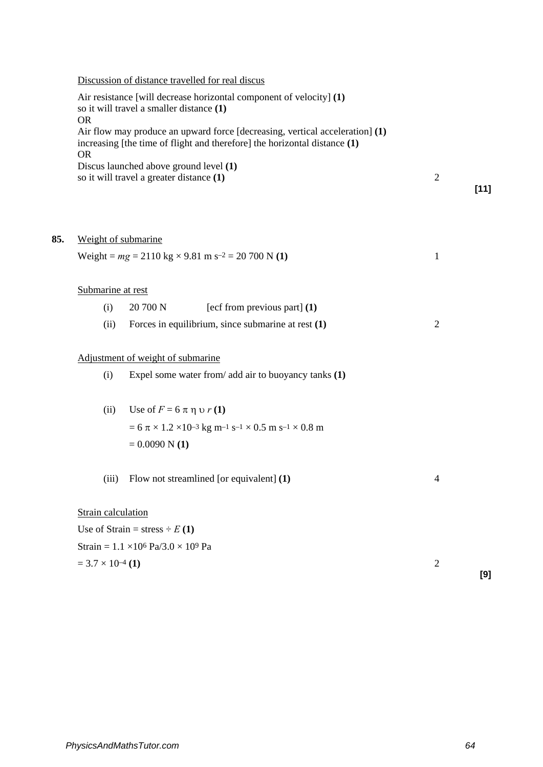|     | Discussion of distance travelled for real discus<br>Air resistance [will decrease horizontal component of velocity] (1)<br>so it will travel a smaller distance (1)<br><b>OR</b><br>Air flow may produce an upward force [decreasing, vertical acceleration] (1)<br>increasing [the time of flight and therefore] the horizontal distance (1)<br><b>OR</b><br>Discus launched above ground level (1)<br>so it will travel a greater distance (1) | $\overline{2}$                                                                                                                                              | $[11]$         |  |
|-----|--------------------------------------------------------------------------------------------------------------------------------------------------------------------------------------------------------------------------------------------------------------------------------------------------------------------------------------------------------------------------------------------------------------------------------------------------|-------------------------------------------------------------------------------------------------------------------------------------------------------------|----------------|--|
| 85. | Weight of submarine                                                                                                                                                                                                                                                                                                                                                                                                                              |                                                                                                                                                             |                |  |
|     |                                                                                                                                                                                                                                                                                                                                                                                                                                                  | Weight = $mg = 2110 \text{ kg} \times 9.81 \text{ m s}^{-2} = 20700 \text{ N}$ (1)                                                                          | 1              |  |
|     | Submarine at rest<br>20 700 N<br>[ecf from previous part] $(1)$<br>(i)<br>Forces in equilibrium, since submarine at rest $(1)$<br>(ii)<br>Adjustment of weight of submarine                                                                                                                                                                                                                                                                      |                                                                                                                                                             | $\overline{2}$ |  |
| (i) |                                                                                                                                                                                                                                                                                                                                                                                                                                                  | Expel some water from/ add air to buoyancy tanks (1)                                                                                                        |                |  |
|     | (ii)                                                                                                                                                                                                                                                                                                                                                                                                                                             | Use of $F = 6 \pi \eta v r(1)$<br>$= 6 \pi \times 1.2 \times 10^{-3}$ kg m <sup>-1</sup> s <sup>-1</sup> × 0.5 m s <sup>-1</sup> × 0.8 m<br>$= 0.0090 N(1)$ |                |  |
|     | (iii)                                                                                                                                                                                                                                                                                                                                                                                                                                            | Flow not streamlined [or equivalent] (1)                                                                                                                    | 4              |  |
|     | Strain calculation                                                                                                                                                                                                                                                                                                                                                                                                                               | Use of Strain = stress $\div E(1)$<br>Strain = $1.1 \times 10^6$ Pa/3.0 $\times$ 109 Pa                                                                     |                |  |
|     | $= 3.7 \times 10^{-4}$ (1)                                                                                                                                                                                                                                                                                                                                                                                                                       |                                                                                                                                                             | $\overline{2}$ |  |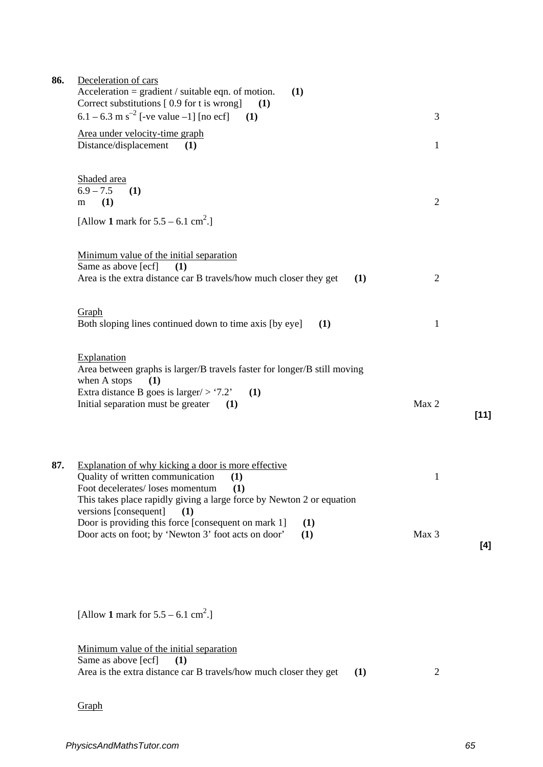| 86. | Deceleration of cars<br>Acceleration = $gradient / suitable eqn. of motion.$<br>(1)<br>Correct substitutions [0.9 for t is wrong]<br>(1)                                                                                                          |                |        |
|-----|---------------------------------------------------------------------------------------------------------------------------------------------------------------------------------------------------------------------------------------------------|----------------|--------|
|     | 6.1 – 6.3 m s <sup>-2</sup> [-ve value –1] [no ecf]<br>(1)                                                                                                                                                                                        | 3              |        |
|     | Area under velocity-time graph<br>Distance/displacement<br>(1)                                                                                                                                                                                    | 1              |        |
|     | Shaded area<br>$6.9 - 7.5$<br>(1)<br>(1)<br>m                                                                                                                                                                                                     | $\overline{2}$ |        |
|     | [Allow 1 mark for $5.5 - 6.1$ cm <sup>2</sup> .]                                                                                                                                                                                                  |                |        |
|     | Minimum value of the initial separation<br>Same as above [ecf]<br>(1)<br>Area is the extra distance car B travels/how much closer they get<br>(1)                                                                                                 | $\overline{2}$ |        |
|     | Graph<br>Both sloping lines continued down to time axis [by eye]<br>(1)                                                                                                                                                                           | 1              |        |
|     | Explanation<br>Area between graphs is larger/B travels faster for longer/B still moving<br>when A stops<br>(1)<br>Extra distance B goes is larger/ > '7.2'<br>(1)<br>Initial separation must be greater<br>(1)                                    | Max 2          | $[11]$ |
| 87. | Explanation of why kicking a door is more effective<br>Quality of written communication<br>(1)<br>Foot decelerates/loses momentum<br>(1)<br>This takes place rapidly giving a large force by Newton 2 or equation<br>versions [consequent]<br>(1) | 1              |        |
|     | Door is providing this force [consequent on mark 1]<br>(1)<br>Door acts on foot; by 'Newton 3' foot acts on door'<br>(1)                                                                                                                          | Max 3          | [4]    |
|     | [Allow 1 mark for $5.5 - 6.1$ cm <sup>2</sup> .]                                                                                                                                                                                                  |                |        |
|     | Minimum value of the initial separation<br>Same as above [ecf]<br>(1)<br>Area is the extra distance car B travels/how much closer they get<br>(1)                                                                                                 | $\overline{2}$ |        |
|     | Graph                                                                                                                                                                                                                                             |                |        |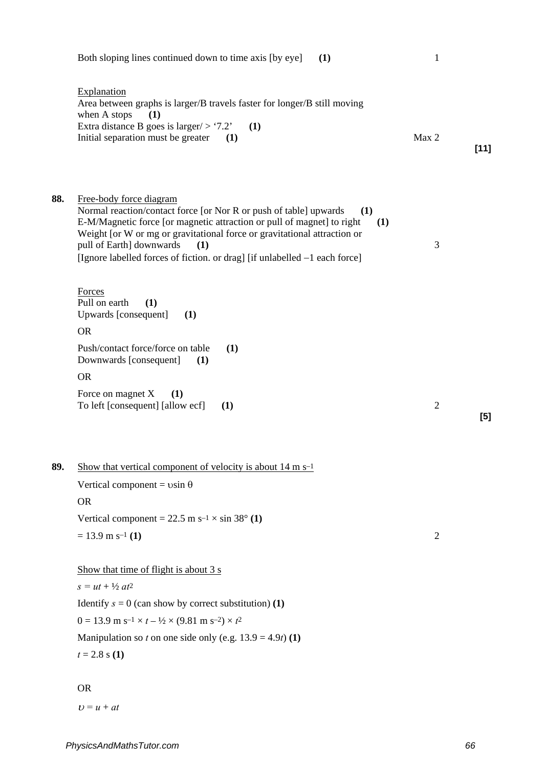|     | Both sloping lines continued down to time axis [by eye]<br>(1)                                                                                                                                                                                                                                                                                                                    | $\mathbf{1}$   |        |
|-----|-----------------------------------------------------------------------------------------------------------------------------------------------------------------------------------------------------------------------------------------------------------------------------------------------------------------------------------------------------------------------------------|----------------|--------|
|     | Explanation<br>Area between graphs is larger/B travels faster for longer/B still moving<br>when A stops<br>(1)<br>Extra distance B goes is larger/ > '7.2'<br>(1)<br>Initial separation must be greater<br>(1)                                                                                                                                                                    | Max 2          | $[11]$ |
| 88. | Free-body force diagram<br>Normal reaction/contact force [or Nor R or push of table] upwards<br>(1)<br>E-M/Magnetic force [or magnetic attraction or pull of magnet] to right<br>(1)<br>Weight [or W or mg or gravitational force or gravitational attraction or<br>pull of Earth] downwards<br>(1)<br>[Ignore labelled forces of fiction. or drag] [if unlabelled -1 each force] | 3              |        |
|     | Forces<br>Pull on earth<br>(1)<br>Upwards [consequent]<br>(1)<br><b>OR</b>                                                                                                                                                                                                                                                                                                        |                |        |
|     | Push/contact force/force on table<br>(1)<br>Downwards [consequent]<br>(1)<br><b>OR</b>                                                                                                                                                                                                                                                                                            |                |        |
|     | Force on magnet X<br>(1)<br>To left [consequent] [allow ecf]<br>(1)                                                                                                                                                                                                                                                                                                               | $\overline{2}$ | $[5]$  |
| 89. | Show that vertical component of velocity is about $14 \text{ m s}^{-1}$<br>Vertical component = $v\sin\theta$<br><b>OR</b><br>Vertical component = 22.5 m s <sup>-1</sup> $\times$ sin 38° (1)<br>$= 13.9$ m s <sup>-1</sup> (1)                                                                                                                                                  | $\overline{2}$ |        |
|     | Show that time of flight is about $3 \text{ s}$<br>$s = ut + \frac{1}{2}at^2$<br>Identify $s = 0$ (can show by correct substitution) (1)<br>$0 = 13.9$ m s <sup>-1</sup> × $t - \frac{1}{2}$ × (9.81 m s <sup>-2</sup> ) × $t^2$<br>Manipulation so <i>t</i> on one side only (e.g. $13.9 = 4.9t$ ) (1)<br>$t = 2.8$ s (1)                                                        |                |        |
|     |                                                                                                                                                                                                                                                                                                                                                                                   |                |        |

OR

 $v = u + at$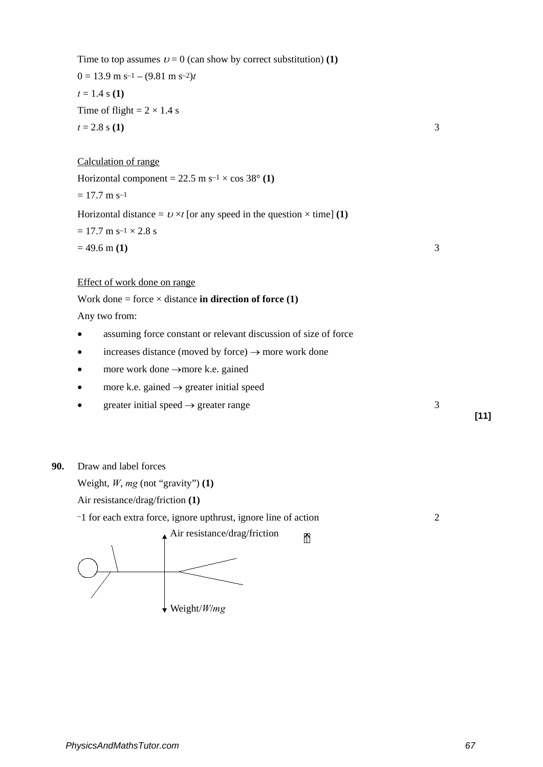| Time to top assumes $v = 0$ (can show by correct substitution) (1)<br>$0 = 13.9$ m s <sup>-1</sup> – $(9.81$ m s <sup>-2</sup> )t |                |        |
|-----------------------------------------------------------------------------------------------------------------------------------|----------------|--------|
| $t = 1.4$ s (1)                                                                                                                   |                |        |
| Time of flight = $2 \times 1.4$ s                                                                                                 |                |        |
| $t = 2.8$ s (1)                                                                                                                   | 3              |        |
|                                                                                                                                   |                |        |
| Calculation of range                                                                                                              |                |        |
| Horizontal component = 22.5 m s <sup>-1</sup> $\times$ cos 38° (1)                                                                |                |        |
| $= 17.7$ m s <sup>-1</sup>                                                                                                        |                |        |
| Horizontal distance = $v \times t$ [or any speed in the question $\times$ time] (1)                                               |                |        |
| $= 17.7$ m s <sup>-1</sup> $\times$ 2.8 s                                                                                         |                |        |
| $= 49.6$ m (1)                                                                                                                    | 3              |        |
|                                                                                                                                   |                |        |
| Effect of work done on range                                                                                                      |                |        |
| Work done = force $\times$ distance in direction of force (1)                                                                     |                |        |
| Any two from:                                                                                                                     |                |        |
| assuming force constant or relevant discussion of size of force                                                                   |                |        |
| increases distance (moved by force) $\rightarrow$ more work done                                                                  |                |        |
| more work done $\rightarrow$ more k.e. gained                                                                                     |                |        |
| more k.e. gained $\rightarrow$ greater initial speed                                                                              |                |        |
| greater initial speed $\rightarrow$ greater range                                                                                 | 3              |        |
|                                                                                                                                   |                | $[11]$ |
|                                                                                                                                   |                |        |
| Draw and label forces                                                                                                             |                |        |
| Weight, $W$ , $mg$ (not "gravity") (1)                                                                                            |                |        |
| Air resistance/drag/friction (1)                                                                                                  |                |        |
| -1 for each extra force, ignore upthrust, ignore line of action                                                                   | $\overline{2}$ |        |
| Air resistance/drag/friction<br>⋔                                                                                                 |                |        |
|                                                                                                                                   |                |        |
|                                                                                                                                   |                |        |
|                                                                                                                                   |                |        |
|                                                                                                                                   |                |        |
| $\blacklozenge$ Weight/ <i>W/mg</i>                                                                                               |                |        |

**90.**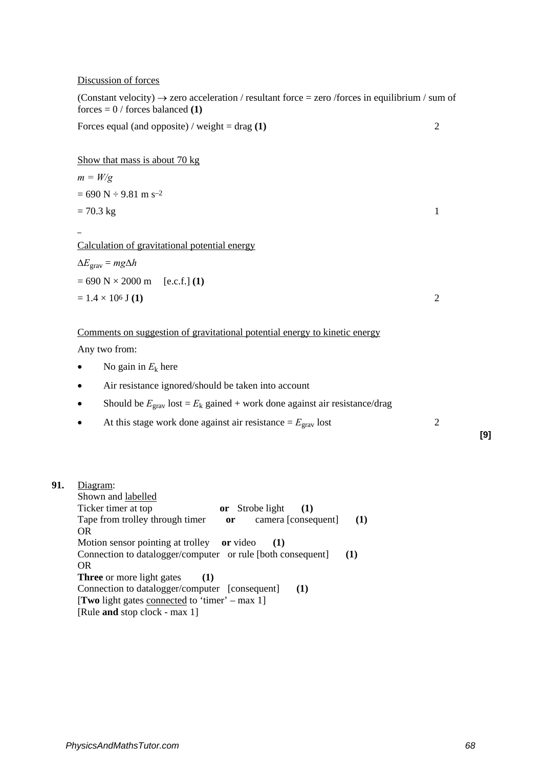### Discussion of forces

 $= 690 N \div 9.81 m s^{-2}$ 

(Constant velocity)  $\rightarrow$  zero acceleration / resultant force = zero /forces in equilibrium / sum of forces  $= 0 /$  forces balanced **(1)** 

Forces equal (and opposite) / weight = drag  $(1)$   $2$ 

Show that mass is about 70 kg

*m = W/g*

 $= 70.3 \text{ kg}$  1

 $\overline{a}$ Calculation of gravitational potential energy

∆*E*grav = *mg*∆*h*  $= 690 \text{ N} \times 2000 \text{ m}$  [e.c.f.] (1)  $= 1.4 \times 10^6$  **J (1)**  $\hspace{1.5cm}$  **2** 

### Comments on suggestion of gravitational potential energy to kinetic energy

Any two from:

- No gain in  $E_k$  here
- Air resistance ignored/should be taken into account
- Should be  $E_{grav}$  lost =  $E_k$  gained + work done against air resistance/drag
- At this stage work done against air resistance  $=E_{grav}$  lost 2

**[9]**

**91.** Diagram: Shown and labelled Ticker timer at top **or** Strobe light (1) Tape from trolley through timer **or** camera [consequent] **(1)** OR Motion sensor pointing at trolley **or** video **(1)** Connection to datalogger/computer or rule [both consequent] **(1)** OR **Three** or more light gates **(1)** Connection to datalogger/computer [consequent] **(1)** [**Two** light gates connected to 'timer' – max 1] [Rule **and** stop clock - max 1]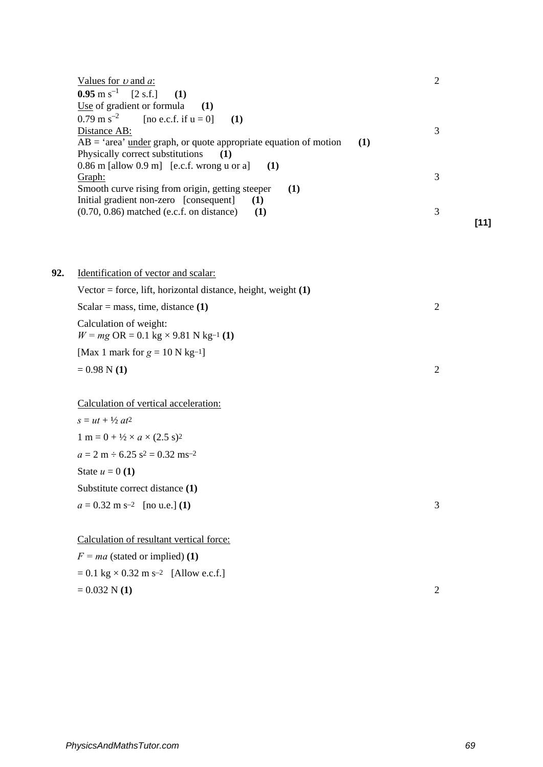| Values for $\nu$ and $\alpha$ :                                           |   |
|---------------------------------------------------------------------------|---|
| <b>0.95</b> m s <sup>-1</sup> [2 s.f.]<br>(1)                             |   |
| Use of gradient or formula $(1)$                                          |   |
| $0.79 \text{ m s}^{-2}$ [no e.c.f. if $u = 0$ ] (1)                       |   |
| Distance AB:                                                              | 3 |
| $AB = 'area' under graph, or quote appropriate equation of motion$<br>(1) |   |
| Physically correct substitutions<br>(1)                                   |   |
| $0.86$ m [allow $0.9$ m] [e.c.f. wrong u or a] (1)                        |   |
| Graph:                                                                    | 3 |
| Smooth curve rising from origin, getting steeper<br>(1)                   |   |
| Initial gradient non-zero [consequent]<br>(1)                             |   |
| $(0.70, 0.86)$ matched (e.c.f. on distance)<br>(1)                        | 3 |
|                                                                           |   |

| 92. | Identification of vector and scalar:                                                              |   |
|-----|---------------------------------------------------------------------------------------------------|---|
|     | Vector = force, lift, horizontal distance, height, weight $(1)$                                   |   |
|     | Scalar = mass, time, distance $(1)$                                                               | 2 |
|     | Calculation of weight:<br>$W = mg \text{ OR } = 0.1 \text{ kg} \times 9.81 \text{ N kg}^{-1}$ (1) |   |
|     | [Max 1 mark for $g = 10$ N kg <sup>-1</sup> ]                                                     |   |
|     | $= 0.98 N(1)$                                                                                     | 2 |
|     |                                                                                                   |   |
|     | Calculation of vertical acceleration:                                                             |   |
|     | $s = ut + \frac{1}{2} at^2$                                                                       |   |
|     | $1 m = 0 + \frac{1}{2} \times a \times (2.5 s)^2$                                                 |   |
|     | $a = 2 m \div 6.25$ s <sup>2</sup> = 0.32 ms <sup>-2</sup>                                        |   |
|     | State $u = 0$ (1)                                                                                 |   |
|     | Substitute correct distance (1)                                                                   |   |
|     | $a = 0.32$ m s <sup>-2</sup> [no u.e.] (1)                                                        | 3 |
|     |                                                                                                   |   |
|     | Calculation of resultant vertical force:                                                          |   |
|     | $F = ma$ (stated or implied) (1)                                                                  |   |
|     | $= 0.1 \text{ kg} \times 0.32 \text{ m s}^{-2}$ [Allow e.c.f.]                                    |   |
|     | $= 0.032 N(1)$                                                                                    | 2 |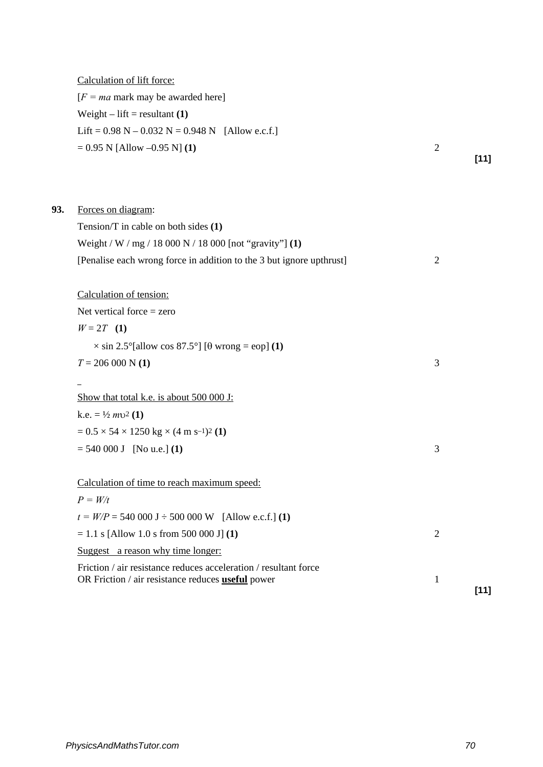| $[F = ma$ mark may be awarded here]                                        |                |        |
|----------------------------------------------------------------------------|----------------|--------|
| Weight – lift = resultant $(1)$                                            |                |        |
| Lift = $0.98$ N – $0.032$ N = $0.948$ N [Allow e.c.f.]                     |                |        |
| $= 0.95$ N [Allow -0.95 N] (1)                                             | $\overline{2}$ |        |
|                                                                            |                | $[11]$ |
|                                                                            |                |        |
| Forces on diagram:                                                         |                |        |
| Tension/T in cable on both sides $(1)$                                     |                |        |
| Weight / W / mg / 18 000 N / 18 000 [not "gravity"] (1)                    |                |        |
| [Penalise each wrong force in addition to the 3 but ignore upthrust]       | $\overline{2}$ |        |
|                                                                            |                |        |
| Calculation of tension:                                                    |                |        |
| Net vertical force $=$ zero                                                |                |        |
| $W = 2T(1)$                                                                |                |        |
| $\times$ sin 2.5° [allow cos 87.5°] [ $\theta$ wrong = eop] (1)            |                |        |
| $T = 206 000 N(1)$                                                         | 3              |        |
|                                                                            |                |        |
| Show that total k.e. is about 500 000 J:                                   |                |        |
| k.e. $= \frac{1}{2} m v^2 (1)$                                             |                |        |
| $= 0.5 \times 54 \times 1250 \text{ kg} \times (4 \text{ m s}^{-1})^2$ (1) |                |        |
| $= 540000 \text{ J}$ [No u.e.] (1)                                         | 3              |        |
|                                                                            |                |        |
| Calculation of time to reach maximum speed:                                |                |        |
| $P = W/t$                                                                  |                |        |
| $t = W/P = 540000 \text{ J} \div 500000 \text{ W}$ [Allow e.c.f.] (1)      |                |        |
| $= 1.1$ s [Allow 1.0 s from 500 000 J] (1)                                 | $\overline{2}$ |        |
| Suggest a reason why time longer:                                          |                |        |
| Friction / air resistance reduces acceleration / resultant force           |                |        |
| OR Friction / air resistance reduces <b>useful</b> power                   | $\mathbf{1}$   | $[11]$ |
|                                                                            |                |        |

Calculation of lift force:

**93.**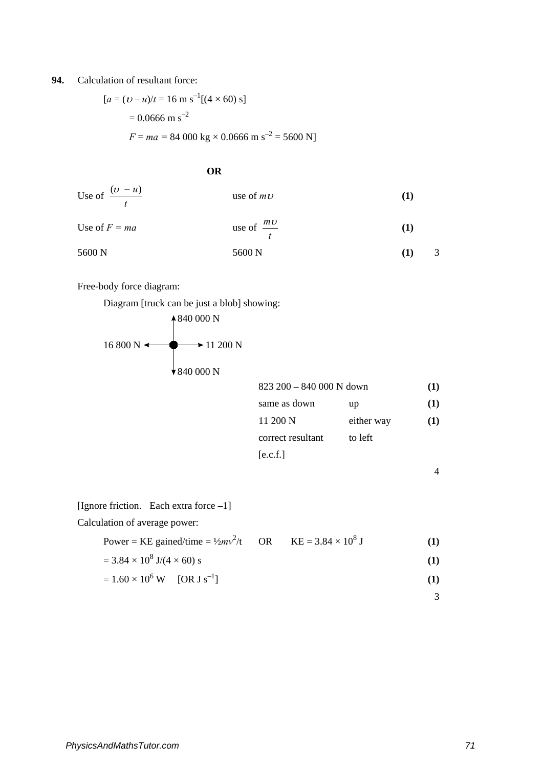**94.** Calculation of resultant force:

$$
[a = (v - u)/t = 16 \text{ m s}^{-1}[(4 \times 60) \text{ s}]
$$
  
= 0.0666 \text{ m s}^{-2}  

$$
F = ma = 84\ 000 \text{ kg} \times 0.0666 \text{ m s}^{-2} = 5600 \text{ N}
$$

#### **OR**

Use of 
$$
\frac{(v - u)}{t}
$$
 use of *m*U  
Use of  $F = ma$  use of  $\frac{m\nu}{t}$  (1)  
5600 N (1) 3

Free-body force diagram:

|                          | Diagram [truck can be just a blob] showing: |                          |            |     |
|--------------------------|---------------------------------------------|--------------------------|------------|-----|
|                          | 4840 000 N                                  |                          |            |     |
| 16 800 N $\triangleleft$ | $\rightarrow$ 11 200 N                      |                          |            |     |
|                          | $\star$ 840 000 N                           |                          |            |     |
|                          |                                             | 823 200 - 840 000 N down |            | (1) |
|                          |                                             | same as down             | up         | (1) |
|                          |                                             | 11 200 N                 | either way | (1) |
|                          |                                             | correct resultant        | to left    |     |
|                          |                                             | [e.c.f.]                 |            |     |
|                          |                                             |                          |            | 4   |

[Ignore friction. Each extra force –1] Calculation of average power:

> Power = KE gained/time =  $\frac{1}{2}mv^2/t$  OR KE = 3.84 × 10<sup>8</sup> J **(1)**   $= 3.84 \times 10^{10}$

$$
10^8 \text{ J}/(4 \times 60) \text{ s}
$$
 (1)

$$
= 1.60 \times 10^6 \,\mathrm{W} \quad [\text{OR J s}^{-1}] \tag{1}
$$

3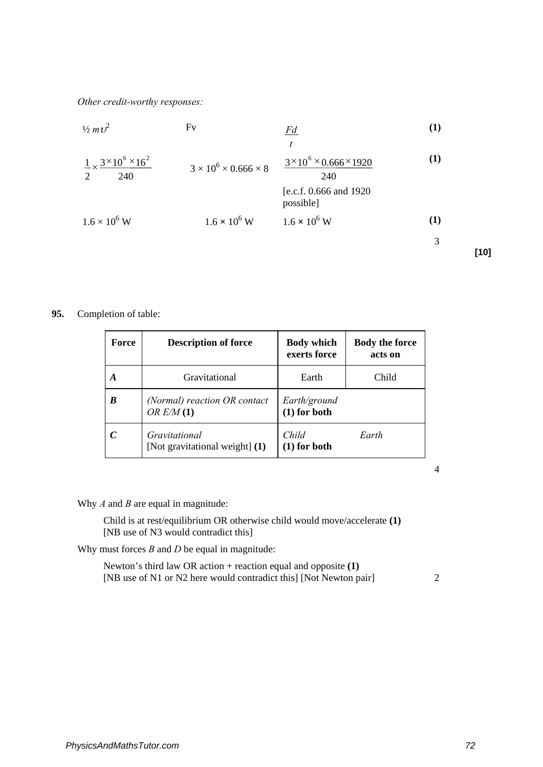*Other credit-worthy responses:*

$$
\frac{1}{2} \times \frac{3 \times 10^{6} \times 16^{2}}{240}
$$
\nFv\n
$$
\frac{Fd}{t}
$$
\n
$$
\frac{1}{2} \times \frac{3 \times 10^{6} \times 16^{2}}{240}
$$
\n
$$
3 \times 10^{6} \times 0.666 \times 8
$$
\n
$$
\frac{3 \times 10^{6} \times 0.666 \times 1920}{240}
$$
\n[6. c.f. 0.666 and 1920  
possible]\n
$$
1.6 \times 10^{6}
$$
\nV\n(1)\n(2)

### **95.** Completion of table:

| Force | <b>Description of force</b>                            | <b>Body which</b><br>exerts force | <b>Body the force</b><br>acts on |
|-------|--------------------------------------------------------|-----------------------------------|----------------------------------|
| A     | Gravitational                                          | Earth                             | Child                            |
| B     | (Normal) reaction OR contact<br>OR $E/M(1)$            | Earth/ground<br>$(1)$ for both    |                                  |
|       | <i>Gravitational</i><br>[Not gravitational weight] (1) | Child<br>$(1)$ for both           | Earth                            |

4

Why *A* and *B* are equal in magnitude:

Child is at rest/equilibrium OR otherwise child would move/accelerate **(1)** [NB use of N3 would contradict this]

Why must forces *B* and *D* be equal in magnitude:

Newton's third law OR action + reaction equal and opposite **(1)** [NB use of N1 or N2 here would contradict this] [Not Newton pair] 2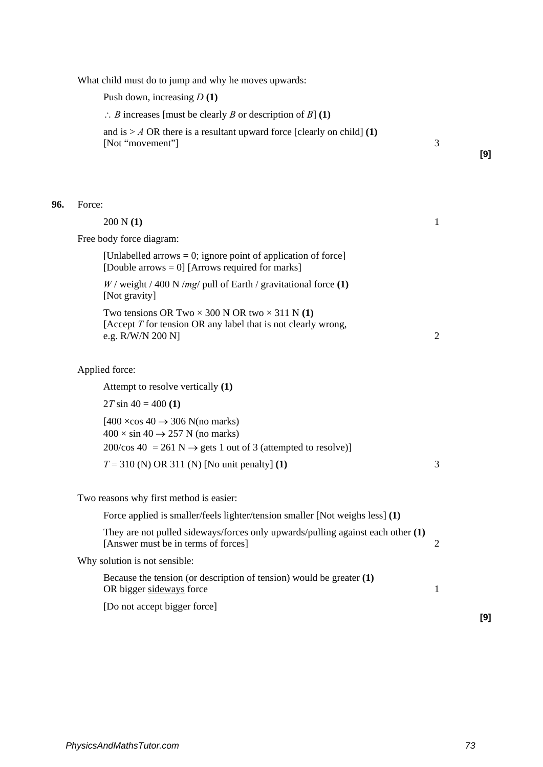What child must do to jump and why he moves upwards:

Push down, increasing *D* **(1)**

| $\therefore$ <i>B</i> increases [must be clearly <i>B</i> or description of <i>B</i> ] (1) |  |
|--------------------------------------------------------------------------------------------|--|
| and is $>$ A OR there is a resultant upward force [clearly on child] (1)                   |  |

[Not "movement"] 3

**[9]**

## **96.** Force:

| 200 N(1)                                                                                                                                             | 1 |
|------------------------------------------------------------------------------------------------------------------------------------------------------|---|
| Free body force diagram:                                                                                                                             |   |
| [Unlabelled arrows $= 0$ ; ignore point of application of force]<br>[Double arrows $= 0$ ] [Arrows required for marks]                               |   |
| $W/$ weight / 400 N /mg/ pull of Earth / gravitational force (1)<br>[Not gravity]                                                                    |   |
| Two tensions OR Two $\times$ 300 N OR two $\times$ 311 N (1)<br>[Accept $T$ for tension OR any label that is not clearly wrong,<br>e.g. R/W/N 200 N] | 2 |
| Applied force:                                                                                                                                       |   |
| Attempt to resolve vertically (1)                                                                                                                    |   |
| $2T \sin 40 = 400$ (1)                                                                                                                               |   |
| $[400 \times \cos 40 \rightarrow 306$ N(no marks)<br>$400 \times \sin 40 \rightarrow 257$ N (no marks)                                               |   |
| $200/\cos 40 = 261 \text{ N} \rightarrow \text{gets 1}$ out of 3 (attempted to resolve)]<br>$T = 310$ (N) OR 311 (N) [No unit penalty] (1)           | 3 |
| Two reasons why first method is easier:                                                                                                              |   |
| Force applied is smaller/feels lighter/tension smaller [Not weighs less] (1)                                                                         |   |
| They are not pulled sideways/forces only upwards/pulling against each other $(1)$<br>[Answer must be in terms of forces]                             | 2 |
| Why solution is not sensible:                                                                                                                        |   |
| Because the tension (or description of tension) would be greater $(1)$<br>OR bigger sideways force                                                   | 1 |

[Do not accept bigger force]

**[9]**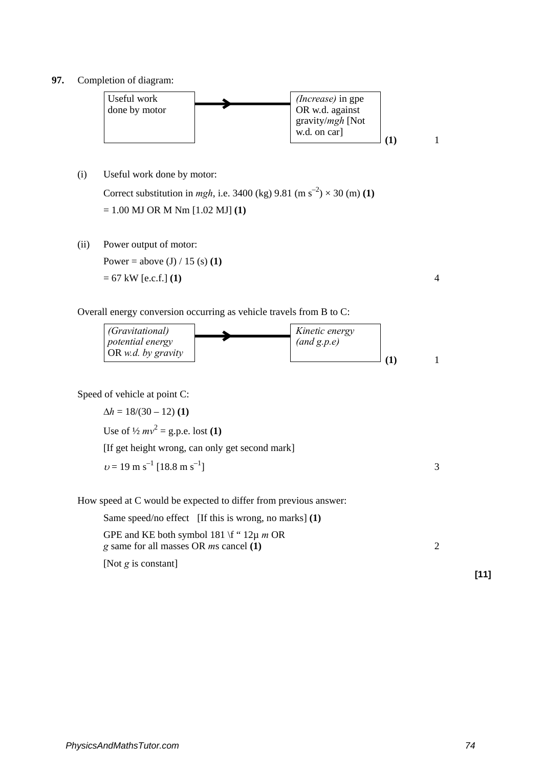**97.** Completion of diagram:



(i) Useful work done by motor:

Correct substitution in *mgh*, i.e. 3400 (kg) 9.81 (m s<sup>-2</sup>)  $\times$  30 (m) (1) = 1.00 MJ OR M Nm [1.02 MJ] **(1)**

(ii) Power output of motor: Power = above  $(J) / 15$  (s) (1)  $= 67 \text{ kW}$  [e.c.f.] (1) 4

Overall energy conversion occurring as vehicle travels from B to C:



Speed of vehicle at point C:

 $\Delta h = 18/(30 - 12)$  (1) Use of  $\frac{1}{2}mv^2 = g.p.e.$  lost (1) [If get height wrong, can only get second mark]  $v = 19 \text{ m s}^{-1} [18.8 \text{ m s}^{-1}]$  3 How speed at C would be expected to differ from previous answer: Same speed/no effect [If this is wrong, no marks] **(1)**

GPE and KE both symbol 181 \f " 12µ *m* OR *g* same for all masses OR *m*s cancel **(1)** 2 [Not *g* is constant]

**[11]**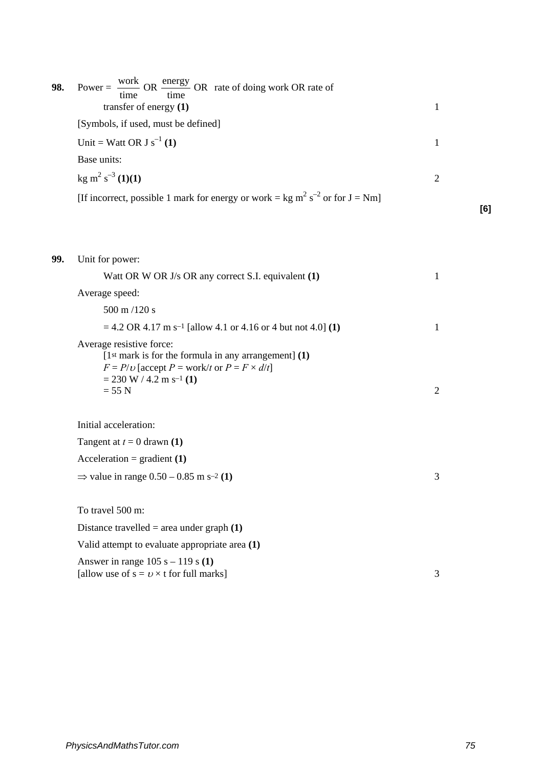| 98. | Power = $\frac{\text{work}}{\text{O}}$ OR $\frac{\text{energy}}{\text{O}}$ OR rate of doing work OR rate of<br>time<br>time<br>transfer of energy $(1)$ |                             |     |
|-----|---------------------------------------------------------------------------------------------------------------------------------------------------------|-----------------------------|-----|
|     | [Symbols, if used, must be defined]                                                                                                                     |                             |     |
|     | Unit = Watt OR J $s^{-1}(1)$                                                                                                                            |                             |     |
|     | Base units:                                                                                                                                             |                             |     |
|     | $\text{kg m}^2 \text{ s}^{-3}$ (1)(1)                                                                                                                   | $\mathcal{D}_{\mathcal{L}}$ |     |
|     | [If incorrect, possible 1 mark for energy or work = kg m <sup>2</sup> s <sup>-2</sup> or for J = Nm]                                                    |                             | [6] |

| Watt OR W OR $J/s$ OR any correct S.I. equivalent $(1)$                                                                                                                   |  |
|---------------------------------------------------------------------------------------------------------------------------------------------------------------------------|--|
| Average speed:                                                                                                                                                            |  |
| $500 \text{ m} / 120 \text{ s}$                                                                                                                                           |  |
| $= 4.2$ OR 4.17 m s <sup>-1</sup> [allow 4.1 or 4.16 or 4 but not 4.0] (1)                                                                                                |  |
| Average resistive force:<br>$[1st$ mark is for the formula in any arrangement] (1)<br>$F = P/v$ [accept P = work/t or P = F $\times$ d/t]<br>$= 230 W / 4.2 m s^{-1} (1)$ |  |
| $= 55 N$                                                                                                                                                                  |  |

Initial acceleration:

**99.** Unit for power:

| Tangent at $t = 0$ drawn (1)                                                          |   |
|---------------------------------------------------------------------------------------|---|
| Acceleration = gradient $(1)$                                                         |   |
| $\Rightarrow$ value in range 0.50 – 0.85 m s <sup>-2</sup> (1)                        | 3 |
|                                                                                       |   |
| To travel 500 m:                                                                      |   |
| Distance travelled = area under graph $(1)$                                           |   |
| Valid attempt to evaluate appropriate area (1)                                        |   |
| Answer in range $105 s - 119 s (1)$<br>[allow use of $s = v \times t$ for full marks] | 3 |
|                                                                                       |   |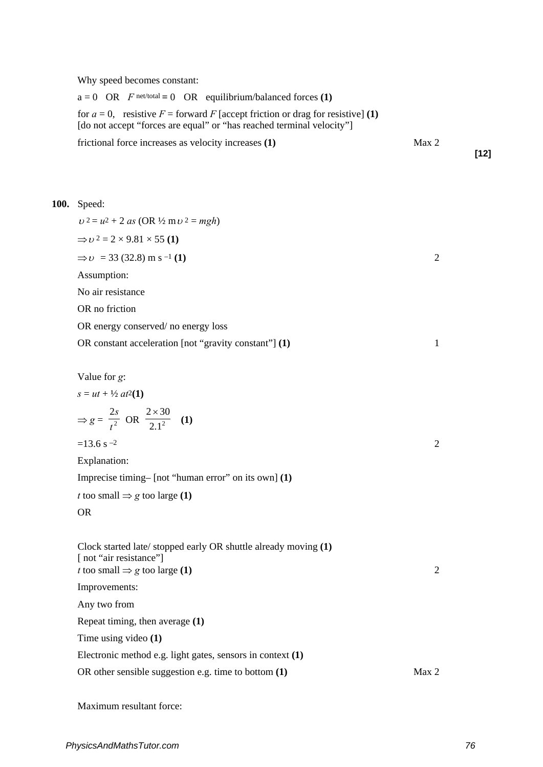Why speed becomes constant:

 $a = 0$  OR  $F$  net/total = 0 OR equilibrium/balanced forces (1) for  $a = 0$ , resistive  $F =$  forward  $F$  [accept friction or drag for resistive] (1) [do not accept "forces are equal" or "has reached terminal velocity"] frictional force increases as velocity increases **(1)** Max 2

**100.** Speed:

 $v^2 = u^2 + 2$  *as* (OR  $\frac{1}{2}$  m  $v^2 = mgh$ )  $\Rightarrow v^2 = 2 \times 9.81 \times 55$  (1)  $\Rightarrow v = 33$  (32.8) m s <sup>-1</sup> (1) 2 Assumption: No air resistance OR no friction OR energy conserved/ no energy loss OR constant acceleration [not "gravity constant"] **(1)** 1 Value for *g*:  $s = ut + \frac{1}{2}at^2(1)$  $\Rightarrow g = \frac{-b}{t^2}$ 2 *t s* OR  $\frac{2 \times 30}{2.1^2}$  (1)  $=13.6$  s  $-2$  2 Explanation:

Imprecise timing– [not "human error" on its own] **(1)**

*t* too small  $\Rightarrow$  *g* too large **(1)** 

OR

Clock started late/ stopped early OR shuttle already moving **(1)** [ not "air resistance"] *t* too small  $\Rightarrow$  *g* too large **(1)** 2 Improvements: Any two from Repeat timing, then average **(1)** Time using video **(1)** Electronic method e.g. light gates, sensors in context **(1)** OR other sensible suggestion e.g. time to bottom **(1)** Max 2

Maximum resultant force:

**[12]**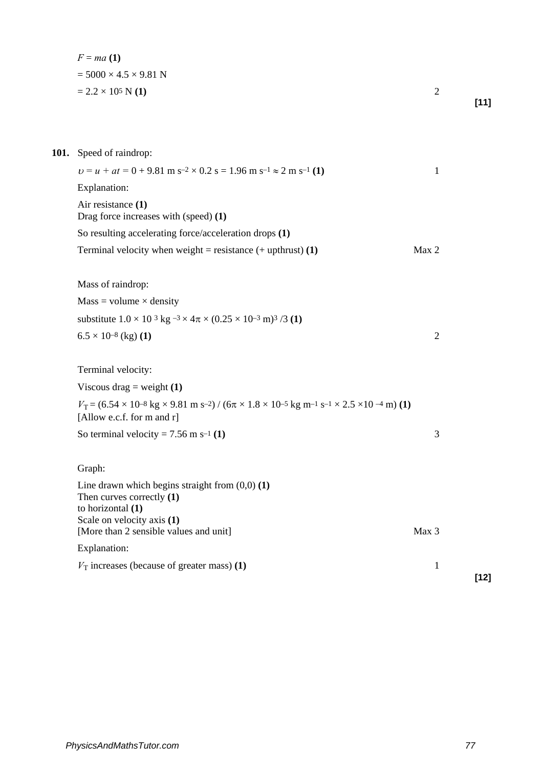| $F = ma(1)$                       |  |
|-----------------------------------|--|
| $= 5000 \times 4.5 \times 9.81$ N |  |
| $= 2.2 \times 10^5$ N (1)         |  |

**[11]**

# **101.** Speed of raindrop:

| $v = u + at = 0 + 9.81$ m s <sup>-2</sup> × 0.2 s = 1.96 m s <sup>-1</sup> $\approx$ 2 m s <sup>-1</sup> (1)                                                                                                    | $\mathbf{1}$   |        |
|-----------------------------------------------------------------------------------------------------------------------------------------------------------------------------------------------------------------|----------------|--------|
| Explanation:                                                                                                                                                                                                    |                |        |
| Air resistance (1)<br>Drag force increases with (speed) (1)                                                                                                                                                     |                |        |
| So resulting accelerating force/acceleration drops (1)                                                                                                                                                          |                |        |
| Terminal velocity when weight = resistance $(+$ upthrust) (1)                                                                                                                                                   | Max 2          |        |
| Mass of raindrop:                                                                                                                                                                                               |                |        |
| $Mass = volume \times density$                                                                                                                                                                                  |                |        |
| substitute $1.0 \times 10^{-3}$ kg $^{-3} \times 4\pi \times (0.25 \times 10^{-3}$ m) <sup>3</sup> /3 (1)                                                                                                       |                |        |
| $6.5 \times 10^{-8}$ (kg) (1)                                                                                                                                                                                   | $\mathfrak{2}$ |        |
| Terminal velocity:                                                                                                                                                                                              |                |        |
| Viscous drag = weight $(1)$                                                                                                                                                                                     |                |        |
| $V_T = (6.54 \times 10^{-8} \text{ kg} \times 9.81 \text{ m s}^{-2}) / (6\pi \times 1.8 \times 10^{-5} \text{ kg m}^{-1} \text{ s}^{-1} \times 2.5 \times 10^{-4} \text{ m})$ (1)<br>[Allow e.c.f. for m and r] |                |        |
| So terminal velocity = $7.56$ m s <sup>-1</sup> (1)                                                                                                                                                             | 3              |        |
| Graph:                                                                                                                                                                                                          |                |        |
| Line drawn which begins straight from $(0,0)$ (1)<br>Then curves correctly $(1)$<br>to horizontal (1)<br>Scale on velocity axis (1)                                                                             |                |        |
| [More than 2 sensible values and unit]                                                                                                                                                                          | Max 3          |        |
| Explanation:                                                                                                                                                                                                    |                |        |
| $V_T$ increases (because of greater mass) (1)                                                                                                                                                                   | $\mathbf{1}$   | $[12]$ |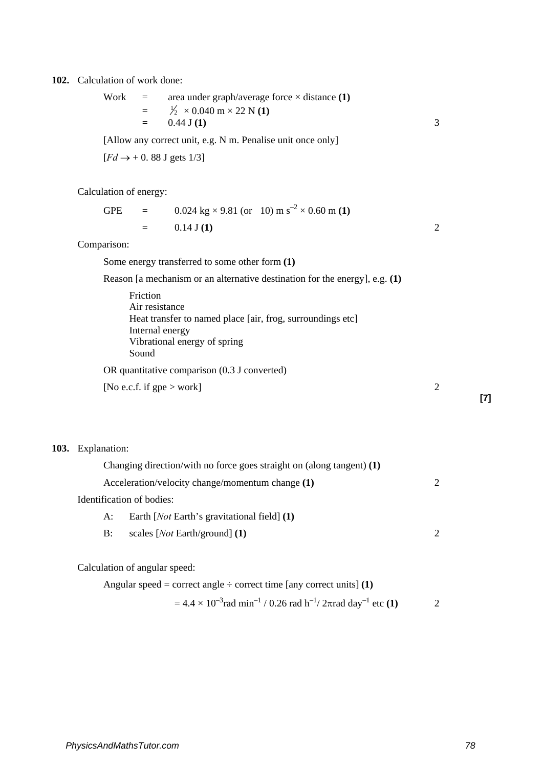**102.** Calculation of work done:

| $Work =$ | area under graph/average force $\times$ distance (1)             |  |
|----------|------------------------------------------------------------------|--|
|          | $=$ $\frac{1}{2} \times 0.040 \text{ m} \times 22 \text{ N}$ (1) |  |
|          | $=$ 0.44 J (1)                                                   |  |
|          |                                                                  |  |

[Allow any correct unit, e.g. N m. Penalise unit once only]

 $[Fd \rightarrow +0.88 \text{ J gets } 1/3]$ 

Calculation of energy:

GPE = 
$$
0.024 \text{ kg} \times 9.81 \text{ (or } 10) \text{ m s}^{-2} \times 0.60 \text{ m (1)}
$$
  
=  $0.14 \text{ J (1)}$ 

Comparison:

Some energy transferred to some other form **(1)**

Reason [a mechanism or an alternative destination for the energy], e.g. **(1)**

Friction Air resistance Heat transfer to named place [air, frog, surroundings etc] Internal energy Vibrational energy of spring Sound

OR quantitative comparison (0.3 J converted)

[No e.c.f. if gpe > work] 2

**103.** Explanation: Changing direction/with no force goes straight on (along tangent) **(1)** Acceleration/velocity change/momentum change (1) 2 Identification of bodies: A: Earth [*Not* Earth's gravitational field] **(1)** B: scales [*Not* Earth/ground] **(1)** 2 Calculation of angular speed: Angular speed  $=$  correct angle  $\div$  correct time [any correct units] (1)

 $= 4.4 \times 10^{-3}$ rad min<sup>-1</sup> / 0.26 rad h<sup>-1</sup>/ 2πrad day<sup>-1</sup> etc **(1)** 2

**[7]**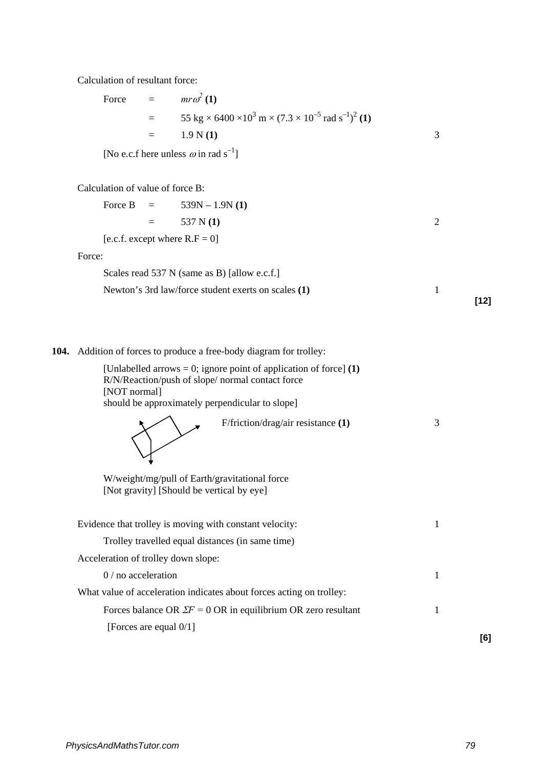Calculation of resultant force:

Force  $= mr\omega^2 (1)$  $=$  55 kg  $\times$  6400  $\times$ 10<sup>3</sup> m  $\times$  (7.3  $\times$  10<sup>-5</sup> rad s<sup>-1</sup>)<sup>2</sup> (1)  $=$  1.9 N (1) 3

[No e.c.f here unless  $\omega$  in rad s<sup>-1</sup>]

Calculation of value of force B:

|  | Force B = $539N - 1.9N(1)$       |  |
|--|----------------------------------|--|
|  | $=$ 537 N (1)                    |  |
|  | [e.c.f. except where $R.F = 0$ ] |  |
|  |                                  |  |

Force

| Scales read 537 N (same as B) [allow e.c.f.]        |  |
|-----------------------------------------------------|--|
| Newton's 3rd law/force student exerts on scales (1) |  |

**[12]**

**104.** Addition of forces to produce a free-body diagram for trolley:

[Unlabelled arrows = 0; ignore point of application of force] **(1)** R/N/Reaction/push of slope/ normal contact force [NOT normal] should be approximately perpendicular to slope] F/friction/drag/air resistance **(1)** 3

W/weight/mg/pull of Earth/gravitational force [Not gravity] [Should be vertical by eye]

| Evidence that trolley is moving with constant velocity:              |  |     |
|----------------------------------------------------------------------|--|-----|
| Trolley travelled equal distances (in same time)                     |  |     |
| Acceleration of trolley down slope:                                  |  |     |
| $0/$ no acceleration                                                 |  |     |
| What value of acceleration indicates about forces acting on trolley: |  |     |
| Forces balance OR $\Sigma F = 0$ OR in equilibrium OR zero resultant |  |     |
| [Forces are equal $0/1$ ]                                            |  |     |
|                                                                      |  | [6] |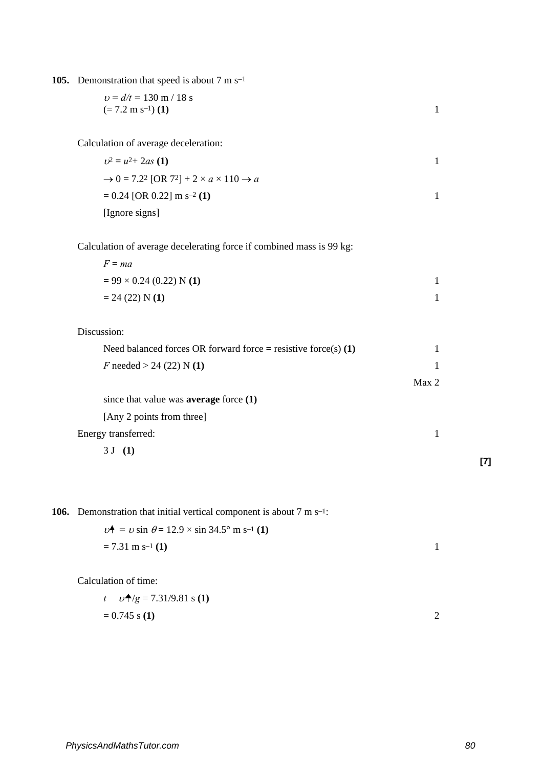**105.** Demonstration that speed is about 7 m s–1

$$
v = d/t = 130 \text{ m} / 18 \text{ s}
$$
  
(= 7.2 m s<sup>-1</sup>) (1)

Calculation of average deceleration:

 $v^2 = u^2 + 2as$  (1) 1  $\rightarrow 0 = 7.2^2$  [OR 7<sup>2</sup>] + 2 × *a* × 110  $\rightarrow a$  $= 0.24$  [OR 0.22] m s<sup>-2</sup> (1) 1 [Ignore signs]

Calculation of average decelerating force if combined mass is 99 kg:

| $F = ma$                        |  |
|---------------------------------|--|
| $= 99 \times 0.24$ (0.22) N (1) |  |
| $= 24 (22) N(1)$                |  |

Discussion:

| Need balanced forces OR forward force = resistive force(s) $(1)$ |  |
|------------------------------------------------------------------|--|
| F needed $> 24$ (22) N (1)                                       |  |

since that value was **average** force **(1)**

[Any 2 points from three]

Energy transferred: 1

$$
3 J (1)
$$

**106.** Demonstration that initial vertical component is about 7 m s–1:

$$
\nu^{\blacklozenge} = \nu \sin \theta = 12.9 \times \sin 34.5^{\circ} \text{ m s}^{-1} \text{ (1)}
$$
  
= 7.31 m s<sup>-1</sup> (1)

Calculation of time:

$$
t \t v\spadesuit/g = 7.31/9.81 \text{ s (1)}
$$
  
= 0.745 s (1)

**[7]**

Max 2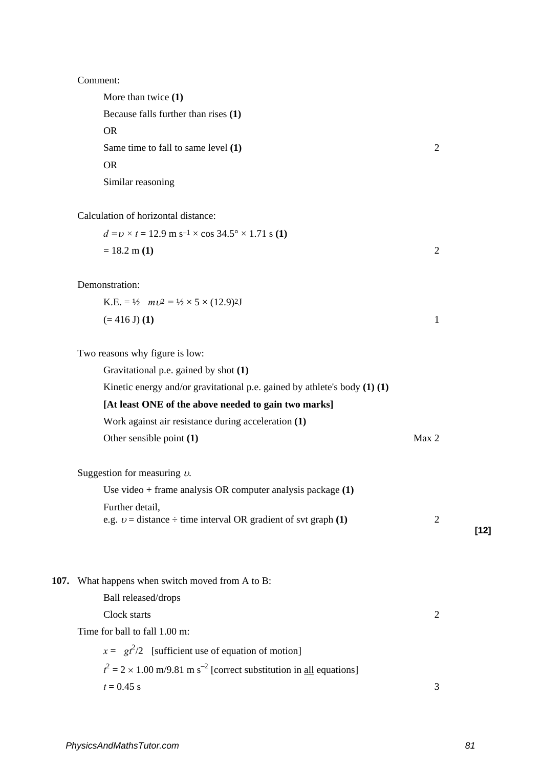More than twice **(1)** Because falls further than rises **(1)** OR Same time to fall to same level **(1)** 2 OR Similar reasoning

Calculation of horizontal distance:

| $d = v \times t = 12.9$ m s <sup>-1</sup> × cos 34.5° × 1.71 s (1) |  |
|--------------------------------------------------------------------|--|
| $= 18.2$ m (1)                                                     |  |

Demonstration:

| K.E. = $\frac{1}{2}$ $m v^2 = \frac{1}{2} \times 5 \times (12.9)^2$ J |  |
|-----------------------------------------------------------------------|--|
| $(= 416 \text{ J})$ (1)                                               |  |

| Two reasons why figure is low:                                                         |                |        |
|----------------------------------------------------------------------------------------|----------------|--------|
| Gravitational p.e. gained by shot (1)                                                  |                |        |
| Kinetic energy and/or gravitational p.e. gained by athlete's body $(1)$ $(1)$          |                |        |
| [At least ONE of the above needed to gain two marks]                                   |                |        |
| Work against air resistance during acceleration (1)                                    |                |        |
| Other sensible point (1)                                                               | Max 2          |        |
| Suggestion for measuring $\nu$ .                                                       |                |        |
| Use video + frame analysis OR computer analysis package $(1)$                          |                |        |
| Further detail,                                                                        |                |        |
| e.g. $v =$ distance $\div$ time interval OR gradient of svt graph (1)                  | $\overline{2}$ |        |
|                                                                                        |                | $[12]$ |
|                                                                                        |                |        |
| 107. What happens when switch moved from A to B:                                       |                |        |
| Ball released/drops                                                                    |                |        |
| Clock starts                                                                           | $\overline{2}$ |        |
| Time for ball to fall 1.00 m:                                                          |                |        |
| $x = gt^2/2$ [sufficient use of equation of motion]                                    |                |        |
| $t^2 = 2 \times 1.00$ m/9.81 m s <sup>-2</sup> [correct substitution in all equations] |                |        |
| $t = 0.45$ s                                                                           | 3              |        |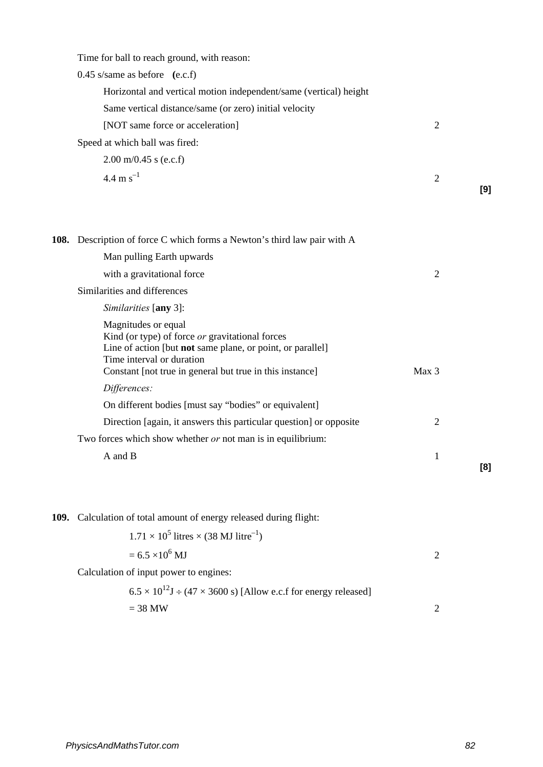Time for ball to reach ground, with reason:

0.45 s/same as before **(**e.c.f)

| Horizontal and vertical motion independent/same (vertical) height |  |
|-------------------------------------------------------------------|--|
|-------------------------------------------------------------------|--|

Same vertical distance/same (or zero) initial velocity

[NOT same force or acceleration] 2

Speed at which ball was fired:

2.00 m/0.45 s (e.c.f)

4.4 m s<sup>-1</sup> 2

**[9]**

**[8]**

| <b>108.</b> Description of force C which forms a Newton's third law pair with A                                                                                                                                                             |                  |
|---------------------------------------------------------------------------------------------------------------------------------------------------------------------------------------------------------------------------------------------|------------------|
| Man pulling Earth upwards                                                                                                                                                                                                                   |                  |
| with a gravitational force                                                                                                                                                                                                                  | $\overline{2}$   |
| Similarities and differences                                                                                                                                                                                                                |                  |
| <i>Similarities</i> [any 3]:                                                                                                                                                                                                                |                  |
| Magnitudes or equal<br>Kind (or type) of force <i>or</i> gravitational forces<br>Line of action [but <b>not</b> same plane, or point, or parallel]<br>Time interval or duration<br>Constant [not true in general but true in this instance] | Max <sub>3</sub> |
| Differences:                                                                                                                                                                                                                                |                  |
| On different bodies [must say "bodies" or equivalent]                                                                                                                                                                                       |                  |
| Direction [again, it answers this particular question] or opposite                                                                                                                                                                          | 2                |
| Two forces which show whether <i>or</i> not man is in equilibrium:                                                                                                                                                                          |                  |
| A and B                                                                                                                                                                                                                                     |                  |

**109.** Calculation of total amount of energy released during flight:

| $1.71 \times 10^5$ litres $\times$ (38 MJ litre <sup>-1</sup> )          |  |
|--------------------------------------------------------------------------|--|
| $= 6.5 \times 10^6$ MJ                                                   |  |
| Calculation of input power to engines:                                   |  |
| $6.5 \times 10^{12}$ J ÷ (47 × 3600 s) [Allow e.c.f for energy released] |  |
| $=$ 38 MW                                                                |  |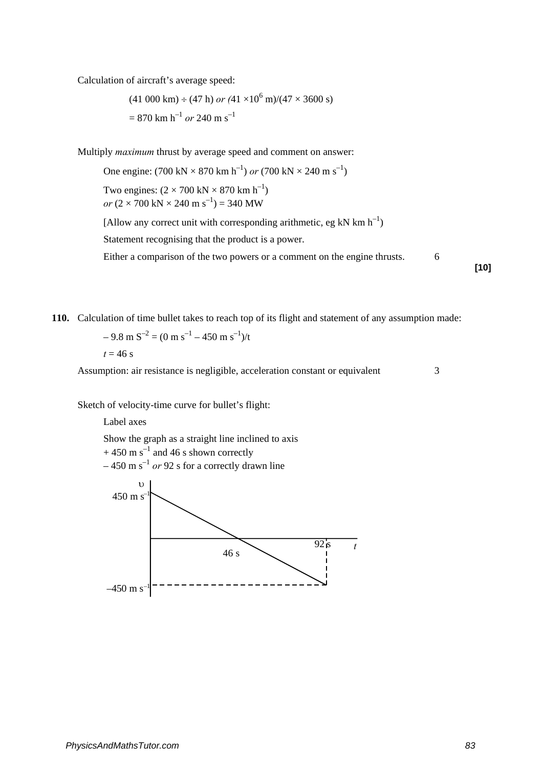Calculation of aircraft's average speed:

$$
(41\ 000\ km) \div (47\ h)\ or\ (41\times10^6\ m)/(47\times3600\ s)
$$
  
= 870 km h<sup>-1</sup> or 240 m s<sup>-1</sup>

Multiply *maximum* thrust by average speed and comment on answer:

One engine: (700 kN  $\times$  870 km h<sup>-1</sup>) *or* (700 kN  $\times$  240 m s<sup>-1</sup>)

Two engines:  $(2 \times 700 \text{ kN} \times 870 \text{ km h}^{-1})$ *or*  $(2 \times 700 \text{ kN} \times 240 \text{ m s}^{-1}) = 340 \text{ MW}$ 

[Allow any correct unit with corresponding arithmetic, eg kN km  $h^{-1}$ ]

Statement recognising that the product is a power.

Either a comparison of the two powers or a comment on the engine thrusts. 6

**[10]**

**110.** Calculation of time bullet takes to reach top of its flight and statement of any assumption made:

$$
-9.8 \text{ m S}^{-2} = (0 \text{ m s}^{-1} - 450 \text{ m s}^{-1})/t
$$
  

$$
t = 46 \text{ s}
$$
  
Assumption: air resistance is negligible, acceleration constant or equivalent

Sketch of velocity-time curve for bullet's flight:

Label axes

Show the graph as a straight line inclined to axis

 $+ 450$  m s<sup>-1</sup> and 46 s shown correctly

 $-450$  m s<sup>-1</sup> or 92 s for a correctly drawn line

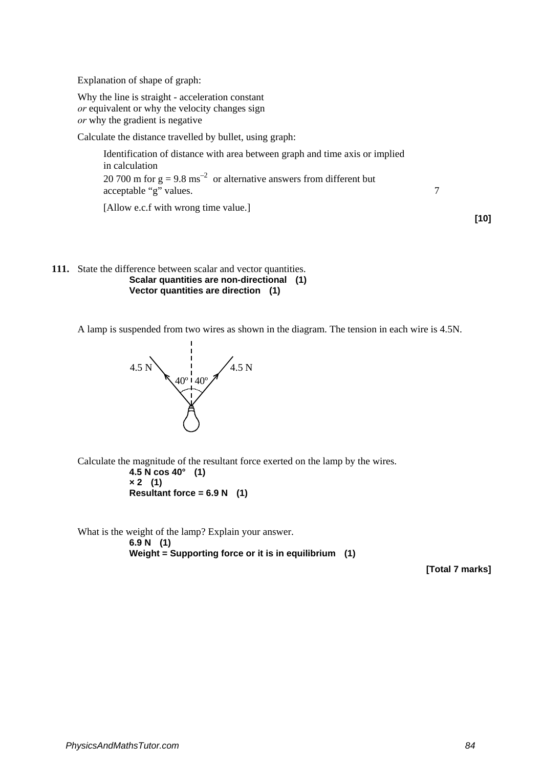Explanation of shape of graph:

Why the line is straight - acceleration constant *or* equivalent or why the velocity changes sign *or* why the gradient is negative

Calculate the distance travelled by bullet, using graph:

Identification of distance with area between graph and time axis or implied in calculation 20 700 m for  $g = 9.8$  ms<sup>-2</sup> or alternative answers from different but acceptable "g" values. 7

[Allow e.c.f with wrong time value.]

**[10]**

**111.** State the difference between scalar and vector quantities. **Scalar quantities are non-directional (1) Vector quantities are direction (1)**

A lamp is suspended from two wires as shown in the diagram. The tension in each wire is 4.5N.



Calculate the magnitude of the resultant force exerted on the lamp by the wires.

**4.5 N cos 40° (1) × 2 (1) Resultant force = 6.9 N (1)**

What is the weight of the lamp? Explain your answer. **6.9 N (1) Weight = Supporting force or it is in equilibrium (1)**

**[Total 7 marks]**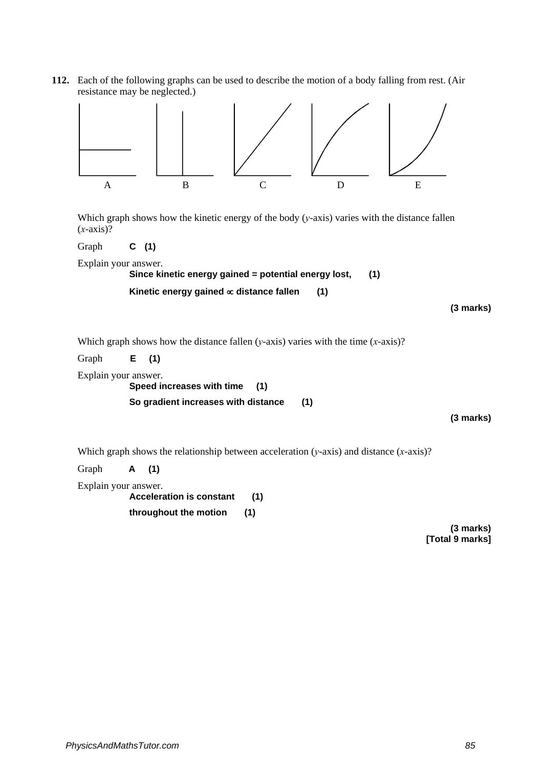**112.** Each of the following graphs can be used to describe the motion of a body falling from rest. (Air resistance may be neglected.)



Which graph shows how the kinetic energy of the body (*y*-axis) varies with the distance fallen (*x*-axis)?

Graph **C (1)**

Explain your answer.

**Since kinetic energy gained = potential energy lost, (1) Kinetic energy gained** ∝ **distance fallen (1)**

```
(3 marks)
```
Which graph shows how the distance fallen (*y*-axis) varies with the time (*x*-axis)?

Graph **E (1)**

Explain your answer.

**Speed increases with time (1) So gradient increases with distance (1)**

**(3 marks)**

Which graph shows the relationship between acceleration (*y*-axis) and distance (*x*-axis)?

Graph **A (1)**

Explain your answer.

**Acceleration is constant (1) throughout the motion (1)**

> **(3 marks) [Total 9 marks]**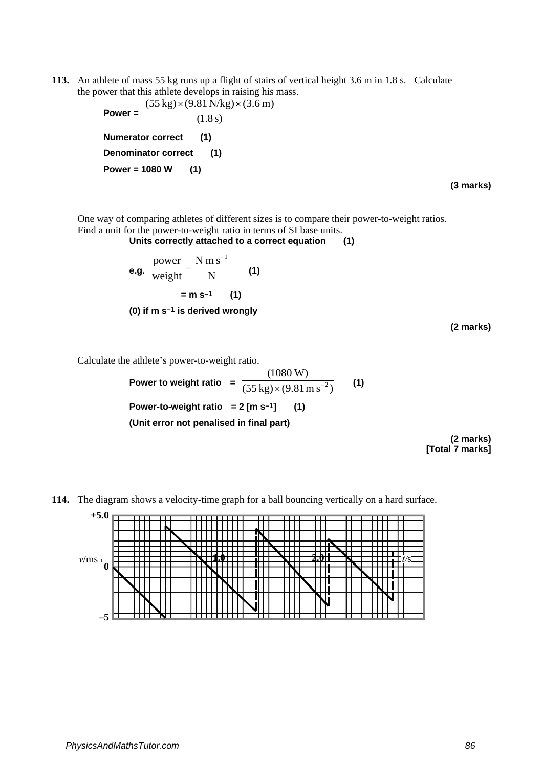**113.** An athlete of mass 55 kg runs up a flight of stairs of vertical height 3.6 m in 1.8 s. Calculate the power that this athlete develops in raising his mass.



**(3 marks)**

One way of comparing athletes of different sizes is to compare their power-to-weight ratios. Find a unit for the power-to-weight ratio in terms of SI base units.

**Units correctly attached to a correct equation (1)**

e.g. 
$$
\frac{\text{power}}{\text{weight}} = \frac{\text{N} \text{ m s}^{-1}}{\text{N}}
$$
 (1)  
= m s<sup>-1</sup> (1)

**(0) if m s–1 is derived wrongly**

**(2 marks)**

Calculate the athlete's power-to-weight ratio.

**Power to weight ratio**  $= \frac{}{(55 \text{ kg}) \times (9.81 \text{ m s}^{-2})}$  $(1080 W)$  $\sqrt{(9.81 \text{ m s}^{-2})}$  (1) Power-to-weight ratio  $= 2$  [m s<sup>-1</sup>] (1) **(Unit error not penalised in final part)**

> **(2 marks) [Total 7 marks]**

**114.** The diagram shows a velocity-time graph for a ball bouncing vertically on a hard surface.

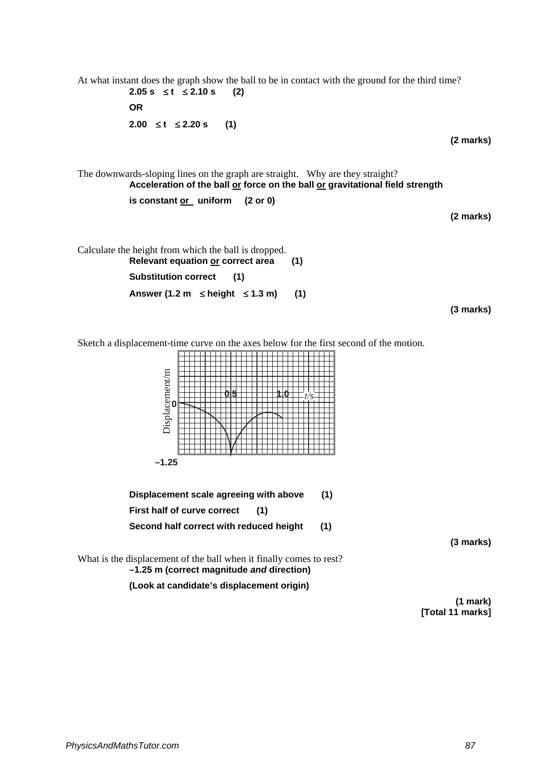At what instant does the graph show the ball to be in contact with the ground for the third time?

**2.05 s** ≤ **t** ≤ **2.10 s (2) OR 2.00** ≤ **t** ≤ **2.20 s (1)**

**(2 marks)**

The downwards-sloping lines on the graph are straight. Why are they straight? **Acceleration of the ball or force on the ball or gravitational field strength**

**is constant or uniform (2 or 0)**

**(2 marks)**

Calculate the height from which the ball is dropped.

**Relevant equation or correct area (1) Substitution correct (1) Answer (1.2 m** ≤ **height** ≤ **1.3 m) (1)**

**(3 marks)**

Sketch a displacement-time curve on the axes below for the first second of the motion.

| Displacement/m |  |  | O. | 5 |  |  |  | 1 | Õ |  |  | 'c |  |  |
|----------------|--|--|----|---|--|--|--|---|---|--|--|----|--|--|
| 0              |  |  |    |   |  |  |  |   |   |  |  |    |  |  |
|                |  |  | ٢  |   |  |  |  |   |   |  |  |    |  |  |
| $-1.25$        |  |  |    |   |  |  |  |   |   |  |  |    |  |  |

| Displacement scale agreeing with above  |     |  |  |  |  |  |  |
|-----------------------------------------|-----|--|--|--|--|--|--|
| First half of curve correct<br>(1)      |     |  |  |  |  |  |  |
| Second half correct with reduced height | (1) |  |  |  |  |  |  |

What is the displacement of the ball when it finally comes to rest? **–1.25 m (correct magnitude** *and* **direction)** 

**(Look at candidate's displacement origin)**

**(3 marks)**

**(1 mark) [Total 11 marks]**